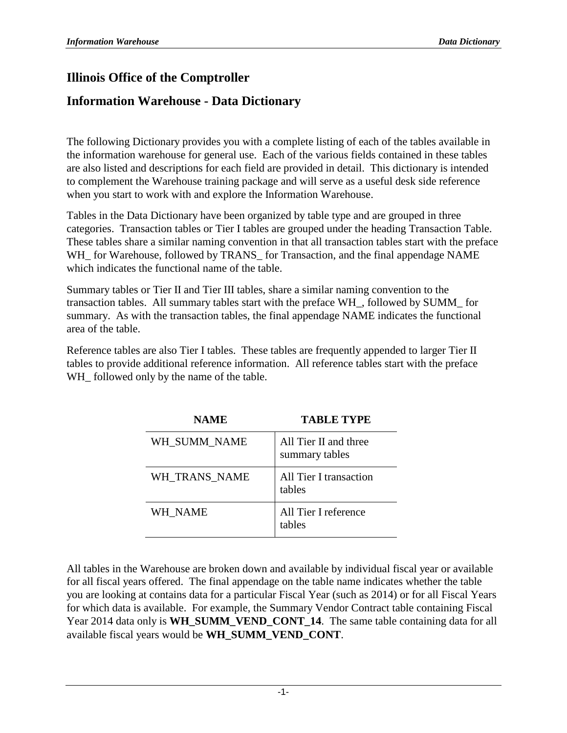#### **Illinois Office of the Comptroller**

#### **Information Warehouse - Data Dictionary**

The following Dictionary provides you with a complete listing of each of the tables available in the information warehouse for general use. Each of the various fields contained in these tables are also listed and descriptions for each field are provided in detail. This dictionary is intended to complement the Warehouse training package and will serve as a useful desk side reference when you start to work with and explore the Information Warehouse.

Tables in the Data Dictionary have been organized by table type and are grouped in three categories. Transaction tables or Tier I tables are grouped under the heading Transaction Table. These tables share a similar naming convention in that all transaction tables start with the preface WH\_ for Warehouse, followed by TRANS\_ for Transaction, and the final appendage NAME which indicates the functional name of the table.

Summary tables or Tier II and Tier III tables, share a similar naming convention to the transaction tables. All summary tables start with the preface WH\_, followed by SUMM\_ for summary. As with the transaction tables, the final appendage NAME indicates the functional area of the table.

Reference tables are also Tier I tables. These tables are frequently appended to larger Tier II tables to provide additional reference information. All reference tables start with the preface WH\_ followed only by the name of the table.

| NAME          | ТАВЕЕ ТҮРЕ                              |
|---------------|-----------------------------------------|
| WH SUMM NAME  | All Tier II and three<br>summary tables |
| WH TRANS NAME | All Tier I transaction<br>tables        |
| WH NAME       | All Tier I reference<br>tables          |

**NAME TABLE TRIPS** 

All tables in the Warehouse are broken down and available by individual fiscal year or available for all fiscal years offered. The final appendage on the table name indicates whether the table you are looking at contains data for a particular Fiscal Year (such as 2014) or for all Fiscal Years for which data is available. For example, the Summary Vendor Contract table containing Fiscal Year 2014 data only is **WH\_SUMM\_VEND\_CONT\_14**. The same table containing data for all available fiscal years would be **WH\_SUMM\_VEND\_CONT**.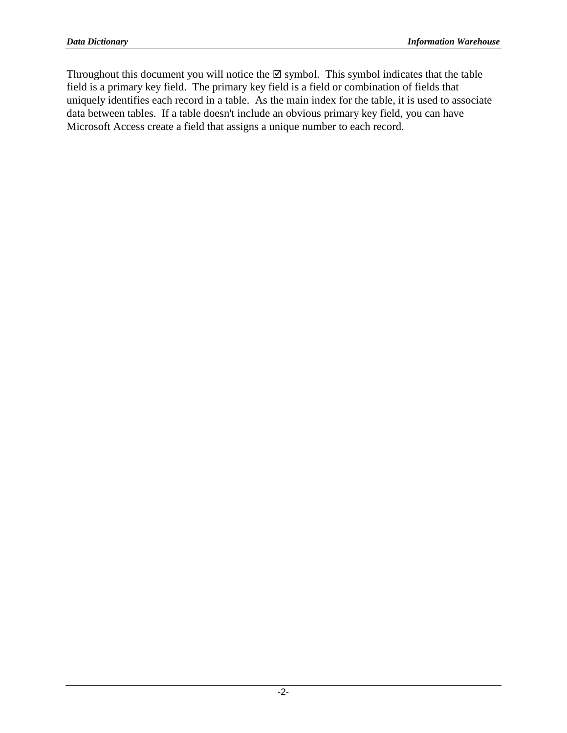Throughout this document you will notice the  $\boxtimes$  symbol. This symbol indicates that the table field is a primary key field. The primary key field is a field or combination of fields that uniquely identifies each record in a table. As the main index for the table, it is used to associate data between tables. If a table doesn't include an obvious primary key field, you can have Microsoft Access create a field that assigns a unique number to each record.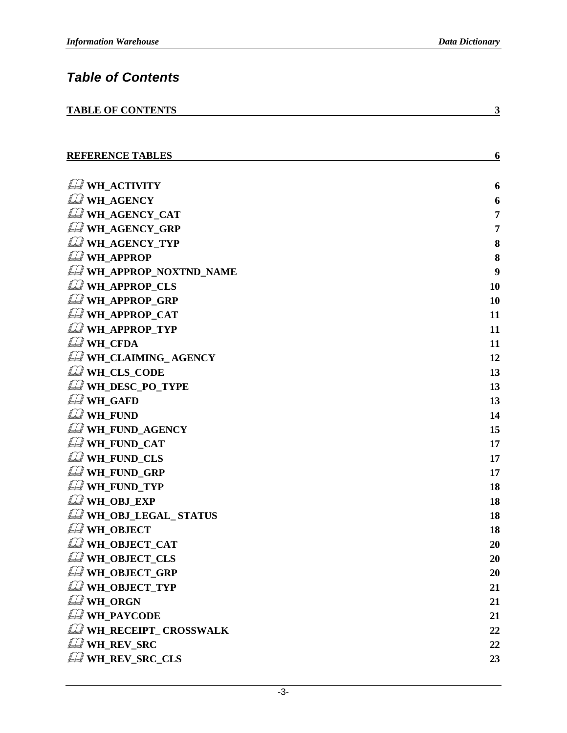**3**

**6**

### *Table of Contents*

|--|

| <b>REFERENCE TABLES</b> |  |
|-------------------------|--|
|                         |  |

| WH ACTIVITY                     | 6  |
|---------------------------------|----|
| <b>WH_AGENCY</b>                | 6  |
| <b>LA WH_AGENCY_CAT</b>         | 7  |
| <b>WH_AGENCY_GRP</b>            | 7  |
| <b>LA WH_AGENCY_TYP</b>         | 8  |
| <b>A</b> WH_APPROP              | 8  |
| WH_APPROP_NOXTND_NAME           | 9  |
| <b>WH_APPROP_CLS</b>            | 10 |
| <b>LAWH_APPROP_GRP</b>          | 10 |
| <b>Q</b> WH_APPROP_CAT          | 11 |
| <b>LAWH_APPROP_TYP</b>          | 11 |
| <b>LA WH_CFDA</b>               | 11 |
| WH CLAIMING AGENCY              | 12 |
| <b>WH_CLS_CODE</b>              | 13 |
| LA WH_DESC_PO_TYPE              | 13 |
| <b>LA WH_GAFD</b>               | 13 |
| <b>OF WH_FUND</b>               | 14 |
| <b>LA WH_FUND_AGENCY</b>        | 15 |
| <b>Q</b> WH_FUND_CAT            | 17 |
| <b>WH_FUND_CLS</b>              | 17 |
| <b>WH_FUND_GRP</b>              | 17 |
| LA WH_FUND_TYP                  | 18 |
| LA WH_OBJ_EXP                   | 18 |
| WH_OBJ_LEGAL_ STATUS            | 18 |
| <b>LA WH_OBJECT</b>             | 18 |
| LA WH_OBJECT_CAT                | 20 |
| LA WH_OBJECT_CLS                | 20 |
| LA WH_OBJECT_GRP                | 20 |
| <b>LA WH_OBJECT_TYP</b>         | 21 |
| <b>LA WH_ORGN</b>               | 21 |
| <b>A</b> WH_PAYCODE             | 21 |
| <b>LA WH_RECEIPT_ CROSSWALK</b> | 22 |
| $\mathcal{L}$ wh REV SRC        | 22 |
| $\mathcal D$ wh_rev_src_cls     | 23 |
|                                 |    |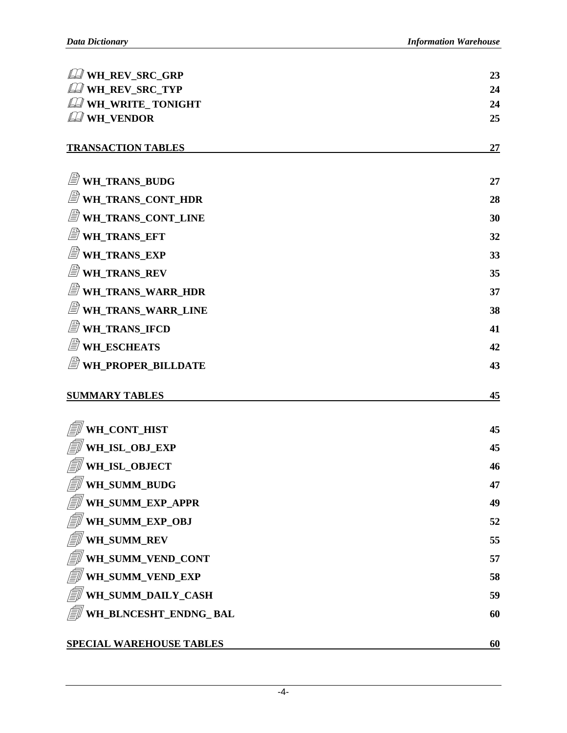| <b>LA WH_REV_SRC_GRP</b>            | 23 |
|-------------------------------------|----|
| LA WH_REV_SRC_TYP                   | 24 |
| <b>LA WH_WRITE_TONIGHT</b>          | 24 |
| LA WH_VENDOR                        | 25 |
| <b>TRANSACTION TABLES</b>           | 27 |
| WH_TRANS_BUDG                       | 27 |
| WH_TRANS_CONT_HDR                   | 28 |
| WH_TRANS_CONT_LINE                  | 30 |
| <i>■</i> WH_TRANS_EFT               | 32 |
| WH_TRANS_EXP                        | 33 |
| WH_TRANS_REV                        | 35 |
| WH_TRANS_WARR_HDR                   | 37 |
| WH_TRANS_WARR_LINE                  | 38 |
| WH_TRANS_IFCD                       | 41 |
| <i><b>■ WH_ESCHEATS</b></i>         | 42 |
| WH_PROPER_BILLDATE                  | 43 |
| <b>SUMMARY TABLES</b>               | 45 |
| WH_CONT_HIST                        | 45 |
| WH_ISL_OBJ_EXP                      | 45 |
| WH_ISL_OBJECT                       | 46 |
| <b>I</b> wh_summ_budg               | 47 |
| <b>I</b> WH_SUMM_EXP_APPR           | 49 |
| <i>  w</i> H_SUMM_EXP_OBJ           | 52 |
| $\int \equiv \parallel$ wh_summ_rev | 55 |
| WH_SUMM_VEND_CONT                   | 57 |
| WH_SUMM_VEND_EXP                    | 58 |
| WH_SUMM_DAILY_CASH                  | 59 |
| WH_BLNCESHT_ENDNG_ BAL              | 60 |
| <b>SPECIAL WAREHOUSE TABLES</b>     | 60 |

-4-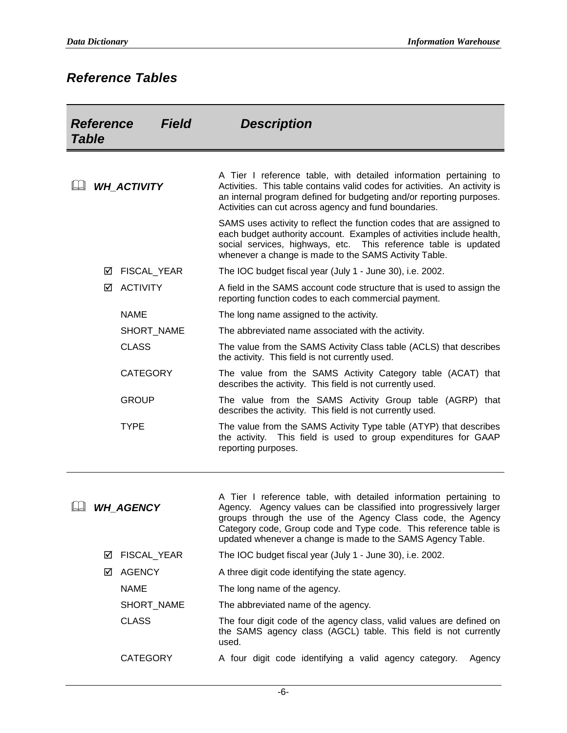#### *Reference Tables*

| <b>Reference</b><br>Field<br><b>Table</b> |   |                    | <b>Description</b>                                                                                                                                                                                                                                                                                                                       |
|-------------------------------------------|---|--------------------|------------------------------------------------------------------------------------------------------------------------------------------------------------------------------------------------------------------------------------------------------------------------------------------------------------------------------------------|
|                                           |   | <b>WH ACTIVITY</b> | A Tier I reference table, with detailed information pertaining to<br>Activities. This table contains valid codes for activities. An activity is<br>an internal program defined for budgeting and/or reporting purposes.<br>Activities can cut across agency and fund boundaries.                                                         |
|                                           |   |                    | SAMS uses activity to reflect the function codes that are assigned to<br>each budget authority account. Examples of activities include health,<br>This reference table is updated<br>social services, highways, etc.<br>whenever a change is made to the SAMS Activity Table.                                                            |
|                                           | ⊻ | FISCAL_YEAR        | The IOC budget fiscal year (July 1 - June 30), i.e. 2002.                                                                                                                                                                                                                                                                                |
|                                           | ☑ | <b>ACTIVITY</b>    | A field in the SAMS account code structure that is used to assign the<br>reporting function codes to each commercial payment.                                                                                                                                                                                                            |
|                                           |   | <b>NAME</b>        | The long name assigned to the activity.                                                                                                                                                                                                                                                                                                  |
|                                           |   | SHORT_NAME         | The abbreviated name associated with the activity.                                                                                                                                                                                                                                                                                       |
|                                           |   | <b>CLASS</b>       | The value from the SAMS Activity Class table (ACLS) that describes<br>the activity. This field is not currently used.                                                                                                                                                                                                                    |
|                                           |   | <b>CATEGORY</b>    | The value from the SAMS Activity Category table (ACAT) that<br>describes the activity. This field is not currently used.                                                                                                                                                                                                                 |
|                                           |   | <b>GROUP</b>       | The value from the SAMS Activity Group table (AGRP) that<br>describes the activity. This field is not currently used.                                                                                                                                                                                                                    |
|                                           |   | <b>TYPE</b>        | The value from the SAMS Activity Type table (ATYP) that describes<br>the activity. This field is used to group expenditures for GAAP<br>reporting purposes.                                                                                                                                                                              |
|                                           |   | <b>WH AGENCY</b>   | A Tier I reference table, with detailed information pertaining to<br>Agency. Agency values can be classified into progressively larger<br>groups through the use of the Agency Class code, the Agency<br>Category code, Group code and Type code. This reference table is<br>updated whenever a change is made to the SAMS Agency Table. |
|                                           | ☑ | FISCAL_YEAR        | The IOC budget fiscal year (July 1 - June 30), i.e. 2002.                                                                                                                                                                                                                                                                                |
|                                           | ☑ | <b>AGENCY</b>      | A three digit code identifying the state agency.                                                                                                                                                                                                                                                                                         |
|                                           |   | <b>NAME</b>        | The long name of the agency.                                                                                                                                                                                                                                                                                                             |
|                                           |   | SHORT_NAME         | The abbreviated name of the agency.                                                                                                                                                                                                                                                                                                      |
|                                           |   | <b>CLASS</b>       | The four digit code of the agency class, valid values are defined on<br>the SAMS agency class (AGCL) table. This field is not currently<br>used.                                                                                                                                                                                         |
|                                           |   | <b>CATEGORY</b>    | A four digit code identifying a valid agency category.<br>Agency                                                                                                                                                                                                                                                                         |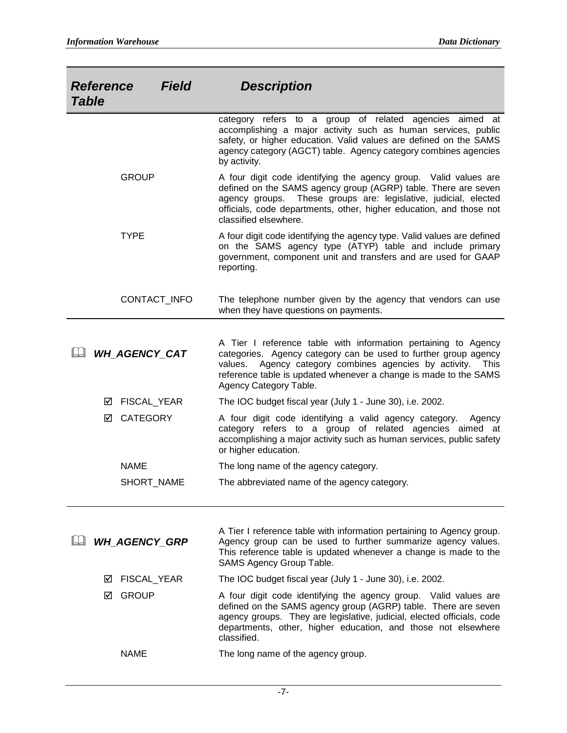| <b>Reference</b><br><b>Table</b> | <b>Field</b>         | <b>Description</b>                                                                                                                                                                                                                                                                                          |
|----------------------------------|----------------------|-------------------------------------------------------------------------------------------------------------------------------------------------------------------------------------------------------------------------------------------------------------------------------------------------------------|
|                                  |                      | category refers to a group of related agencies aimed at<br>accomplishing a major activity such as human services, public<br>safety, or higher education. Valid values are defined on the SAMS<br>agency category (AGCT) table. Agency category combines agencies<br>by activity.                            |
|                                  | <b>GROUP</b>         | A four digit code identifying the agency group. Valid values are<br>defined on the SAMS agency group (AGRP) table. There are seven<br>agency groups. These groups are: legislative, judicial, elected<br>officials, code departments, other, higher education, and those not<br>classified elsewhere.       |
|                                  | <b>TYPE</b>          | A four digit code identifying the agency type. Valid values are defined<br>on the SAMS agency type (ATYP) table and include primary<br>government, component unit and transfers and are used for GAAP<br>reporting.                                                                                         |
|                                  | CONTACT_INFO         | The telephone number given by the agency that vendors can use<br>when they have questions on payments.                                                                                                                                                                                                      |
|                                  | WH AGENCY_CAT        | A Tier I reference table with information pertaining to Agency<br>categories. Agency category can be used to further group agency<br>Agency category combines agencies by activity.<br>values.<br><b>This</b><br>reference table is updated whenever a change is made to the SAMS<br>Agency Category Table. |
|                                  | FISCAL_YEAR<br>⊻     | The IOC budget fiscal year (July 1 - June 30), i.e. 2002.                                                                                                                                                                                                                                                   |
|                                  | <b>CATEGORY</b><br>☑ | A four digit code identifying a valid agency category.<br>Agency<br>category refers to a group of related agencies aimed at<br>accomplishing a major activity such as human services, public safety<br>or higher education.                                                                                 |
|                                  | <b>NAME</b>          | The long name of the agency category.                                                                                                                                                                                                                                                                       |
|                                  | SHORT_NAME           | The abbreviated name of the agency category.                                                                                                                                                                                                                                                                |
|                                  | <b>WH_AGENCY_GRP</b> | A Tier I reference table with information pertaining to Agency group.<br>Agency group can be used to further summarize agency values.<br>This reference table is updated whenever a change is made to the<br>SAMS Agency Group Table.                                                                       |
|                                  | FISCAL_YEAR<br>⋈     | The IOC budget fiscal year (July 1 - June 30), i.e. 2002.                                                                                                                                                                                                                                                   |
|                                  | <b>GROUP</b><br>☑    | A four digit code identifying the agency group. Valid values are<br>defined on the SAMS agency group (AGRP) table. There are seven<br>agency groups. They are legislative, judicial, elected officials, code<br>departments, other, higher education, and those not elsewhere                               |

classified. NAME The long name of the agency group.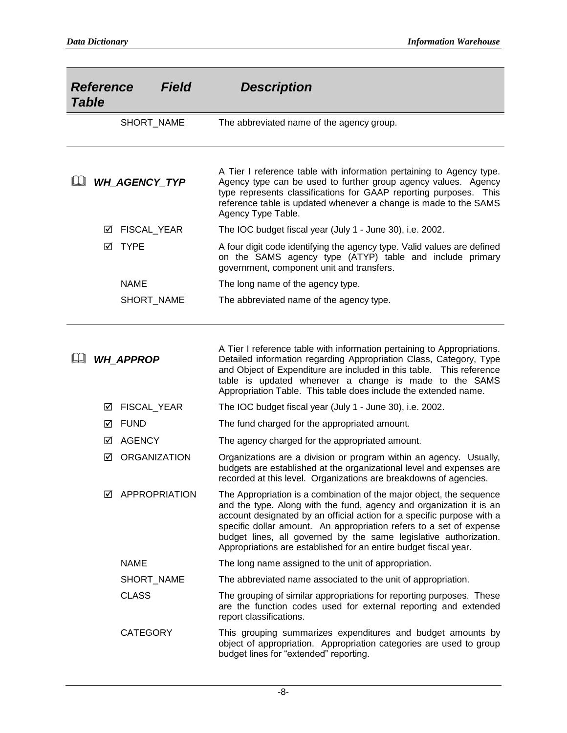| <b>Table</b> | <b>Reference</b> | <b>Field</b>        | <b>Description</b>                                                                                                                                                                                                                                                                                                                                                                                                                    |
|--------------|------------------|---------------------|---------------------------------------------------------------------------------------------------------------------------------------------------------------------------------------------------------------------------------------------------------------------------------------------------------------------------------------------------------------------------------------------------------------------------------------|
|              |                  | SHORT_NAME          | The abbreviated name of the agency group.                                                                                                                                                                                                                                                                                                                                                                                             |
|              |                  | WH_AGENCY_TYP       | A Tier I reference table with information pertaining to Agency type.<br>Agency type can be used to further group agency values. Agency<br>type represents classifications for GAAP reporting purposes. This<br>reference table is updated whenever a change is made to the SAMS<br>Agency Type Table.                                                                                                                                 |
|              | ⊻                | FISCAL_YEAR         | The IOC budget fiscal year (July 1 - June 30), i.e. 2002.                                                                                                                                                                                                                                                                                                                                                                             |
|              | ☑                | <b>TYPE</b>         | A four digit code identifying the agency type. Valid values are defined<br>on the SAMS agency type (ATYP) table and include primary<br>government, component unit and transfers.                                                                                                                                                                                                                                                      |
|              |                  | <b>NAME</b>         | The long name of the agency type.                                                                                                                                                                                                                                                                                                                                                                                                     |
|              |                  | SHORT_NAME          | The abbreviated name of the agency type.                                                                                                                                                                                                                                                                                                                                                                                              |
|              |                  | <b>WH APPROP</b>    | A Tier I reference table with information pertaining to Appropriations.<br>Detailed information regarding Appropriation Class, Category, Type<br>and Object of Expenditure are included in this table. This reference<br>table is updated whenever a change is made to the SAMS<br>Appropriation Table. This table does include the extended name.                                                                                    |
|              | ⊻                | FISCAL_YEAR         | The IOC budget fiscal year (July 1 - June 30), i.e. 2002.                                                                                                                                                                                                                                                                                                                                                                             |
|              | ⊻                | <b>FUND</b>         | The fund charged for the appropriated amount.                                                                                                                                                                                                                                                                                                                                                                                         |
|              | ⋈                | <b>AGENCY</b>       | The agency charged for the appropriated amount.                                                                                                                                                                                                                                                                                                                                                                                       |
|              | ☑                | <b>ORGANIZATION</b> | Organizations are a division or program within an agency. Usually,<br>budgets are established at the organizational level and expenses are<br>recorded at this level. Organizations are breakdowns of agencies.                                                                                                                                                                                                                       |
|              | М                | APPROPRIATION       | The Appropriation is a combination of the major object, the sequence<br>and the type. Along with the fund, agency and organization it is an<br>account designated by an official action for a specific purpose with a<br>specific dollar amount. An appropriation refers to a set of expense<br>budget lines, all governed by the same legislative authorization.<br>Appropriations are established for an entire budget fiscal year. |
|              |                  | <b>NAME</b>         | The long name assigned to the unit of appropriation.                                                                                                                                                                                                                                                                                                                                                                                  |
|              |                  | SHORT NAME          | The abbreviated name associated to the unit of appropriation.                                                                                                                                                                                                                                                                                                                                                                         |
|              |                  | <b>CLASS</b>        | The grouping of similar appropriations for reporting purposes. These<br>are the function codes used for external reporting and extended<br>report classifications.                                                                                                                                                                                                                                                                    |
|              |                  | <b>CATEGORY</b>     | This grouping summarizes expenditures and budget amounts by<br>object of appropriation. Appropriation categories are used to group<br>budget lines for "extended" reporting.                                                                                                                                                                                                                                                          |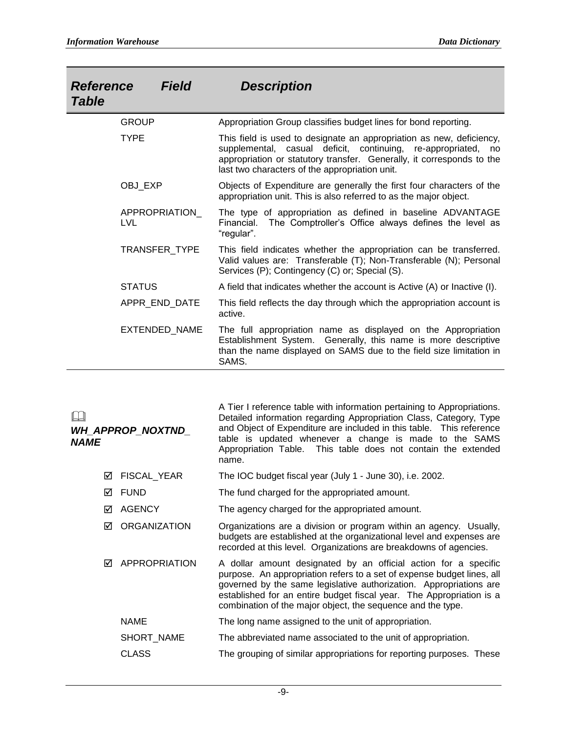| <b>Reference</b><br><b>Field</b><br><b>Table</b> | <b>Description</b>                                                                                                                                                                                                                                               |
|--------------------------------------------------|------------------------------------------------------------------------------------------------------------------------------------------------------------------------------------------------------------------------------------------------------------------|
| <b>GROUP</b>                                     | Appropriation Group classifies budget lines for bond reporting.                                                                                                                                                                                                  |
| <b>TYPE</b>                                      | This field is used to designate an appropriation as new, deficiency,<br>supplemental, casual deficit, continuing, re-appropriated, no<br>appropriation or statutory transfer. Generally, it corresponds to the<br>last two characters of the appropriation unit. |
| OBJ_EXP                                          | Objects of Expenditure are generally the first four characters of the<br>appropriation unit. This is also referred to as the major object.                                                                                                                       |
| APPROPRIATION_<br><b>LVL</b>                     | The type of appropriation as defined in baseline ADVANTAGE<br>The Comptroller's Office always defines the level as<br>Financial.<br>"regular".                                                                                                                   |
| <b>TRANSFER TYPE</b>                             | This field indicates whether the appropriation can be transferred.<br>Valid values are: Transferable (T); Non-Transferable (N); Personal<br>Services (P); Contingency (C) or; Special (S).                                                                       |
| <b>STATUS</b>                                    | A field that indicates whether the account is Active (A) or Inactive (I).                                                                                                                                                                                        |
| APPR_END_DATE                                    | This field reflects the day through which the appropriation account is<br>active.                                                                                                                                                                                |
| EXTENDED_NAME                                    | The full appropriation name as displayed on the Appropriation<br>Establishment System. Generally, this name is more descriptive<br>than the name displayed on SAMS due to the field size limitation in<br>SAMS.                                                  |

| <b>NAME</b> | WH_APPROP_NOXTND_    | A Tier I reference table with information pertaining to Appropriations.<br>Detailed information regarding Appropriation Class, Category, Type<br>and Object of Expenditure are included in this table.  This reference<br>table is updated whenever a change is made to the SAMS<br>Appropriation Table. This table does not contain the extended<br>name. |
|-------------|----------------------|------------------------------------------------------------------------------------------------------------------------------------------------------------------------------------------------------------------------------------------------------------------------------------------------------------------------------------------------------------|
| ⊠           | FISCAL YEAR          | The IOC budget fiscal year (July 1 - June 30), i.e. 2002.                                                                                                                                                                                                                                                                                                  |
| ☑           | <b>FUND</b>          | The fund charged for the appropriated amount.                                                                                                                                                                                                                                                                                                              |
| ⊠           | <b>AGENCY</b>        | The agency charged for the appropriated amount.                                                                                                                                                                                                                                                                                                            |
| ⊠           | <b>ORGANIZATION</b>  | Organizations are a division or program within an agency. Usually,<br>budgets are established at the organizational level and expenses are<br>recorded at this level. Organizations are breakdowns of agencies.                                                                                                                                            |
| ⊠           | <b>APPROPRIATION</b> | A dollar amount designated by an official action for a specific<br>purpose. An appropriation refers to a set of expense budget lines, all<br>governed by the same legislative authorization. Appropriations are<br>established for an entire budget fiscal year. The Appropriation is a<br>combination of the major object, the sequence and the type.     |
|             | <b>NAME</b>          | The long name assigned to the unit of appropriation.                                                                                                                                                                                                                                                                                                       |
|             | SHORT_NAME           | The abbreviated name associated to the unit of appropriation.                                                                                                                                                                                                                                                                                              |
|             | CLASS                | The grouping of similar appropriations for reporting purposes. These                                                                                                                                                                                                                                                                                       |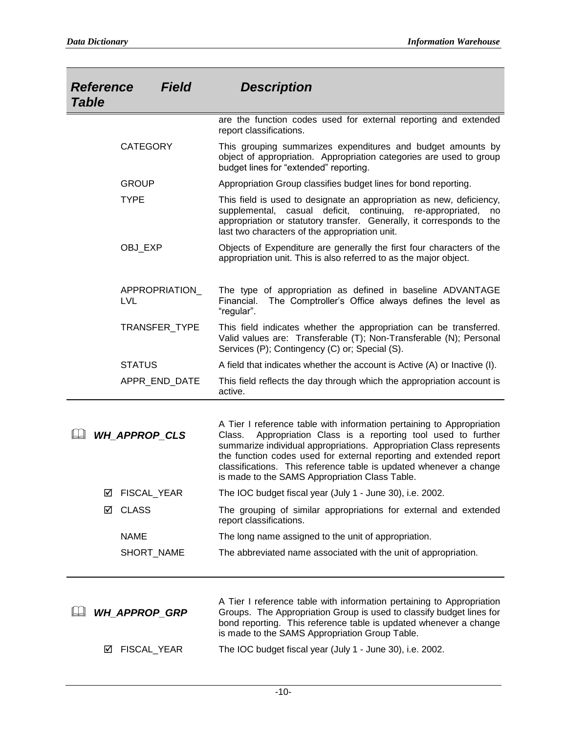| <b>Field</b><br><b>Reference</b><br><b>Table</b> |   |                             | <b>Description</b>                                                                                                                                                                                                                                                                                                                                                                                              |
|--------------------------------------------------|---|-----------------------------|-----------------------------------------------------------------------------------------------------------------------------------------------------------------------------------------------------------------------------------------------------------------------------------------------------------------------------------------------------------------------------------------------------------------|
|                                                  |   |                             | are the function codes used for external reporting and extended<br>report classifications.                                                                                                                                                                                                                                                                                                                      |
|                                                  |   | <b>CATEGORY</b>             | This grouping summarizes expenditures and budget amounts by<br>object of appropriation. Appropriation categories are used to group<br>budget lines for "extended" reporting.                                                                                                                                                                                                                                    |
|                                                  |   | <b>GROUP</b>                | Appropriation Group classifies budget lines for bond reporting.                                                                                                                                                                                                                                                                                                                                                 |
|                                                  |   | <b>TYPE</b>                 | This field is used to designate an appropriation as new, deficiency,<br>supplemental, casual deficit, continuing, re-appropriated,<br>no<br>appropriation or statutory transfer. Generally, it corresponds to the<br>last two characters of the appropriation unit.                                                                                                                                             |
|                                                  |   | OBJ_EXP                     | Objects of Expenditure are generally the first four characters of the<br>appropriation unit. This is also referred to as the major object.                                                                                                                                                                                                                                                                      |
|                                                  |   | APPROPRIATION<br><b>LVL</b> | The type of appropriation as defined in baseline ADVANTAGE<br>Financial.<br>The Comptroller's Office always defines the level as<br>"regular".                                                                                                                                                                                                                                                                  |
|                                                  |   | TRANSFER_TYPE               | This field indicates whether the appropriation can be transferred.<br>Valid values are: Transferable (T); Non-Transferable (N); Personal<br>Services (P); Contingency (C) or; Special (S).                                                                                                                                                                                                                      |
|                                                  |   | <b>STATUS</b>               | A field that indicates whether the account is Active (A) or Inactive (I).                                                                                                                                                                                                                                                                                                                                       |
|                                                  |   | APPR_END_DATE               | This field reflects the day through which the appropriation account is<br>active.                                                                                                                                                                                                                                                                                                                               |
|                                                  |   | <b>WH APPROP CLS</b>        | A Tier I reference table with information pertaining to Appropriation<br>Appropriation Class is a reporting tool used to further<br>Class.<br>summarize individual appropriations. Appropriation Class represents<br>the function codes used for external reporting and extended report<br>classifications. This reference table is updated whenever a change<br>is made to the SAMS Appropriation Class Table. |
|                                                  | ☑ | FISCAL_YEAR                 | The IOC budget fiscal year (July 1 - June 30), i.e. 2002.                                                                                                                                                                                                                                                                                                                                                       |
|                                                  | ☑ | <b>CLASS</b>                | The grouping of similar appropriations for external and extended<br>report classifications.                                                                                                                                                                                                                                                                                                                     |
|                                                  |   | <b>NAME</b>                 | The long name assigned to the unit of appropriation.                                                                                                                                                                                                                                                                                                                                                            |
|                                                  |   | SHORT_NAME                  | The abbreviated name associated with the unit of appropriation.                                                                                                                                                                                                                                                                                                                                                 |
|                                                  |   | <b>WH_APPROP_GRP</b>        | A Tier I reference table with information pertaining to Appropriation<br>Groups. The Appropriation Group is used to classify budget lines for<br>bond reporting. This reference table is updated whenever a change<br>is made to the SAMS Appropriation Group Table.                                                                                                                                            |
|                                                  | ☑ | FISCAL_YEAR                 | The IOC budget fiscal year (July 1 - June 30), i.e. 2002.                                                                                                                                                                                                                                                                                                                                                       |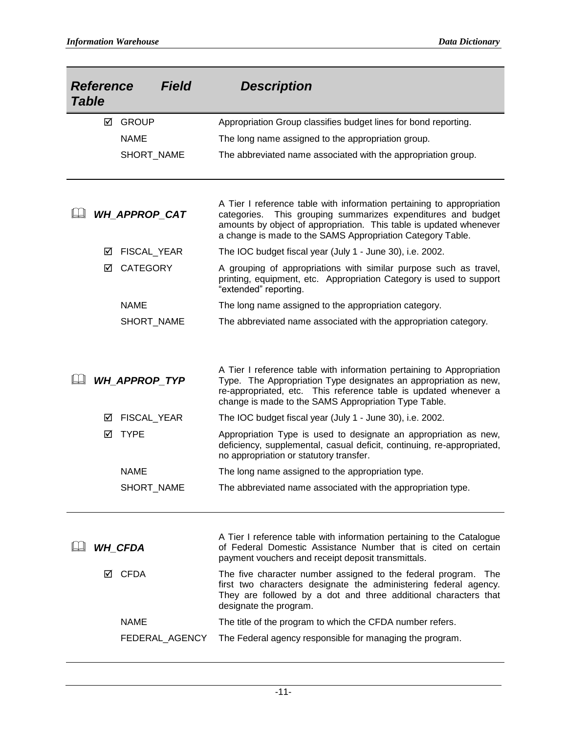| <b>Table</b> | <b>Reference</b> | <b>Field</b>         | <b>Description</b>                                                                                                                                                                                                                                                        |
|--------------|------------------|----------------------|---------------------------------------------------------------------------------------------------------------------------------------------------------------------------------------------------------------------------------------------------------------------------|
|              | ☑                | <b>GROUP</b>         | Appropriation Group classifies budget lines for bond reporting.                                                                                                                                                                                                           |
|              |                  | <b>NAME</b>          | The long name assigned to the appropriation group.                                                                                                                                                                                                                        |
|              |                  | SHORT_NAME           | The abbreviated name associated with the appropriation group.                                                                                                                                                                                                             |
|              |                  | WH APPROP CAT        | A Tier I reference table with information pertaining to appropriation<br>categories. This grouping summarizes expenditures and budget<br>amounts by object of appropriation. This table is updated whenever<br>a change is made to the SAMS Appropriation Category Table. |
|              | ☑                | FISCAL_YEAR          | The IOC budget fiscal year (July 1 - June 30), i.e. 2002.                                                                                                                                                                                                                 |
|              | ☑                | <b>CATEGORY</b>      | A grouping of appropriations with similar purpose such as travel,<br>printing, equipment, etc. Appropriation Category is used to support<br>"extended" reporting.                                                                                                         |
|              |                  | <b>NAME</b>          | The long name assigned to the appropriation category.                                                                                                                                                                                                                     |
|              |                  | SHORT_NAME           | The abbreviated name associated with the appropriation category.                                                                                                                                                                                                          |
|              |                  | <b>WH_APPROP_TYP</b> | A Tier I reference table with information pertaining to Appropriation<br>Type. The Appropriation Type designates an appropriation as new,<br>re-appropriated, etc. This reference table is updated whenever a<br>change is made to the SAMS Appropriation Type Table.     |
|              | ☑                | FISCAL_YEAR          | The IOC budget fiscal year (July 1 - June 30), i.e. 2002.                                                                                                                                                                                                                 |
|              | ☑                | <b>TYPE</b>          | Appropriation Type is used to designate an appropriation as new,<br>deficiency, supplemental, casual deficit, continuing, re-appropriated,<br>no appropriation or statutory transfer.                                                                                     |
|              |                  | <b>NAME</b>          | The long name assigned to the appropriation type.                                                                                                                                                                                                                         |
|              |                  | SHORT_NAME           | The abbreviated name associated with the appropriation type.                                                                                                                                                                                                              |
|              |                  | <b>WH_CFDA</b>       | A Tier I reference table with information pertaining to the Catalogue<br>of Federal Domestic Assistance Number that is cited on certain<br>payment vouchers and receipt deposit transmittals.                                                                             |
|              | ⋈                | <b>CFDA</b>          | The five character number assigned to the federal program.<br>⊤he<br>first two characters designate the administering federal agency.<br>They are followed by a dot and three additional characters that<br>designate the program.                                        |
|              |                  | <b>NAME</b>          | The title of the program to which the CFDA number refers.                                                                                                                                                                                                                 |
|              |                  | FEDERAL_AGENCY       | The Federal agency responsible for managing the program.                                                                                                                                                                                                                  |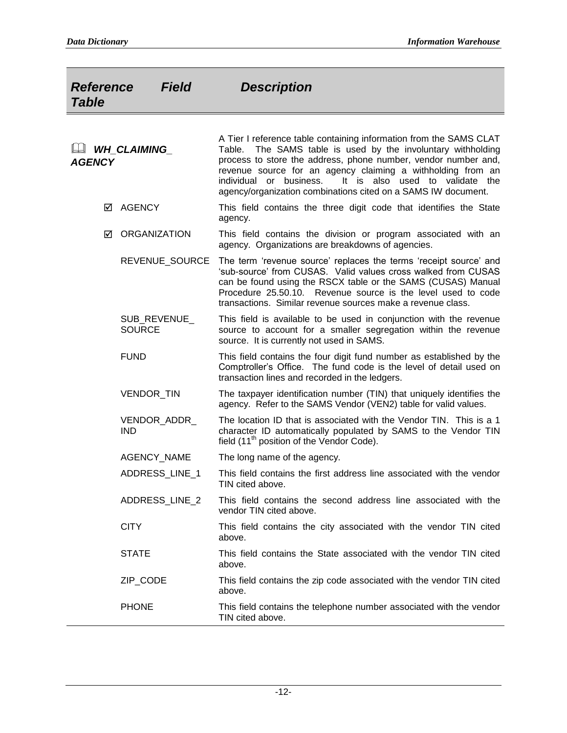| <b>Field</b><br><b>Reference</b><br><b>Table</b> | <b>Description</b>                                                                                                                                                                                                                                                                                                                                                                                    |
|--------------------------------------------------|-------------------------------------------------------------------------------------------------------------------------------------------------------------------------------------------------------------------------------------------------------------------------------------------------------------------------------------------------------------------------------------------------------|
| <b>WH_CLAIMING_</b><br><b>AGENCY</b>             | A Tier I reference table containing information from the SAMS CLAT<br>The SAMS table is used by the involuntary withholding<br>Table.<br>process to store the address, phone number, vendor number and,<br>revenue source for an agency claiming a withholding from an<br>It is also used to validate the<br>individual or business.<br>agency/organization combinations cited on a SAMS IW document. |
| AGENCY<br>☑                                      | This field contains the three digit code that identifies the State<br>agency.                                                                                                                                                                                                                                                                                                                         |
| <b>ORGANIZATION</b><br>☑                         | This field contains the division or program associated with an<br>agency. Organizations are breakdowns of agencies.                                                                                                                                                                                                                                                                                   |
| REVENUE_SOURCE                                   | The term 'revenue source' replaces the terms 'receipt source' and<br>'sub-source' from CUSAS. Valid values cross walked from CUSAS<br>can be found using the RSCX table or the SAMS (CUSAS) Manual<br>Procedure 25.50.10. Revenue source is the level used to code<br>transactions. Similar revenue sources make a revenue class.                                                                     |
| SUB_REVENUE_<br><b>SOURCE</b>                    | This field is available to be used in conjunction with the revenue<br>source to account for a smaller segregation within the revenue<br>source. It is currently not used in SAMS.                                                                                                                                                                                                                     |
| <b>FUND</b>                                      | This field contains the four digit fund number as established by the<br>Comptroller's Office. The fund code is the level of detail used on<br>transaction lines and recorded in the ledgers.                                                                                                                                                                                                          |
| VENDOR_TIN                                       | The taxpayer identification number (TIN) that uniquely identifies the<br>agency. Refer to the SAMS Vendor (VEN2) table for valid values.                                                                                                                                                                                                                                                              |
| VENDOR_ADDR_<br><b>IND</b>                       | The location ID that is associated with the Vendor TIN. This is a 1<br>character ID automatically populated by SAMS to the Vendor TIN<br>field (11 <sup>th</sup> position of the Vendor Code).                                                                                                                                                                                                        |
| AGENCY_NAME                                      | The long name of the agency.                                                                                                                                                                                                                                                                                                                                                                          |
| ADDRESS_LINE_1                                   | This field contains the first address line associated with the vendor<br>TIN cited above.                                                                                                                                                                                                                                                                                                             |
| ADDRESS_LINE_2                                   | This field contains the second address line associated with the<br>vendor TIN cited above.                                                                                                                                                                                                                                                                                                            |
| <b>CITY</b>                                      | This field contains the city associated with the vendor TIN cited<br>above.                                                                                                                                                                                                                                                                                                                           |
| <b>STATE</b>                                     | This field contains the State associated with the vendor TIN cited<br>above.                                                                                                                                                                                                                                                                                                                          |
| ZIP CODE                                         | This field contains the zip code associated with the vendor TIN cited<br>above.                                                                                                                                                                                                                                                                                                                       |
| <b>PHONE</b>                                     | This field contains the telephone number associated with the vendor<br>TIN cited above.                                                                                                                                                                                                                                                                                                               |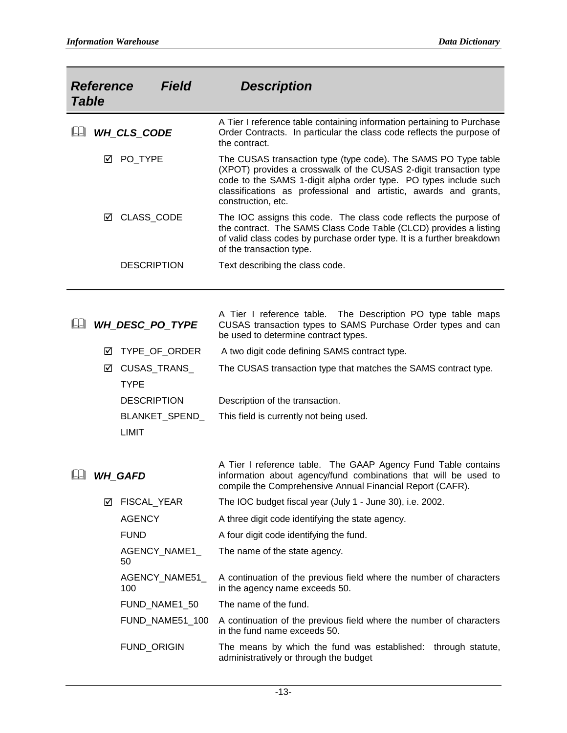| <b>Table</b> | <b>Reference</b> | Field                          | <b>Description</b>                                                                                                                                                                                                                                                                                |
|--------------|------------------|--------------------------------|---------------------------------------------------------------------------------------------------------------------------------------------------------------------------------------------------------------------------------------------------------------------------------------------------|
|              |                  | WH_CLS_CODE                    | A Tier I reference table containing information pertaining to Purchase<br>Order Contracts. In particular the class code reflects the purpose of<br>the contract.                                                                                                                                  |
|              | ☑                | PO_TYPE                        | The CUSAS transaction type (type code). The SAMS PO Type table<br>(XPOT) provides a crosswalk of the CUSAS 2-digit transaction type<br>code to the SAMS 1-digit alpha order type. PO types include such<br>classifications as professional and artistic, awards and grants,<br>construction, etc. |
|              | ☑                | CLASS_CODE                     | The IOC assigns this code. The class code reflects the purpose of<br>the contract. The SAMS Class Code Table (CLCD) provides a listing<br>of valid class codes by purchase order type. It is a further breakdown<br>of the transaction type.                                                      |
|              |                  | <b>DESCRIPTION</b>             | Text describing the class code.                                                                                                                                                                                                                                                                   |
|              |                  | WH_DESC_PO_TYPE                | A Tier I reference table. The Description PO type table maps<br>CUSAS transaction types to SAMS Purchase Order types and can<br>be used to determine contract types.                                                                                                                              |
|              | ☑                | TYPE_OF_ORDER                  | A two digit code defining SAMS contract type.                                                                                                                                                                                                                                                     |
|              | ☑                | CUSAS_TRANS_<br><b>TYPE</b>    | The CUSAS transaction type that matches the SAMS contract type.                                                                                                                                                                                                                                   |
|              |                  | <b>DESCRIPTION</b>             | Description of the transaction.                                                                                                                                                                                                                                                                   |
|              |                  | BLANKET_SPEND_<br><b>LIMIT</b> | This field is currently not being used.                                                                                                                                                                                                                                                           |
|              |                  | <b>WH GAFD</b>                 | A Tier I reference table. The GAAP Agency Fund Table contains<br>information about agency/fund combinations that will be used to<br>compile the Comprehensive Annual Financial Report (CAFR).                                                                                                     |
|              | ⊻                | FISCAL_YEAR                    | The IOC budget fiscal year (July 1 - June 30), i.e. 2002.                                                                                                                                                                                                                                         |
|              |                  | <b>AGENCY</b>                  | A three digit code identifying the state agency.                                                                                                                                                                                                                                                  |
|              |                  | <b>FUND</b>                    | A four digit code identifying the fund.                                                                                                                                                                                                                                                           |
|              |                  | AGENCY_NAME1_<br>50            | The name of the state agency.                                                                                                                                                                                                                                                                     |
|              |                  | AGENCY_NAME51_<br>100          | A continuation of the previous field where the number of characters<br>in the agency name exceeds 50.                                                                                                                                                                                             |
|              |                  | FUND_NAME1_50                  | The name of the fund.                                                                                                                                                                                                                                                                             |
|              |                  | FUND_NAME51_100                | A continuation of the previous field where the number of characters<br>in the fund name exceeds 50.                                                                                                                                                                                               |
|              |                  | FUND_ORIGIN                    | The means by which the fund was established: through statute,<br>administratively or through the budget                                                                                                                                                                                           |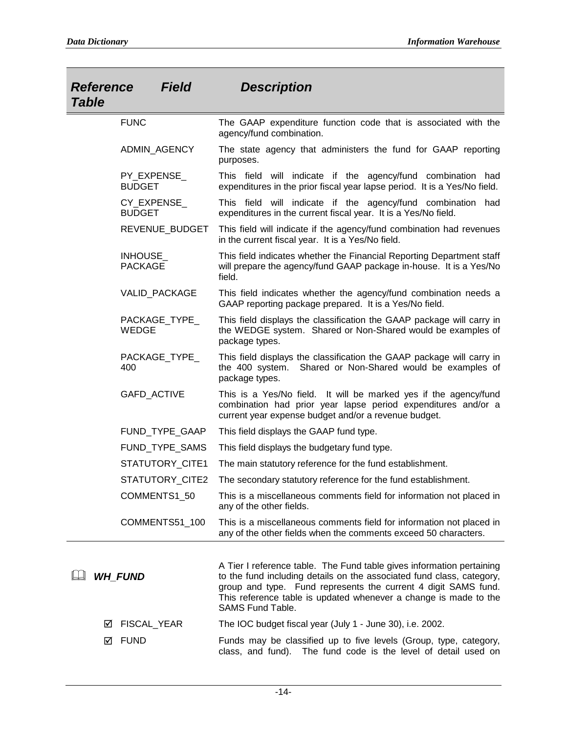| <b>Reference</b><br><b>Table</b> | <b>Field</b>                  | <b>Description</b>                                                                                                                                                                                                                                                                                       |
|----------------------------------|-------------------------------|----------------------------------------------------------------------------------------------------------------------------------------------------------------------------------------------------------------------------------------------------------------------------------------------------------|
|                                  | <b>FUNC</b>                   | The GAAP expenditure function code that is associated with the<br>agency/fund combination.                                                                                                                                                                                                               |
|                                  | ADMIN_AGENCY                  | The state agency that administers the fund for GAAP reporting<br>purposes.                                                                                                                                                                                                                               |
|                                  | PY_EXPENSE_<br><b>BUDGET</b>  | This field will indicate if the agency/fund combination had<br>expenditures in the prior fiscal year lapse period. It is a Yes/No field.                                                                                                                                                                 |
|                                  | CY_EXPENSE_<br><b>BUDGET</b>  | This field will indicate if the agency/fund combination had<br>expenditures in the current fiscal year. It is a Yes/No field.                                                                                                                                                                            |
|                                  | REVENUE_BUDGET                | This field will indicate if the agency/fund combination had revenues<br>in the current fiscal year. It is a Yes/No field.                                                                                                                                                                                |
|                                  | INHOUSE_<br><b>PACKAGE</b>    | This field indicates whether the Financial Reporting Department staff<br>will prepare the agency/fund GAAP package in-house. It is a Yes/No<br>field.                                                                                                                                                    |
|                                  | VALID_PACKAGE                 | This field indicates whether the agency/fund combination needs a<br>GAAP reporting package prepared. It is a Yes/No field.                                                                                                                                                                               |
|                                  | PACKAGE_TYPE_<br><b>WEDGE</b> | This field displays the classification the GAAP package will carry in<br>the WEDGE system. Shared or Non-Shared would be examples of<br>package types.                                                                                                                                                   |
|                                  | PACKAGE_TYPE_<br>400          | This field displays the classification the GAAP package will carry in<br>the 400 system. Shared or Non-Shared would be examples of<br>package types.                                                                                                                                                     |
|                                  | GAFD_ACTIVE                   | This is a Yes/No field. It will be marked yes if the agency/fund<br>combination had prior year lapse period expenditures and/or a<br>current year expense budget and/or a revenue budget.                                                                                                                |
|                                  | FUND_TYPE_GAAP                | This field displays the GAAP fund type.                                                                                                                                                                                                                                                                  |
|                                  | FUND_TYPE_SAMS                | This field displays the budgetary fund type.                                                                                                                                                                                                                                                             |
|                                  | STATUTORY_CITE1               | The main statutory reference for the fund establishment.                                                                                                                                                                                                                                                 |
|                                  | STATUTORY_CITE2               | The secondary statutory reference for the fund establishment.                                                                                                                                                                                                                                            |
|                                  | COMMENTS1_50                  | This is a miscellaneous comments field for information not placed in<br>any of the other fields.                                                                                                                                                                                                         |
|                                  | COMMENTS51_100                | This is a miscellaneous comments field for information not placed in<br>any of the other fields when the comments exceed 50 characters.                                                                                                                                                                  |
|                                  | <b>WH FUND</b>                | A Tier I reference table. The Fund table gives information pertaining<br>to the fund including details on the associated fund class, category,<br>group and type. Fund represents the current 4 digit SAMS fund.<br>This reference table is updated whenever a change is made to the<br>SAMS Fund Table. |
| ⋈                                | FISCAL_YEAR                   | The IOC budget fiscal year (July 1 - June 30), i.e. 2002.                                                                                                                                                                                                                                                |
| ☑                                | <b>FUND</b>                   | Funds may be classified up to five levels (Group, type, category,<br>class, and fund). The fund code is the level of detail used on                                                                                                                                                                      |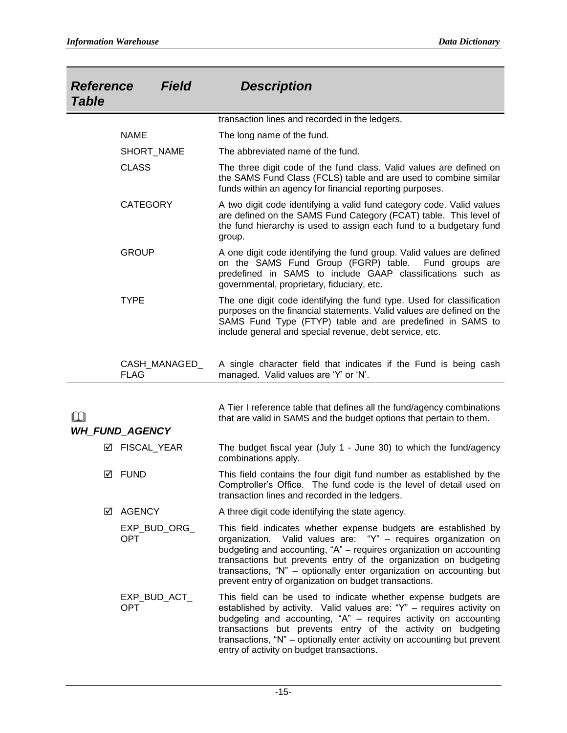| <b>Reference</b><br><b>Table</b> | <b>Field</b>                 | <b>Description</b>                                                                                                                                                                                                                                                                                                                                                                                           |
|----------------------------------|------------------------------|--------------------------------------------------------------------------------------------------------------------------------------------------------------------------------------------------------------------------------------------------------------------------------------------------------------------------------------------------------------------------------------------------------------|
|                                  |                              | transaction lines and recorded in the ledgers.                                                                                                                                                                                                                                                                                                                                                               |
|                                  | <b>NAME</b>                  | The long name of the fund.                                                                                                                                                                                                                                                                                                                                                                                   |
|                                  | SHORT_NAME                   | The abbreviated name of the fund.                                                                                                                                                                                                                                                                                                                                                                            |
|                                  | <b>CLASS</b>                 | The three digit code of the fund class. Valid values are defined on<br>the SAMS Fund Class (FCLS) table and are used to combine similar<br>funds within an agency for financial reporting purposes.                                                                                                                                                                                                          |
|                                  | <b>CATEGORY</b>              | A two digit code identifying a valid fund category code. Valid values<br>are defined on the SAMS Fund Category (FCAT) table. This level of<br>the fund hierarchy is used to assign each fund to a budgetary fund<br>group.                                                                                                                                                                                   |
|                                  | <b>GROUP</b>                 | A one digit code identifying the fund group. Valid values are defined<br>on the SAMS Fund Group (FGRP) table. Fund groups are<br>predefined in SAMS to include GAAP classifications such as<br>governmental, proprietary, fiduciary, etc.                                                                                                                                                                    |
|                                  | <b>TYPE</b>                  | The one digit code identifying the fund type. Used for classification<br>purposes on the financial statements. Valid values are defined on the<br>SAMS Fund Type (FTYP) table and are predefined in SAMS to<br>include general and special revenue, debt service, etc.                                                                                                                                       |
|                                  | CASH_MANAGED_<br><b>FLAG</b> | A single character field that indicates if the Fund is being cash<br>managed. Valid values are 'Y' or 'N'.                                                                                                                                                                                                                                                                                                   |
|                                  | <b>WH_FUND_AGENCY</b>        | A Tier I reference table that defines all the fund/agency combinations<br>that are valid in SAMS and the budget options that pertain to them.                                                                                                                                                                                                                                                                |
| М                                | FISCAL_YEAR                  | The budget fiscal year (July 1 - June 30) to which the fund/agency<br>combinations apply.                                                                                                                                                                                                                                                                                                                    |
| ⋈                                | FUND                         | This field contains the four digit fund number as established by the<br>Comptroller's Office. The fund code is the level of detail used on<br>transaction lines and recorded in the ledgers.                                                                                                                                                                                                                 |
| ☑                                | AGENCY                       | A three digit code identifying the state agency.                                                                                                                                                                                                                                                                                                                                                             |
|                                  | EXP_BUD_ORG_<br><b>OPT</b>   | This field indicates whether expense budgets are established by<br>organization. Valid values are: "Y" - requires organization on<br>budgeting and accounting, "A" - requires organization on accounting<br>transactions but prevents entry of the organization on budgeting<br>transactions, "N" - optionally enter organization on accounting but<br>prevent entry of organization on budget transactions. |
|                                  | EXP_BUD_ACT_<br><b>OPT</b>   | This field can be used to indicate whether expense budgets are<br>established by activity. Valid values are: "Y" - requires activity on<br>budgeting and accounting, "A" - requires activity on accounting<br>transactions but prevents entry of the activity on budgeting<br>transactions, "N" – optionally enter activity on accounting but prevent                                                        |

entry of activity on budget transactions.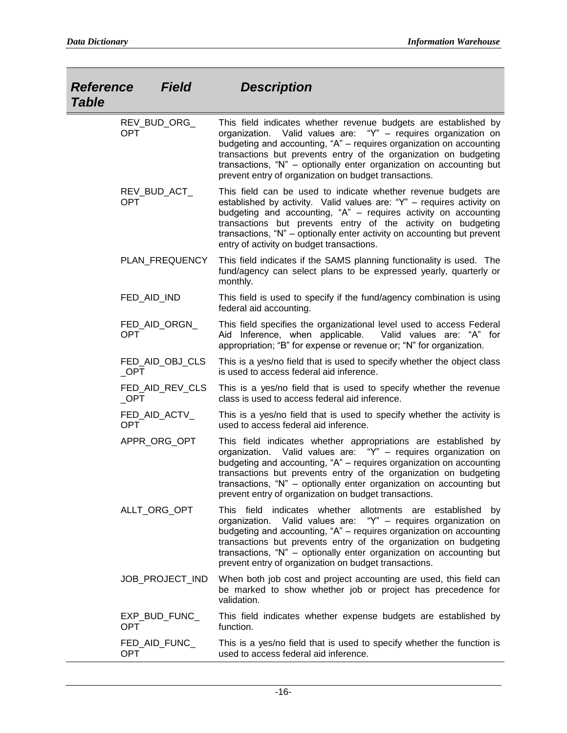| <b>Reference</b><br><b>Table</b> | <b>Field</b>    | <b>Description</b>                                                                                                                                                                                                                                                                                                                                                                                              |
|----------------------------------|-----------------|-----------------------------------------------------------------------------------------------------------------------------------------------------------------------------------------------------------------------------------------------------------------------------------------------------------------------------------------------------------------------------------------------------------------|
| <b>OPT</b>                       | REV_BUD_ORG_    | This field indicates whether revenue budgets are established by<br>Valid values are: "Y" - requires organization on<br>organization.<br>budgeting and accounting, "A" - requires organization on accounting<br>transactions but prevents entry of the organization on budgeting<br>transactions, "N" - optionally enter organization on accounting but<br>prevent entry of organization on budget transactions. |
| <b>OPT</b>                       | REV_BUD_ACT_    | This field can be used to indicate whether revenue budgets are<br>established by activity. Valid values are: "Y" - requires activity on<br>budgeting and accounting, "A" - requires activity on accounting<br>transactions but prevents entry of the activity on budgeting<br>transactions, "N" – optionally enter activity on accounting but prevent<br>entry of activity on budget transactions.              |
|                                  | PLAN_FREQUENCY  | This field indicates if the SAMS planning functionality is used. The<br>fund/agency can select plans to be expressed yearly, quarterly or<br>monthly.                                                                                                                                                                                                                                                           |
|                                  | FED_AID_IND     | This field is used to specify if the fund/agency combination is using<br>federal aid accounting.                                                                                                                                                                                                                                                                                                                |
| <b>OPT</b>                       | FED_AID_ORGN_   | This field specifies the organizational level used to access Federal<br>Aid Inference, when applicable.<br>Valid values are: "A" for<br>appropriation; "B" for expense or revenue or; "N" for organization.                                                                                                                                                                                                     |
| $\_$ OPT                         | FED_AID_OBJ_CLS | This is a yes/no field that is used to specify whether the object class<br>is used to access federal aid inference.                                                                                                                                                                                                                                                                                             |
| $\_$ OPT                         | FED_AID_REV_CLS | This is a yes/no field that is used to specify whether the revenue<br>class is used to access federal aid inference.                                                                                                                                                                                                                                                                                            |
| <b>OPT</b>                       | FED_AID_ACTV_   | This is a yes/no field that is used to specify whether the activity is<br>used to access federal aid inference.                                                                                                                                                                                                                                                                                                 |
|                                  | APPR_ORG_OPT    | This field indicates whether appropriations are established by<br>organization. Valid values are: "Y" - requires organization on<br>budgeting and accounting, "A" - requires organization on accounting<br>transactions but prevents entry of the organization on budgeting<br>transactions, "N" - optionally enter organization on accounting but<br>prevent entry of organization on budget transactions.     |
|                                  | ALLT_ORG_OPT    | This field indicates whether allotments are established<br>by<br>organization. Valid values are: "Y" - requires organization on<br>budgeting and accounting, "A" - requires organization on accounting<br>transactions but prevents entry of the organization on budgeting<br>transactions, "N" - optionally enter organization on accounting but<br>prevent entry of organization on budget transactions.      |
|                                  | JOB_PROJECT_IND | When both job cost and project accounting are used, this field can<br>be marked to show whether job or project has precedence for<br>validation.                                                                                                                                                                                                                                                                |
| <b>OPT</b>                       | EXP_BUD_FUNC_   | This field indicates whether expense budgets are established by<br>function.                                                                                                                                                                                                                                                                                                                                    |
| <b>OPT</b>                       | FED_AID_FUNC_   | This is a yes/no field that is used to specify whether the function is<br>used to access federal aid inference.                                                                                                                                                                                                                                                                                                 |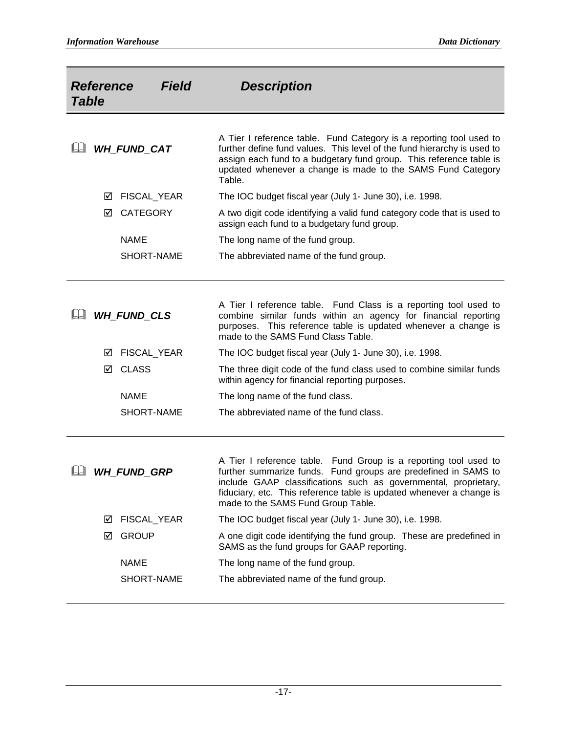| <b>Table</b> | <b>Reference</b> | <b>Field</b>       | <b>Description</b>                                                                                                                                                                                                                                                                                                  |
|--------------|------------------|--------------------|---------------------------------------------------------------------------------------------------------------------------------------------------------------------------------------------------------------------------------------------------------------------------------------------------------------------|
|              |                  | <b>WH FUND CAT</b> | A Tier I reference table. Fund Category is a reporting tool used to<br>further define fund values. This level of the fund hierarchy is used to<br>assign each fund to a budgetary fund group. This reference table is<br>updated whenever a change is made to the SAMS Fund Category<br>Table.                      |
|              | ⊻                | FISCAL_YEAR        | The IOC budget fiscal year (July 1- June 30), i.e. 1998.                                                                                                                                                                                                                                                            |
|              | ⊠                | <b>CATEGORY</b>    | A two digit code identifying a valid fund category code that is used to<br>assign each fund to a budgetary fund group.                                                                                                                                                                                              |
|              |                  | <b>NAME</b>        | The long name of the fund group.                                                                                                                                                                                                                                                                                    |
|              |                  | SHORT-NAME         | The abbreviated name of the fund group.                                                                                                                                                                                                                                                                             |
|              |                  | <b>WH FUND CLS</b> | A Tier I reference table. Fund Class is a reporting tool used to<br>combine similar funds within an agency for financial reporting<br>purposes. This reference table is updated whenever a change is<br>made to the SAMS Fund Class Table.                                                                          |
|              | ⊻                | FISCAL_YEAR        | The IOC budget fiscal year (July 1- June 30), i.e. 1998.                                                                                                                                                                                                                                                            |
|              | ☑                | <b>CLASS</b>       | The three digit code of the fund class used to combine similar funds<br>within agency for financial reporting purposes.                                                                                                                                                                                             |
|              |                  | <b>NAME</b>        | The long name of the fund class.                                                                                                                                                                                                                                                                                    |
|              |                  | SHORT-NAME         | The abbreviated name of the fund class.                                                                                                                                                                                                                                                                             |
|              |                  | <b>WH FUND GRP</b> | A Tier I reference table. Fund Group is a reporting tool used to<br>further summarize funds. Fund groups are predefined in SAMS to<br>include GAAP classifications such as governmental, proprietary,<br>fiduciary, etc. This reference table is updated whenever a change is<br>made to the SAMS Fund Group Table. |
|              | ⊻                | FISCAL_YEAR        | The IOC budget fiscal year (July 1- June 30), i.e. 1998.                                                                                                                                                                                                                                                            |
|              | ☑                | <b>GROUP</b>       | A one digit code identifying the fund group. These are predefined in<br>SAMS as the fund groups for GAAP reporting.                                                                                                                                                                                                 |
|              |                  | <b>NAME</b>        | The long name of the fund group.                                                                                                                                                                                                                                                                                    |
|              |                  | SHORT-NAME         | The abbreviated name of the fund group.                                                                                                                                                                                                                                                                             |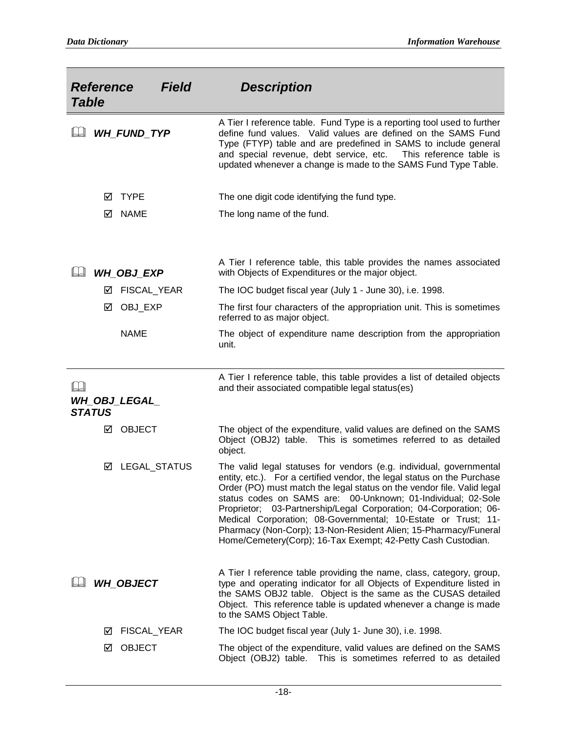| <b>Reference</b><br><b>Table</b> |   | <b>Field</b>         | <b>Description</b>                                                                                                                                                                                                                                                                                                                                                                                                                                                                                                                                                |
|----------------------------------|---|----------------------|-------------------------------------------------------------------------------------------------------------------------------------------------------------------------------------------------------------------------------------------------------------------------------------------------------------------------------------------------------------------------------------------------------------------------------------------------------------------------------------------------------------------------------------------------------------------|
| IJ                               |   | <b>WH FUND TYP</b>   | A Tier I reference table. Fund Type is a reporting tool used to further<br>define fund values. Valid values are defined on the SAMS Fund<br>Type (FTYP) table and are predefined in SAMS to include general<br>and special revenue, debt service, etc.<br>This reference table is<br>updated whenever a change is made to the SAMS Fund Type Table.                                                                                                                                                                                                               |
|                                  | ☑ | <b>TYPE</b>          | The one digit code identifying the fund type.                                                                                                                                                                                                                                                                                                                                                                                                                                                                                                                     |
|                                  | ☑ | <b>NAME</b>          | The long name of the fund.                                                                                                                                                                                                                                                                                                                                                                                                                                                                                                                                        |
|                                  |   | <b>WH_OBJ_EXP</b>    | A Tier I reference table, this table provides the names associated<br>with Objects of Expenditures or the major object.                                                                                                                                                                                                                                                                                                                                                                                                                                           |
|                                  | ⊻ | FISCAL_YEAR          | The IOC budget fiscal year (July 1 - June 30), i.e. 1998.                                                                                                                                                                                                                                                                                                                                                                                                                                                                                                         |
|                                  | ☑ | OBJ_EXP              | The first four characters of the appropriation unit. This is sometimes<br>referred to as major object.                                                                                                                                                                                                                                                                                                                                                                                                                                                            |
|                                  |   | <b>NAME</b>          | The object of expenditure name description from the appropriation<br>unit.                                                                                                                                                                                                                                                                                                                                                                                                                                                                                        |
| IJ                               |   | <b>WH_OBJ_LEGAL_</b> | A Tier I reference table, this table provides a list of detailed objects<br>and their associated compatible legal status(es)                                                                                                                                                                                                                                                                                                                                                                                                                                      |
| <b>STATUS</b>                    |   |                      |                                                                                                                                                                                                                                                                                                                                                                                                                                                                                                                                                                   |
|                                  | ☑ | <b>OBJECT</b>        | The object of the expenditure, valid values are defined on the SAMS<br>Object (OBJ2) table. This is sometimes referred to as detailed<br>object.                                                                                                                                                                                                                                                                                                                                                                                                                  |
|                                  | ☑ | LEGAL_STATUS         | The valid legal statuses for vendors (e.g. individual, governmental<br>entity, etc.). For a certified vendor, the legal status on the Purchase<br>Order (PO) must match the legal status on the vendor file. Valid legal<br>status codes on SAMS are: 00-Unknown; 01-Individual; 02-Sole<br>Proprietor; 03-Partnership/Legal Corporation; 04-Corporation; 06-<br>Medical Corporation; 08-Governmental; 10-Estate or Trust; 11-<br>Pharmacy (Non-Corp); 13-Non-Resident Alien; 15-Pharmacy/Funeral<br>Home/Cemetery(Corp); 16-Tax Exempt; 42-Petty Cash Custodian. |
|                                  |   | <b>WH_OBJECT</b>     | A Tier I reference table providing the name, class, category, group,<br>type and operating indicator for all Objects of Expenditure listed in<br>the SAMS OBJ2 table. Object is the same as the CUSAS detailed<br>Object. This reference table is updated whenever a change is made<br>to the SAMS Object Table.                                                                                                                                                                                                                                                  |
|                                  | ⊻ | FISCAL_YEAR          | The IOC budget fiscal year (July 1- June 30), i.e. 1998.                                                                                                                                                                                                                                                                                                                                                                                                                                                                                                          |
|                                  | ⊻ | <b>OBJECT</b>        | The object of the expenditure, valid values are defined on the SAMS<br>Object (OBJ2) table. This is sometimes referred to as detailed                                                                                                                                                                                                                                                                                                                                                                                                                             |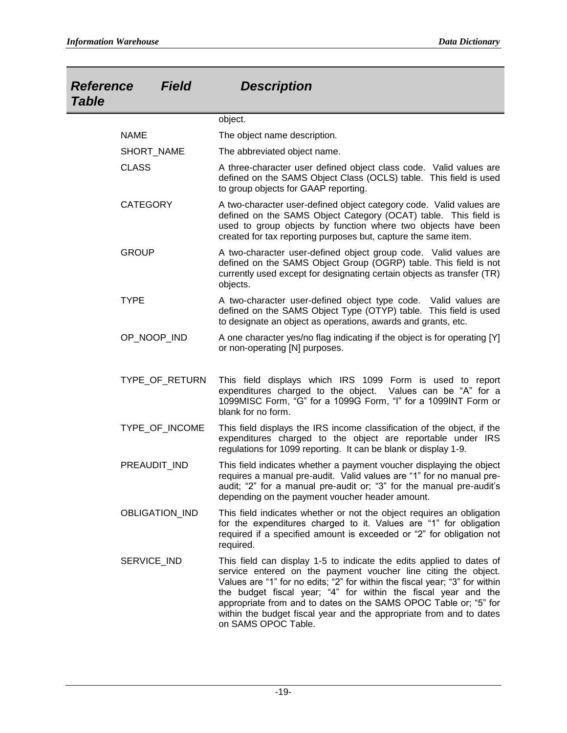| <b>Reference</b><br><b>Table</b> | <b>Field</b> | <b>Description</b>                                                                                                                                                                                                                                                                                                                                                                                                                                        |
|----------------------------------|--------------|-----------------------------------------------------------------------------------------------------------------------------------------------------------------------------------------------------------------------------------------------------------------------------------------------------------------------------------------------------------------------------------------------------------------------------------------------------------|
|                                  |              | object.                                                                                                                                                                                                                                                                                                                                                                                                                                                   |
| <b>NAME</b>                      |              | The object name description.                                                                                                                                                                                                                                                                                                                                                                                                                              |
| SHORT_NAME                       |              | The abbreviated object name.                                                                                                                                                                                                                                                                                                                                                                                                                              |
| <b>CLASS</b>                     |              | A three-character user defined object class code. Valid values are<br>defined on the SAMS Object Class (OCLS) table. This field is used<br>to group objects for GAAP reporting.                                                                                                                                                                                                                                                                           |
| <b>CATEGORY</b>                  |              | A two-character user-defined object category code. Valid values are<br>defined on the SAMS Object Category (OCAT) table. This field is<br>used to group objects by function where two objects have been<br>created for tax reporting purposes but, capture the same item.                                                                                                                                                                                 |
| <b>GROUP</b>                     |              | A two-character user-defined object group code. Valid values are<br>defined on the SAMS Object Group (OGRP) table. This field is not<br>currently used except for designating certain objects as transfer (TR)<br>objects.                                                                                                                                                                                                                                |
| <b>TYPE</b>                      |              | A two-character user-defined object type code. Valid values are<br>defined on the SAMS Object Type (OTYP) table. This field is used<br>to designate an object as operations, awards and grants, etc.                                                                                                                                                                                                                                                      |
| OP NOOP IND                      |              | A one character yes/no flag indicating if the object is for operating [Y]<br>or non-operating [N] purposes.                                                                                                                                                                                                                                                                                                                                               |
| TYPE_OF_RETURN                   |              | This field displays which IRS 1099 Form is used to report<br>expenditures charged to the object. Values can be "A" for a<br>1099MISC Form, "G" for a 1099G Form, "I" for a 1099INT Form or<br>blank for no form.                                                                                                                                                                                                                                          |
| TYPE_OF_INCOME                   |              | This field displays the IRS income classification of the object, if the<br>expenditures charged to the object are reportable under IRS<br>regulations for 1099 reporting. It can be blank or display 1-9.                                                                                                                                                                                                                                                 |
| PREAUDIT_IND                     |              | This field indicates whether a payment voucher displaying the object<br>requires a manual pre-audit. Valid values are "1" for no manual pre-<br>audit; "2" for a manual pre-audit or; "3" for the manual pre-audit's<br>depending on the payment voucher header amount.                                                                                                                                                                                   |
| OBLIGATION_IND                   |              | This field indicates whether or not the object requires an obligation<br>for the expenditures charged to it. Values are "1" for obligation<br>required if a specified amount is exceeded or "2" for obligation not<br>required.                                                                                                                                                                                                                           |
| SERVICE_IND                      |              | This field can display 1-5 to indicate the edits applied to dates of<br>service entered on the payment voucher line citing the object.<br>Values are "1" for no edits; "2" for within the fiscal year; "3" for within<br>the budget fiscal year; "4" for within the fiscal year and the<br>appropriate from and to dates on the SAMS OPOC Table or; "5" for<br>within the budget fiscal year and the appropriate from and to dates<br>on SAMS OPOC Table. |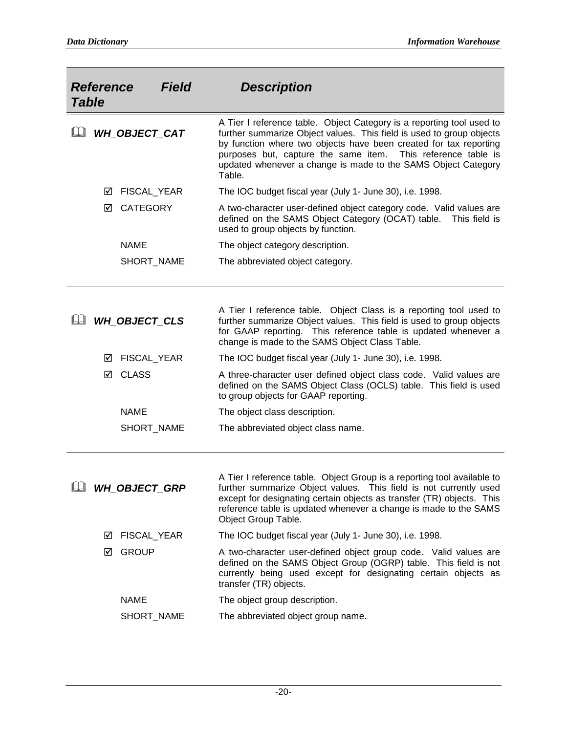| <b>Table</b> | <b>Reference</b> | <b>Field</b>            | <b>Description</b>                                                                                                                                                                                                                                                                                                                                            |
|--------------|------------------|-------------------------|---------------------------------------------------------------------------------------------------------------------------------------------------------------------------------------------------------------------------------------------------------------------------------------------------------------------------------------------------------------|
| LJ           |                  | <b>WH_OBJECT_CAT</b>    | A Tier I reference table. Object Category is a reporting tool used to<br>further summarize Object values. This field is used to group objects<br>by function where two objects have been created for tax reporting<br>purposes but, capture the same item. This reference table is<br>updated whenever a change is made to the SAMS Object Category<br>Table. |
|              | ⊻                | FISCAL_YEAR             | The IOC budget fiscal year (July 1- June 30), i.e. 1998.                                                                                                                                                                                                                                                                                                      |
|              | ☑                | <b>CATEGORY</b>         | A two-character user-defined object category code. Valid values are<br>defined on the SAMS Object Category (OCAT) table.<br>This field is<br>used to group objects by function.                                                                                                                                                                               |
|              |                  | <b>NAME</b>             | The object category description.                                                                                                                                                                                                                                                                                                                              |
|              |                  | SHORT_NAME              | The abbreviated object category.                                                                                                                                                                                                                                                                                                                              |
|              |                  |                         |                                                                                                                                                                                                                                                                                                                                                               |
|              |                  |                         |                                                                                                                                                                                                                                                                                                                                                               |
|              |                  | <b>WH OBJECT CLS</b>    | A Tier I reference table. Object Class is a reporting tool used to<br>further summarize Object values. This field is used to group objects<br>for GAAP reporting. This reference table is updated whenever a<br>change is made to the SAMS Object Class Table.                                                                                                |
|              | ⊻                | FISCAL_YEAR             | The IOC budget fiscal year (July 1- June 30), i.e. 1998.                                                                                                                                                                                                                                                                                                      |
|              | ☑                | <b>CLASS</b>            | A three-character user defined object class code. Valid values are<br>defined on the SAMS Object Class (OCLS) table. This field is used<br>to group objects for GAAP reporting.                                                                                                                                                                               |
|              |                  | <b>NAME</b>             | The object class description.                                                                                                                                                                                                                                                                                                                                 |
|              |                  | SHORT_NAME              | The abbreviated object class name.                                                                                                                                                                                                                                                                                                                            |
|              |                  |                         |                                                                                                                                                                                                                                                                                                                                                               |
|              |                  | <b>LU WH_OBJECT_GRP</b> | A Tier I reference table. Object Group is a reporting tool available to<br>further summarize Object values. This field is not currently used<br>except for designating certain objects as transfer (TR) objects. This<br>reference table is updated whenever a change is made to the SAMS<br>Object Group Table.                                              |
|              | ⊻                | FISCAL_YEAR             | The IOC budget fiscal year (July 1- June 30), i.e. 1998.                                                                                                                                                                                                                                                                                                      |
|              | ⊻                | <b>GROUP</b>            | A two-character user-defined object group code. Valid values are<br>defined on the SAMS Object Group (OGRP) table. This field is not<br>currently being used except for designating certain objects as<br>transfer (TR) objects.                                                                                                                              |
|              |                  | <b>NAME</b>             | The object group description.                                                                                                                                                                                                                                                                                                                                 |
|              |                  | SHORT_NAME              | The abbreviated object group name.                                                                                                                                                                                                                                                                                                                            |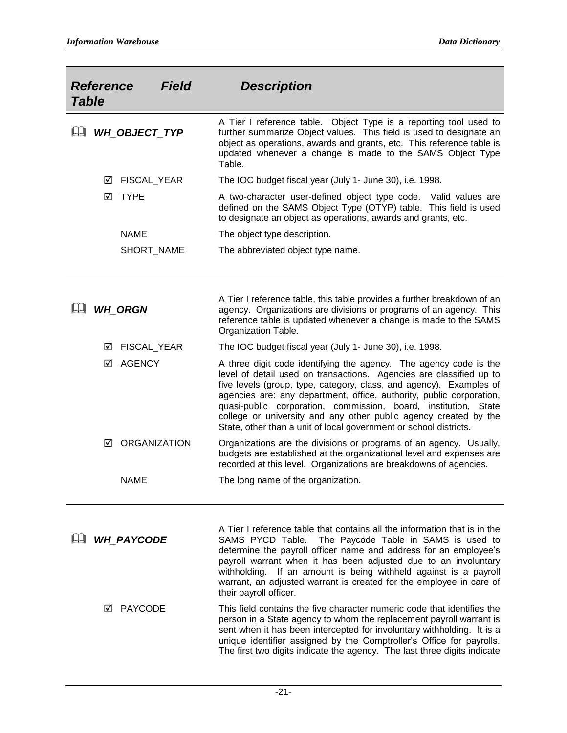| <b>Field</b><br><b>Reference</b><br><b>Table</b> |                          | <b>Description</b>                                                                                                                                                                                                                                                                                                                                                                                                                                                                                  |
|--------------------------------------------------|--------------------------|-----------------------------------------------------------------------------------------------------------------------------------------------------------------------------------------------------------------------------------------------------------------------------------------------------------------------------------------------------------------------------------------------------------------------------------------------------------------------------------------------------|
|                                                  | WH_OBJECT_TYP            | A Tier I reference table. Object Type is a reporting tool used to<br>further summarize Object values. This field is used to designate an<br>object as operations, awards and grants, etc. This reference table is<br>updated whenever a change is made to the SAMS Object Type<br>Table.                                                                                                                                                                                                            |
|                                                  | FISCAL_YEAR<br>⊻         | The IOC budget fiscal year (July 1- June 30), i.e. 1998.                                                                                                                                                                                                                                                                                                                                                                                                                                            |
|                                                  | <b>TYPE</b><br>⊠         | A two-character user-defined object type code. Valid values are<br>defined on the SAMS Object Type (OTYP) table. This field is used<br>to designate an object as operations, awards and grants, etc.                                                                                                                                                                                                                                                                                                |
|                                                  | <b>NAME</b>              | The object type description.                                                                                                                                                                                                                                                                                                                                                                                                                                                                        |
|                                                  | SHORT_NAME               | The abbreviated object type name.                                                                                                                                                                                                                                                                                                                                                                                                                                                                   |
|                                                  |                          |                                                                                                                                                                                                                                                                                                                                                                                                                                                                                                     |
|                                                  | <b>WH_ORGN</b>           | A Tier I reference table, this table provides a further breakdown of an<br>agency. Organizations are divisions or programs of an agency. This<br>reference table is updated whenever a change is made to the SAMS<br>Organization Table.                                                                                                                                                                                                                                                            |
|                                                  | FISCAL_YEAR<br>⊻         | The IOC budget fiscal year (July 1- June 30), i.e. 1998.                                                                                                                                                                                                                                                                                                                                                                                                                                            |
|                                                  | <b>AGENCY</b><br>☑       | A three digit code identifying the agency. The agency code is the<br>level of detail used on transactions. Agencies are classified up to<br>five levels (group, type, category, class, and agency). Examples of<br>agencies are: any department, office, authority, public corporation,<br>quasi-public corporation, commission, board, institution, State<br>college or university and any other public agency created by the<br>State, other than a unit of local government or school districts. |
|                                                  | <b>ORGANIZATION</b><br>☑ | Organizations are the divisions or programs of an agency. Usually,<br>budgets are established at the organizational level and expenses are<br>recorded at this level. Organizations are breakdowns of agencies.                                                                                                                                                                                                                                                                                     |
|                                                  | <b>NAME</b>              | The long name of the organization.                                                                                                                                                                                                                                                                                                                                                                                                                                                                  |
|                                                  | <b>WH PAYCODE</b>        | A Tier I reference table that contains all the information that is in the<br>SAMS PYCD Table. The Paycode Table in SAMS is used to<br>determine the payroll officer name and address for an employee's<br>payroll warrant when it has been adjusted due to an involuntary<br>withholding. If an amount is being withheld against is a payroll<br>warrant, an adjusted warrant is created for the employee in care of<br>their payroll officer.                                                      |
|                                                  | <b>PAYCODE</b><br>М      | This field contains the five character numeric code that identifies the<br>person in a State agency to whom the replacement payroll warrant is<br>sent when it has been intercepted for involuntary withholding. It is a<br>unique identifier assigned by the Comptroller's Office for payrolls.<br>The first two digits indicate the agency. The last three digits indicate                                                                                                                        |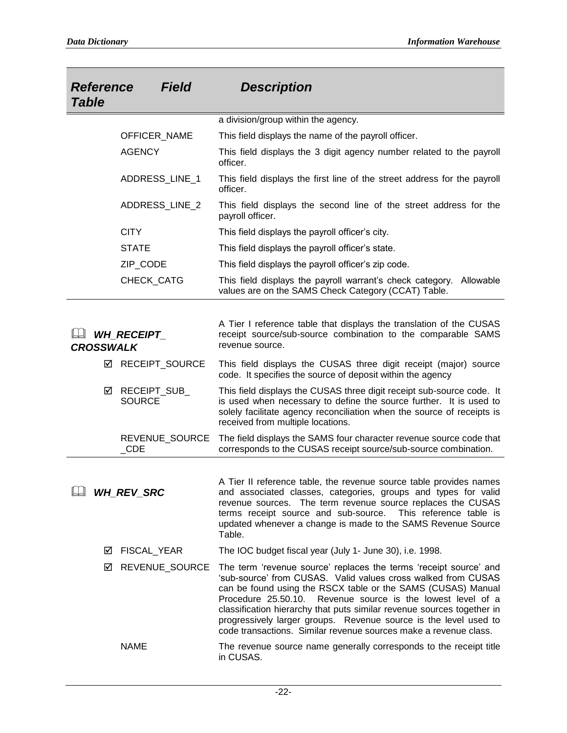| <b>Field</b><br><b>Reference</b><br><b>Table</b> |                               | <b>Description</b>                                                                                                                                                                                                                                                                                                                                                                                                                                                                  |
|--------------------------------------------------|-------------------------------|-------------------------------------------------------------------------------------------------------------------------------------------------------------------------------------------------------------------------------------------------------------------------------------------------------------------------------------------------------------------------------------------------------------------------------------------------------------------------------------|
|                                                  |                               | a division/group within the agency.                                                                                                                                                                                                                                                                                                                                                                                                                                                 |
|                                                  | OFFICER_NAME                  | This field displays the name of the payroll officer.                                                                                                                                                                                                                                                                                                                                                                                                                                |
|                                                  | <b>AGENCY</b>                 | This field displays the 3 digit agency number related to the payroll<br>officer.                                                                                                                                                                                                                                                                                                                                                                                                    |
|                                                  | ADDRESS_LINE_1                | This field displays the first line of the street address for the payroll<br>officer.                                                                                                                                                                                                                                                                                                                                                                                                |
|                                                  | ADDRESS_LINE_2                | This field displays the second line of the street address for the<br>payroll officer.                                                                                                                                                                                                                                                                                                                                                                                               |
|                                                  | <b>CITY</b>                   | This field displays the payroll officer's city.                                                                                                                                                                                                                                                                                                                                                                                                                                     |
|                                                  | <b>STATE</b>                  | This field displays the payroll officer's state.                                                                                                                                                                                                                                                                                                                                                                                                                                    |
|                                                  | ZIP_CODE                      | This field displays the payroll officer's zip code.                                                                                                                                                                                                                                                                                                                                                                                                                                 |
|                                                  | CHECK_CATG                    | This field displays the payroll warrant's check category.<br>Allowable<br>values are on the SAMS Check Category (CCAT) Table.                                                                                                                                                                                                                                                                                                                                                       |
| <b>WH RECEIPT</b><br><b>CROSSWALK</b>            |                               | A Tier I reference table that displays the translation of the CUSAS<br>receipt source/sub-source combination to the comparable SAMS<br>revenue source.                                                                                                                                                                                                                                                                                                                              |
| ☑                                                | RECEIPT_SOURCE                | This field displays the CUSAS three digit receipt (major) source<br>code. It specifies the source of deposit within the agency                                                                                                                                                                                                                                                                                                                                                      |
| ☑                                                | RECEIPT_SUB_<br><b>SOURCE</b> | This field displays the CUSAS three digit receipt sub-source code. It<br>is used when necessary to define the source further. It is used to<br>solely facilitate agency reconciliation when the source of receipts is<br>received from multiple locations.                                                                                                                                                                                                                          |
|                                                  | REVENUE SOURCE<br>$\_CDE$     | The field displays the SAMS four character revenue source code that<br>corresponds to the CUSAS receipt source/sub-source combination.                                                                                                                                                                                                                                                                                                                                              |
|                                                  | <b>WH_REV_SRC</b>             | A Tier II reference table, the revenue source table provides names<br>and associated classes, categories, groups and types for valid<br>revenue sources. The term revenue source replaces the CUSAS<br>terms receipt source and sub-source. This reference table is<br>updated whenever a change is made to the SAMS Revenue Source<br>Table.                                                                                                                                       |
| ⊻                                                | FISCAL_YEAR                   | The IOC budget fiscal year (July 1- June 30), i.e. 1998.                                                                                                                                                                                                                                                                                                                                                                                                                            |
| ☑                                                | REVENUE_SOURCE                | The term 'revenue source' replaces the terms 'receipt source' and<br>'sub-source' from CUSAS. Valid values cross walked from CUSAS<br>can be found using the RSCX table or the SAMS (CUSAS) Manual<br>Procedure 25.50.10. Revenue source is the lowest level of a<br>classification hierarchy that puts similar revenue sources together in<br>progressively larger groups. Revenue source is the level used to<br>code transactions. Similar revenue sources make a revenue class. |
|                                                  | <b>NAME</b>                   | The revenue source name generally corresponds to the receipt title<br>in CUSAS.                                                                                                                                                                                                                                                                                                                                                                                                     |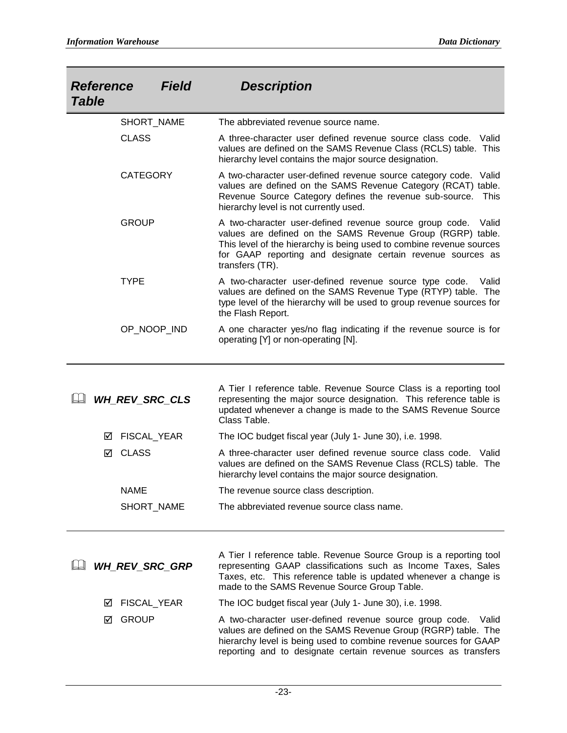| <b>Field</b><br><b>Reference</b><br><b>Table</b> | <b>Description</b>                                                                                                                                                                                                                                                                       |
|--------------------------------------------------|------------------------------------------------------------------------------------------------------------------------------------------------------------------------------------------------------------------------------------------------------------------------------------------|
| SHORT_NAME                                       | The abbreviated revenue source name.                                                                                                                                                                                                                                                     |
| <b>CLASS</b>                                     | A three-character user defined revenue source class code. Valid<br>values are defined on the SAMS Revenue Class (RCLS) table. This<br>hierarchy level contains the major source designation.                                                                                             |
| <b>CATEGORY</b>                                  | A two-character user-defined revenue source category code. Valid<br>values are defined on the SAMS Revenue Category (RCAT) table.<br>Revenue Source Category defines the revenue sub-source.<br>This<br>hierarchy level is not currently used.                                           |
| <b>GROUP</b>                                     | A two-character user-defined revenue source group code.<br>Valid<br>values are defined on the SAMS Revenue Group (RGRP) table.<br>This level of the hierarchy is being used to combine revenue sources<br>for GAAP reporting and designate certain revenue sources as<br>transfers (TR). |
| <b>TYPE</b>                                      | A two-character user-defined revenue source type code.<br>Valid<br>values are defined on the SAMS Revenue Type (RTYP) table. The<br>type level of the hierarchy will be used to group revenue sources for<br>the Flash Report.                                                           |
| OP_NOOP_IND                                      | A one character yes/no flag indicating if the revenue source is for<br>operating [Y] or non-operating [N].                                                                                                                                                                               |
| <b>WH_REV_SRC_CLS</b>                            | A Tier I reference table. Revenue Source Class is a reporting tool<br>representing the major source designation. This reference table is<br>updated whenever a change is made to the SAMS Revenue Source<br>Class Table.                                                                 |
| <b>FISCAL YEAR</b><br>☑                          | The IOC budget fiscal year (July 1- June 30), i.e. 1998.                                                                                                                                                                                                                                 |
| <b>CLASS</b><br>☑                                | A three-character user defined revenue source class code. Valid<br>values are defined on the SAMS Revenue Class (RCLS) table. The<br>hierarchy level contains the major source designation.                                                                                              |
| <b>NAME</b>                                      | The revenue source class description.                                                                                                                                                                                                                                                    |
| SHORT_NAME                                       | The abbreviated revenue source class name.                                                                                                                                                                                                                                               |
| <b>WH_REV_SRC_GRP</b>                            | A Tier I reference table. Revenue Source Group is a reporting tool<br>representing GAAP classifications such as Income Taxes, Sales<br>Taxes, etc. This reference table is updated whenever a change is<br>made to the SAMS Revenue Source Group Table.                                  |
| FISCAL_YEAR<br>⊻                                 | The IOC budget fiscal year (July 1- June 30), i.e. 1998.                                                                                                                                                                                                                                 |
| <b>GROUP</b><br>☑                                | A two-character user-defined revenue source group code.<br>Valid<br>values are defined on the SAMS Revenue Group (RGRP) table. The<br>hierarchy level is being used to combine revenue sources for GAAP<br>reporting and to designate certain revenue sources as transfers               |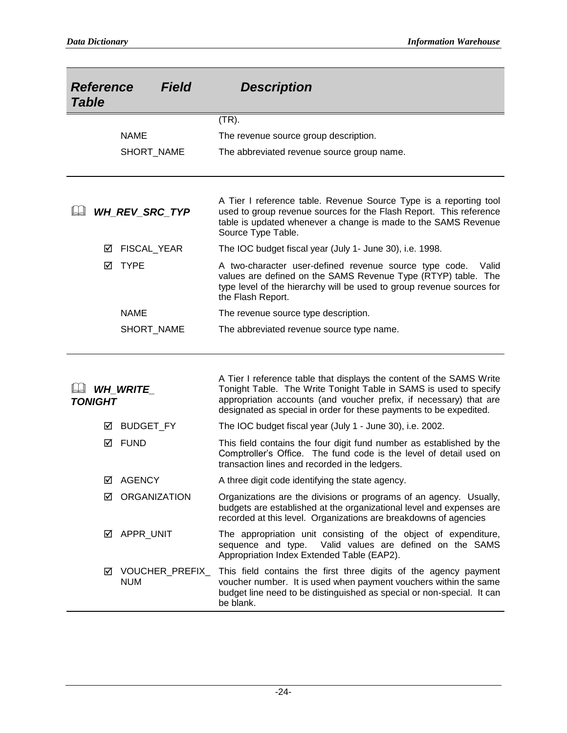| <b>Field</b><br><b>Reference</b><br><b>Table</b> |                               | <b>Description</b>                                                                                                                                                                                                                                                                    |
|--------------------------------------------------|-------------------------------|---------------------------------------------------------------------------------------------------------------------------------------------------------------------------------------------------------------------------------------------------------------------------------------|
|                                                  |                               | $(TR)$ .                                                                                                                                                                                                                                                                              |
|                                                  | <b>NAME</b>                   | The revenue source group description.                                                                                                                                                                                                                                                 |
|                                                  | SHORT_NAME                    | The abbreviated revenue source group name.                                                                                                                                                                                                                                            |
|                                                  | WH_REV_SRC_TYP                | A Tier I reference table. Revenue Source Type is a reporting tool<br>used to group revenue sources for the Flash Report. This reference<br>table is updated whenever a change is made to the SAMS Revenue<br>Source Type Table.                                                       |
| ⊻                                                | FISCAL_YEAR                   | The IOC budget fiscal year (July 1- June 30), i.e. 1998.                                                                                                                                                                                                                              |
| ⋈                                                | <b>TYPE</b>                   | A two-character user-defined revenue source type code.<br>Valid<br>values are defined on the SAMS Revenue Type (RTYP) table. The<br>type level of the hierarchy will be used to group revenue sources for<br>the Flash Report.                                                        |
|                                                  | <b>NAME</b>                   | The revenue source type description.                                                                                                                                                                                                                                                  |
|                                                  | SHORT_NAME                    | The abbreviated revenue source type name.                                                                                                                                                                                                                                             |
| <b>TONIGHT</b>                                   | <b>WH_WRITE_</b>              | A Tier I reference table that displays the content of the SAMS Write<br>Tonight Table. The Write Tonight Table in SAMS is used to specify<br>appropriation accounts (and voucher prefix, if necessary) that are<br>designated as special in order for these payments to be expedited. |
| ⋈                                                | <b>BUDGET_FY</b>              | The IOC budget fiscal year (July 1 - June 30), i.e. 2002.                                                                                                                                                                                                                             |
| ☑                                                | <b>FUND</b>                   | This field contains the four digit fund number as established by the<br>Comptroller's Office. The fund code is the level of detail used on<br>transaction lines and recorded in the ledgers.                                                                                          |
| ☑                                                | <b>AGENCY</b>                 | A three digit code identifying the state agency.                                                                                                                                                                                                                                      |
| М                                                | <b>ORGANIZATION</b>           | Organizations are the divisions or programs of an agency. Usually,<br>budgets are established at the organizational level and expenses are<br>recorded at this level. Organizations are breakdowns of agencies                                                                        |
| $\mathsf{M}$                                     | APPR_UNIT                     | The appropriation unit consisting of the object of expenditure,<br>Valid values are defined on the SAMS<br>sequence and type.<br>Appropriation Index Extended Table (EAP2).                                                                                                           |
| ☑                                                | VOUCHER_PREFIX_<br><b>NUM</b> | This field contains the first three digits of the agency payment<br>voucher number. It is used when payment vouchers within the same<br>budget line need to be distinguished as special or non-special. It can<br>be blank.                                                           |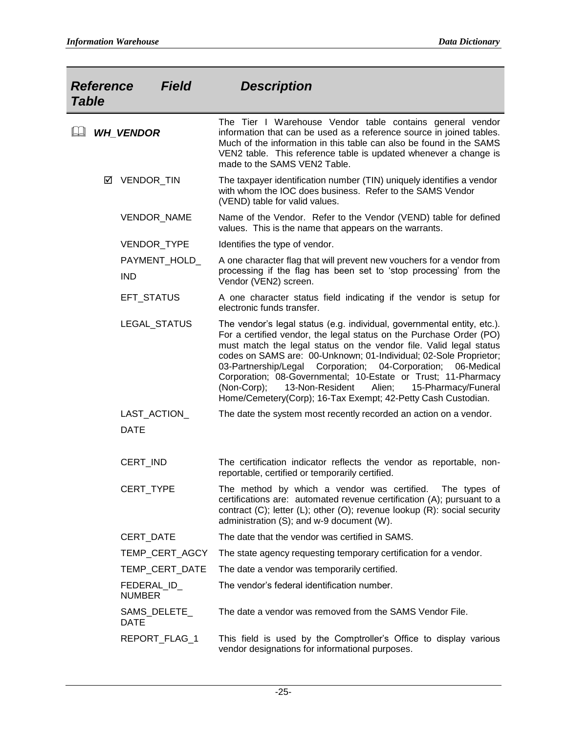| <b>Field</b><br><b>Reference</b><br><b>Table</b> | <b>Description</b>                                                                                                                                                                                                                                                                                                                                                                                                                                                                                                                                              |
|--------------------------------------------------|-----------------------------------------------------------------------------------------------------------------------------------------------------------------------------------------------------------------------------------------------------------------------------------------------------------------------------------------------------------------------------------------------------------------------------------------------------------------------------------------------------------------------------------------------------------------|
| <b>WH VENDOR</b>                                 | The Tier I Warehouse Vendor table contains general vendor<br>information that can be used as a reference source in joined tables.<br>Much of the information in this table can also be found in the SAMS<br>VEN2 table. This reference table is updated whenever a change is<br>made to the SAMS VEN2 Table.                                                                                                                                                                                                                                                    |
| VENDOR_TIN<br>☑                                  | The taxpayer identification number (TIN) uniquely identifies a vendor<br>with whom the IOC does business. Refer to the SAMS Vendor<br>(VEND) table for valid values.                                                                                                                                                                                                                                                                                                                                                                                            |
| VENDOR_NAME                                      | Name of the Vendor. Refer to the Vendor (VEND) table for defined<br>values. This is the name that appears on the warrants.                                                                                                                                                                                                                                                                                                                                                                                                                                      |
| VENDOR_TYPE                                      | Identifies the type of vendor.                                                                                                                                                                                                                                                                                                                                                                                                                                                                                                                                  |
| PAYMENT_HOLD_<br><b>IND</b>                      | A one character flag that will prevent new vouchers for a vendor from<br>processing if the flag has been set to 'stop processing' from the<br>Vendor (VEN2) screen.                                                                                                                                                                                                                                                                                                                                                                                             |
| <b>EFT STATUS</b>                                | A one character status field indicating if the vendor is setup for<br>electronic funds transfer.                                                                                                                                                                                                                                                                                                                                                                                                                                                                |
| LEGAL_STATUS                                     | The vendor's legal status (e.g. individual, governmental entity, etc.).<br>For a certified vendor, the legal status on the Purchase Order (PO)<br>must match the legal status on the vendor file. Valid legal status<br>codes on SAMS are: 00-Unknown; 01-Individual; 02-Sole Proprietor;<br>03-Partnership/Legal Corporation; 04-Corporation; 06-Medical<br>Corporation; 08-Governmental; 10-Estate or Trust; 11-Pharmacy<br>$(Non-Corp);$<br>13-Non-Resident<br>15-Pharmacy/Funeral<br>Alien;<br>Home/Cemetery(Corp); 16-Tax Exempt; 42-Petty Cash Custodian. |
| LAST_ACTION_<br><b>DATE</b>                      | The date the system most recently recorded an action on a vendor.                                                                                                                                                                                                                                                                                                                                                                                                                                                                                               |
| CERT_IND                                         | The certification indicator reflects the vendor as reportable, non-<br>reportable, certified or temporarily certified.                                                                                                                                                                                                                                                                                                                                                                                                                                          |
| CERT_TYPE                                        | The method by which a vendor was certified. The types of<br>certifications are: automated revenue certification (A); pursuant to a<br>contract $(C)$ ; letter $(L)$ ; other $(O)$ ; revenue lookup $(R)$ : social security<br>administration (S); and w-9 document (W).                                                                                                                                                                                                                                                                                         |
| CERT_DATE                                        | The date that the vendor was certified in SAMS.                                                                                                                                                                                                                                                                                                                                                                                                                                                                                                                 |
| TEMP_CERT_AGCY                                   | The state agency requesting temporary certification for a vendor.                                                                                                                                                                                                                                                                                                                                                                                                                                                                                               |
| TEMP_CERT_DATE                                   | The date a vendor was temporarily certified.                                                                                                                                                                                                                                                                                                                                                                                                                                                                                                                    |
| FEDERAL ID<br><b>NUMBER</b>                      | The vendor's federal identification number.                                                                                                                                                                                                                                                                                                                                                                                                                                                                                                                     |
| SAMS_DELETE_<br><b>DATE</b>                      | The date a vendor was removed from the SAMS Vendor File.                                                                                                                                                                                                                                                                                                                                                                                                                                                                                                        |
| REPORT_FLAG_1                                    | This field is used by the Comptroller's Office to display various<br>vendor designations for informational purposes.                                                                                                                                                                                                                                                                                                                                                                                                                                            |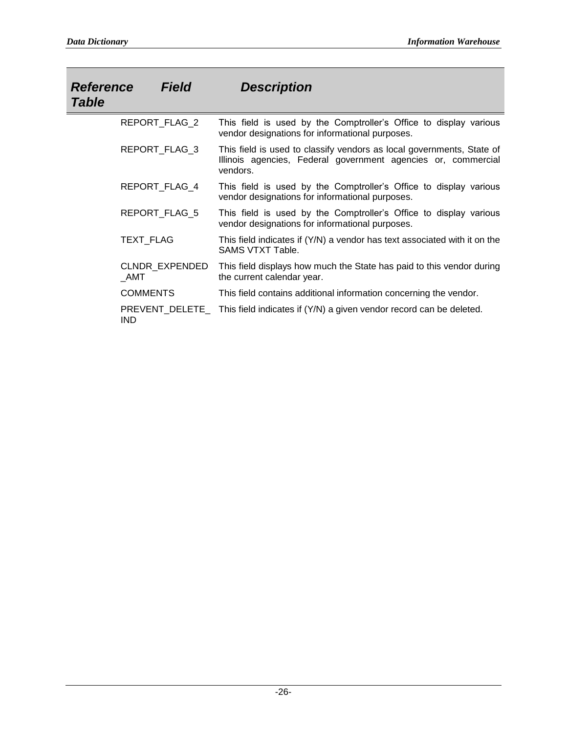| <i><b>Reference</b></i><br><b>Table</b> | <b>Field</b>         | <b>Description</b>                                                                                                                                 |
|-----------------------------------------|----------------------|----------------------------------------------------------------------------------------------------------------------------------------------------|
|                                         | REPORT_FLAG_2        | This field is used by the Comptroller's Office to display various<br>vendor designations for informational purposes.                               |
|                                         | <b>REPORT FLAG 3</b> | This field is used to classify vendors as local governments, State of<br>Illinois agencies, Federal government agencies or, commercial<br>vendors. |
|                                         | REPORT FLAG 4        | This field is used by the Comptroller's Office to display various<br>vendor designations for informational purposes.                               |
|                                         | REPORT_FLAG_5        | This field is used by the Comptroller's Office to display various<br>vendor designations for informational purposes.                               |
|                                         | TEXT_FLAG            | This field indicates if (Y/N) a vendor has text associated with it on the<br>SAMS VTXT Table.                                                      |
| AMT                                     | CLNDR EXPENDED       | This field displays how much the State has paid to this vendor during<br>the current calendar year.                                                |
|                                         | <b>COMMENTS</b>      | This field contains additional information concerning the vendor.                                                                                  |
| <b>IND</b>                              |                      | PREVENT_DELETE_ This field indicates if (Y/N) a given vendor record can be deleted.                                                                |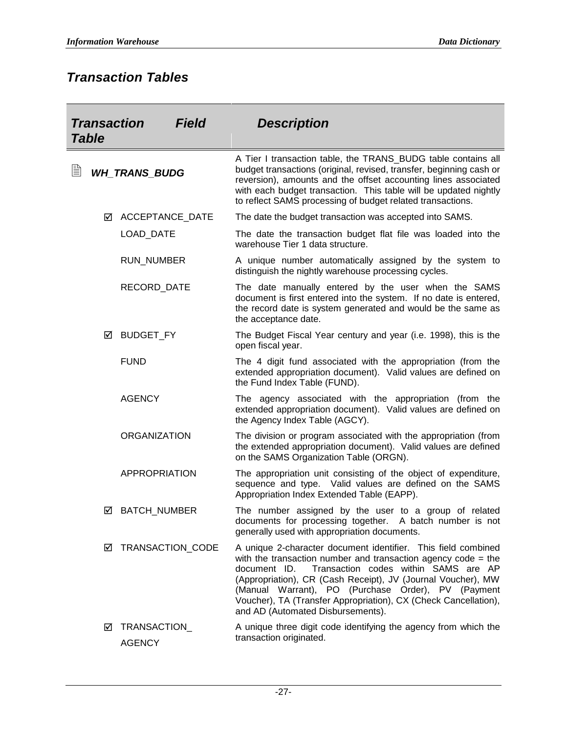## *Transaction Tables*

| <b>Transaction</b><br><b>Field</b><br><b>Table</b> |   |                               | <b>Description</b> |                                                                                                                                                                                                                                                                                                                                                                                                                      |
|----------------------------------------------------|---|-------------------------------|--------------------|----------------------------------------------------------------------------------------------------------------------------------------------------------------------------------------------------------------------------------------------------------------------------------------------------------------------------------------------------------------------------------------------------------------------|
| ▤                                                  |   | <b>WH_TRANS_BUDG</b>          |                    | A Tier I transaction table, the TRANS_BUDG table contains all<br>budget transactions (original, revised, transfer, beginning cash or<br>reversion), amounts and the offset accounting lines associated<br>with each budget transaction. This table will be updated nightly<br>to reflect SAMS processing of budget related transactions.                                                                             |
|                                                    | ☑ | <b>ACCEPTANCE DATE</b>        |                    | The date the budget transaction was accepted into SAMS.                                                                                                                                                                                                                                                                                                                                                              |
|                                                    |   | <b>LOAD DATE</b>              |                    | The date the transaction budget flat file was loaded into the<br>warehouse Tier 1 data structure.                                                                                                                                                                                                                                                                                                                    |
|                                                    |   | <b>RUN_NUMBER</b>             |                    | A unique number automatically assigned by the system to<br>distinguish the nightly warehouse processing cycles.                                                                                                                                                                                                                                                                                                      |
|                                                    |   | RECORD_DATE                   |                    | The date manually entered by the user when the SAMS<br>document is first entered into the system. If no date is entered,<br>the record date is system generated and would be the same as<br>the acceptance date.                                                                                                                                                                                                     |
|                                                    | ☑ | BUDGET_FY                     |                    | The Budget Fiscal Year century and year (i.e. 1998), this is the<br>open fiscal year.                                                                                                                                                                                                                                                                                                                                |
|                                                    |   | <b>FUND</b>                   |                    | The 4 digit fund associated with the appropriation (from the<br>extended appropriation document). Valid values are defined on<br>the Fund Index Table (FUND).                                                                                                                                                                                                                                                        |
|                                                    |   | <b>AGENCY</b>                 |                    | The agency associated with the appropriation (from the<br>extended appropriation document). Valid values are defined on<br>the Agency Index Table (AGCY).                                                                                                                                                                                                                                                            |
|                                                    |   | <b>ORGANIZATION</b>           |                    | The division or program associated with the appropriation (from<br>the extended appropriation document). Valid values are defined<br>on the SAMS Organization Table (ORGN).                                                                                                                                                                                                                                          |
|                                                    |   | <b>APPROPRIATION</b>          |                    | The appropriation unit consisting of the object of expenditure,<br>sequence and type. Valid values are defined on the SAMS<br>Appropriation Index Extended Table (EAPP).                                                                                                                                                                                                                                             |
|                                                    | ☑ | <b>BATCH_NUMBER</b>           |                    | The number assigned by the user to a group of related<br>documents for processing together. A batch number is not<br>generally used with appropriation documents.                                                                                                                                                                                                                                                    |
|                                                    | ⊻ | TRANSACTION_CODE              |                    | A unique 2-character document identifier. This field combined<br>with the transaction number and transaction agency code = the<br>Transaction codes within SAMS are AP<br>document ID.<br>(Appropriation), CR (Cash Receipt), JV (Journal Voucher), MW<br>(Manual Warrant), PO (Purchase Order), PV (Payment<br>Voucher), TA (Transfer Appropriation), CX (Check Cancellation),<br>and AD (Automated Disbursements). |
|                                                    | ☑ | TRANSACTION_<br><b>AGENCY</b> |                    | A unique three digit code identifying the agency from which the<br>transaction originated.                                                                                                                                                                                                                                                                                                                           |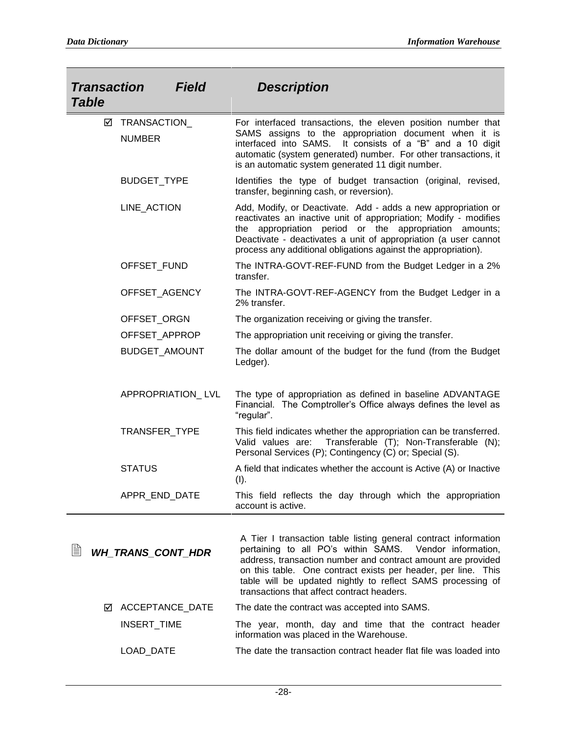| <b>Transaction</b><br><b>Table</b> | <b>Field</b>                  | <b>Description</b>                                                                                                                                                                                                                                                                                                                                                          |
|------------------------------------|-------------------------------|-----------------------------------------------------------------------------------------------------------------------------------------------------------------------------------------------------------------------------------------------------------------------------------------------------------------------------------------------------------------------------|
| ⊻                                  | TRANSACTION_<br><b>NUMBER</b> | For interfaced transactions, the eleven position number that<br>SAMS assigns to the appropriation document when it is<br>interfaced into SAMS.<br>It consists of a "B" and a 10 digit<br>automatic (system generated) number. For other transactions, it<br>is an automatic system generated 11 digit number.                                                               |
|                                    | BUDGET_TYPE                   | Identifies the type of budget transaction (original, revised,<br>transfer, beginning cash, or reversion).                                                                                                                                                                                                                                                                   |
|                                    | LINE_ACTION                   | Add, Modify, or Deactivate. Add - adds a new appropriation or<br>reactivates an inactive unit of appropriation; Modify - modifies<br>appropriation period or the appropriation amounts;<br>the<br>Deactivate - deactivates a unit of appropriation (a user cannot<br>process any additional obligations against the appropriation).                                         |
|                                    | OFFSET_FUND                   | The INTRA-GOVT-REF-FUND from the Budget Ledger in a 2%<br>transfer.                                                                                                                                                                                                                                                                                                         |
|                                    | OFFSET_AGENCY                 | The INTRA-GOVT-REF-AGENCY from the Budget Ledger in a<br>2% transfer.                                                                                                                                                                                                                                                                                                       |
|                                    | OFFSET_ORGN                   | The organization receiving or giving the transfer.                                                                                                                                                                                                                                                                                                                          |
|                                    | OFFSET_APPROP                 | The appropriation unit receiving or giving the transfer.                                                                                                                                                                                                                                                                                                                    |
|                                    | BUDGET_AMOUNT                 | The dollar amount of the budget for the fund (from the Budget<br>Ledger).                                                                                                                                                                                                                                                                                                   |
|                                    | APPROPRIATION_LVL             | The type of appropriation as defined in baseline ADVANTAGE<br>Financial. The Comptroller's Office always defines the level as<br>"regular".                                                                                                                                                                                                                                 |
|                                    | TRANSFER_TYPE                 | This field indicates whether the appropriation can be transferred.<br>Transferable (T); Non-Transferable (N);<br>Valid values are:<br>Personal Services (P); Contingency (C) or; Special (S).                                                                                                                                                                               |
|                                    | <b>STATUS</b>                 | A field that indicates whether the account is Active (A) or Inactive<br>(I).                                                                                                                                                                                                                                                                                                |
|                                    | APPR_END_DATE                 | This field reflects the day through which the appropriation<br>account is active.                                                                                                                                                                                                                                                                                           |
| 嘗                                  | <b>WH_TRANS_CONT_HDR</b>      | A Tier I transaction table listing general contract information<br>pertaining to all PO's within SAMS.<br>Vendor information,<br>address, transaction number and contract amount are provided<br>on this table. One contract exists per header, per line. This<br>table will be updated nightly to reflect SAMS processing of<br>transactions that affect contract headers. |
| М                                  | ACCEPTANCE_DATE               | The date the contract was accepted into SAMS.                                                                                                                                                                                                                                                                                                                               |

INSERT\_TIME The year, month, day and time that the contract header information was placed in the Warehouse.

LOAD\_DATE The date the transaction contract header flat file was loaded into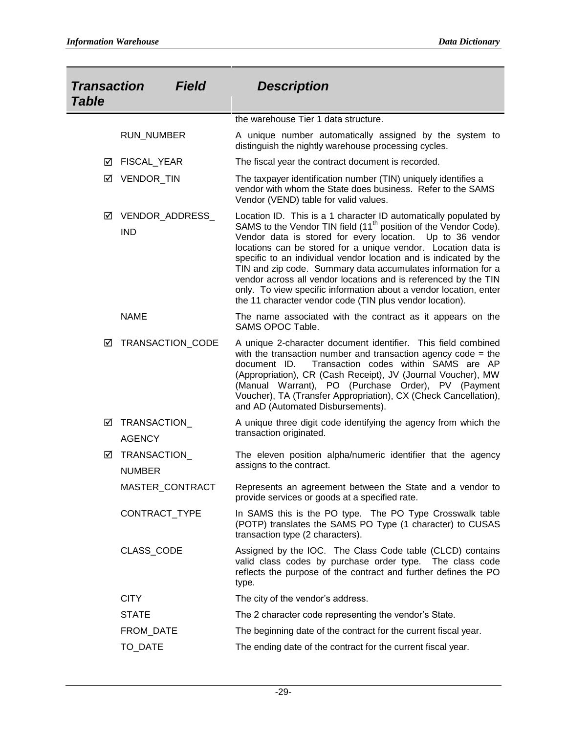| <b>Transaction</b><br><b>Field</b><br><b>Table</b> |                                     |                  | <b>Description</b>                                                                                                                                                                                                                                                                                                                                                                                                                                                                                                                                                                                                      |
|----------------------------------------------------|-------------------------------------|------------------|-------------------------------------------------------------------------------------------------------------------------------------------------------------------------------------------------------------------------------------------------------------------------------------------------------------------------------------------------------------------------------------------------------------------------------------------------------------------------------------------------------------------------------------------------------------------------------------------------------------------------|
|                                                    |                                     |                  | the warehouse Tier 1 data structure.                                                                                                                                                                                                                                                                                                                                                                                                                                                                                                                                                                                    |
|                                                    | <b>RUN NUMBER</b>                   |                  |                                                                                                                                                                                                                                                                                                                                                                                                                                                                                                                                                                                                                         |
|                                                    |                                     |                  | A unique number automatically assigned by the system to<br>distinguish the nightly warehouse processing cycles.                                                                                                                                                                                                                                                                                                                                                                                                                                                                                                         |
| ⊻                                                  | FISCAL_YEAR                         |                  | The fiscal year the contract document is recorded.                                                                                                                                                                                                                                                                                                                                                                                                                                                                                                                                                                      |
| ☑                                                  | VENDOR_TIN                          |                  | The taxpayer identification number (TIN) uniquely identifies a<br>vendor with whom the State does business. Refer to the SAMS<br>Vendor (VEND) table for valid values.                                                                                                                                                                                                                                                                                                                                                                                                                                                  |
| ☑                                                  | VENDOR_ADDRESS_<br><b>IND</b>       |                  | Location ID. This is a 1 character ID automatically populated by<br>SAMS to the Vendor TIN field (11 <sup>th</sup> position of the Vendor Code).<br>Vendor data is stored for every location. Up to 36 vendor<br>locations can be stored for a unique vendor. Location data is<br>specific to an individual vendor location and is indicated by the<br>TIN and zip code. Summary data accumulates information for a<br>vendor across all vendor locations and is referenced by the TIN<br>only. To view specific information about a vendor location, enter<br>the 11 character vendor code (TIN plus vendor location). |
|                                                    | <b>NAME</b>                         |                  | The name associated with the contract as it appears on the<br>SAMS OPOC Table.                                                                                                                                                                                                                                                                                                                                                                                                                                                                                                                                          |
| ☑                                                  |                                     | TRANSACTION_CODE | A unique 2-character document identifier. This field combined<br>with the transaction number and transaction agency code = the<br>Transaction codes within SAMS are AP<br>document ID.<br>(Appropriation), CR (Cash Receipt), JV (Journal Voucher), MW<br>(Manual Warrant), PO (Purchase Order), PV (Payment<br>Voucher), TA (Transfer Appropriation), CX (Check Cancellation),<br>and AD (Automated Disbursements).                                                                                                                                                                                                    |
| ☑                                                  | TRANSACTION<br><b>AGENCY</b>        |                  | A unique three digit code identifying the agency from which the<br>transaction originated.                                                                                                                                                                                                                                                                                                                                                                                                                                                                                                                              |
| ☑                                                  | <b>TRANSACTION</b><br><b>NUMBER</b> |                  | The eleven position alpha/numeric identifier that the agency<br>assigns to the contract.                                                                                                                                                                                                                                                                                                                                                                                                                                                                                                                                |
|                                                    |                                     | MASTER_CONTRACT  | Represents an agreement between the State and a vendor to<br>provide services or goods at a specified rate.                                                                                                                                                                                                                                                                                                                                                                                                                                                                                                             |
|                                                    | CONTRACT_TYPE                       |                  | In SAMS this is the PO type. The PO Type Crosswalk table<br>(POTP) translates the SAMS PO Type (1 character) to CUSAS<br>transaction type (2 characters).                                                                                                                                                                                                                                                                                                                                                                                                                                                               |
|                                                    | CLASS_CODE                          |                  | Assigned by the IOC. The Class Code table (CLCD) contains<br>valid class codes by purchase order type. The class code<br>reflects the purpose of the contract and further defines the PO<br>type.                                                                                                                                                                                                                                                                                                                                                                                                                       |
|                                                    | <b>CITY</b>                         |                  | The city of the vendor's address.                                                                                                                                                                                                                                                                                                                                                                                                                                                                                                                                                                                       |
|                                                    | <b>STATE</b>                        |                  | The 2 character code representing the vendor's State.                                                                                                                                                                                                                                                                                                                                                                                                                                                                                                                                                                   |
|                                                    | FROM_DATE                           |                  | The beginning date of the contract for the current fiscal year.                                                                                                                                                                                                                                                                                                                                                                                                                                                                                                                                                         |
|                                                    | TO_DATE                             |                  | The ending date of the contract for the current fiscal year.                                                                                                                                                                                                                                                                                                                                                                                                                                                                                                                                                            |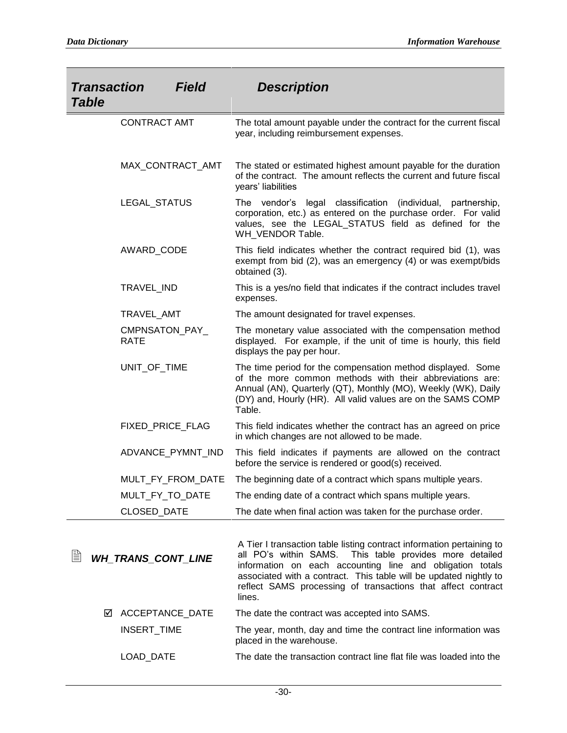| <b>Transaction</b><br><b>Table</b> | <b>Field</b>                  | <b>Description</b>                                                                                                                                                                                                                                                                                                                              |
|------------------------------------|-------------------------------|-------------------------------------------------------------------------------------------------------------------------------------------------------------------------------------------------------------------------------------------------------------------------------------------------------------------------------------------------|
|                                    | <b>CONTRACT AMT</b>           | The total amount payable under the contract for the current fiscal<br>year, including reimbursement expenses.                                                                                                                                                                                                                                   |
|                                    | MAX_CONTRACT_AMT              | The stated or estimated highest amount payable for the duration<br>of the contract. The amount reflects the current and future fiscal<br>years' liabilities                                                                                                                                                                                     |
|                                    | LEGAL_STATUS                  | The vendor's legal classification<br>(individual,<br>partnership,<br>corporation, etc.) as entered on the purchase order. For valid<br>values, see the LEGAL_STATUS field as defined for the<br>WH_VENDOR Table.                                                                                                                                |
|                                    | AWARD_CODE                    | This field indicates whether the contract required bid (1), was<br>exempt from bid (2), was an emergency (4) or was exempt/bids<br>obtained (3).                                                                                                                                                                                                |
|                                    | TRAVEL_IND                    | This is a yes/no field that indicates if the contract includes travel<br>expenses.                                                                                                                                                                                                                                                              |
|                                    | TRAVEL_AMT                    | The amount designated for travel expenses.                                                                                                                                                                                                                                                                                                      |
|                                    | CMPNSATON_PAY_<br><b>RATE</b> | The monetary value associated with the compensation method<br>displayed. For example, if the unit of time is hourly, this field<br>displays the pay per hour.                                                                                                                                                                                   |
|                                    | UNIT_OF_TIME                  | The time period for the compensation method displayed. Some<br>of the more common methods with their abbreviations are:<br>Annual (AN), Quarterly (QT), Monthly (MO), Weekly (WK), Daily<br>(DY) and, Hourly (HR). All valid values are on the SAMS COMP<br>Table.                                                                              |
|                                    | FIXED_PRICE_FLAG              | This field indicates whether the contract has an agreed on price<br>in which changes are not allowed to be made.                                                                                                                                                                                                                                |
|                                    | ADVANCE_PYMNT_IND             | This field indicates if payments are allowed on the contract<br>before the service is rendered or good(s) received.                                                                                                                                                                                                                             |
|                                    | MULT_FY_FROM_DATE             | The beginning date of a contract which spans multiple years.                                                                                                                                                                                                                                                                                    |
|                                    | MULT_FY_TO_DATE               | The ending date of a contract which spans multiple years.                                                                                                                                                                                                                                                                                       |
|                                    | CLOSED_DATE                   | The date when final action was taken for the purchase order.                                                                                                                                                                                                                                                                                    |
| ▤                                  | <b>WH TRANS CONT LINE</b>     | A Tier I transaction table listing contract information pertaining to<br>all PO's within SAMS.<br>This table provides more detailed<br>information on each accounting line and obligation totals<br>associated with a contract. This table will be updated nightly to<br>reflect SAMS processing of transactions that affect contract<br>lines. |
| ☑                                  | ACCEPTANCE_DATE               | The date the contract was accepted into SAMS.                                                                                                                                                                                                                                                                                                   |
|                                    | INSERT_TIME                   | The year, month, day and time the contract line information was<br>placed in the warehouse.                                                                                                                                                                                                                                                     |

LOAD\_DATE The date the transaction contract line flat file was loaded into the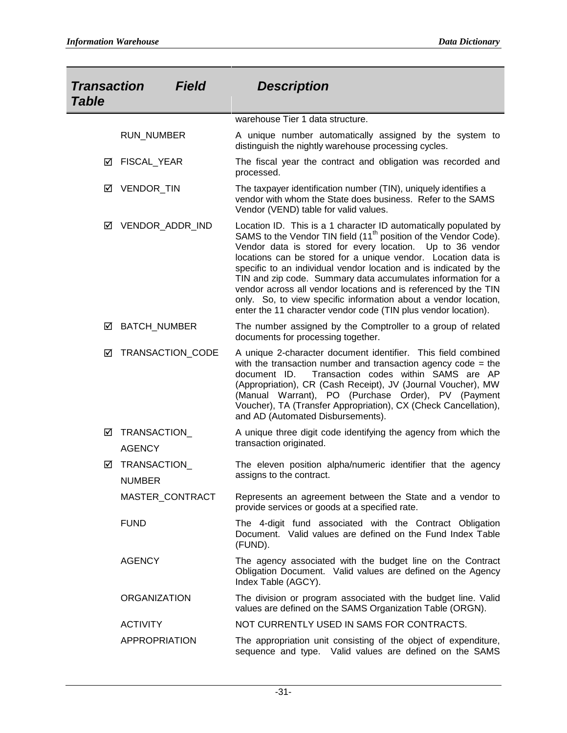| <b>Transaction</b><br><b>Field</b><br><b>Table</b> |                              |                  | <b>Description</b>                                                                                                                                                                                                                                                                                                                                                                                                                                                                                                                                                                                                          |
|----------------------------------------------------|------------------------------|------------------|-----------------------------------------------------------------------------------------------------------------------------------------------------------------------------------------------------------------------------------------------------------------------------------------------------------------------------------------------------------------------------------------------------------------------------------------------------------------------------------------------------------------------------------------------------------------------------------------------------------------------------|
|                                                    |                              |                  |                                                                                                                                                                                                                                                                                                                                                                                                                                                                                                                                                                                                                             |
|                                                    |                              |                  | warehouse Tier 1 data structure.                                                                                                                                                                                                                                                                                                                                                                                                                                                                                                                                                                                            |
|                                                    | <b>RUN_NUMBER</b>            |                  | A unique number automatically assigned by the system to<br>distinguish the nightly warehouse processing cycles.                                                                                                                                                                                                                                                                                                                                                                                                                                                                                                             |
| ☑                                                  | FISCAL_YEAR                  |                  | The fiscal year the contract and obligation was recorded and<br>processed.                                                                                                                                                                                                                                                                                                                                                                                                                                                                                                                                                  |
| ⊻                                                  | VENDOR_TIN                   |                  | The taxpayer identification number (TIN), uniquely identifies a<br>vendor with whom the State does business. Refer to the SAMS<br>Vendor (VEND) table for valid values.                                                                                                                                                                                                                                                                                                                                                                                                                                                     |
| ⊻                                                  |                              | VENDOR_ADDR_IND  | Location ID. This is a 1 character ID automatically populated by<br>SAMS to the Vendor TIN field (11 <sup>th</sup> position of the Vendor Code).<br>Vendor data is stored for every location. Up to 36 vendor<br>locations can be stored for a unique vendor. Location data is<br>specific to an individual vendor location and is indicated by the<br>TIN and zip code. Summary data accumulates information for a<br>vendor across all vendor locations and is referenced by the TIN<br>only. So, to view specific information about a vendor location,<br>enter the 11 character vendor code (TIN plus vendor location). |
| ⊻                                                  | <b>BATCH NUMBER</b>          |                  | The number assigned by the Comptroller to a group of related<br>documents for processing together.                                                                                                                                                                                                                                                                                                                                                                                                                                                                                                                          |
| ☑                                                  |                              | TRANSACTION_CODE | A unique 2-character document identifier. This field combined<br>with the transaction number and transaction agency code = the<br>document ID.<br>Transaction codes within SAMS are AP<br>(Appropriation), CR (Cash Receipt), JV (Journal Voucher), MW<br>(Manual Warrant), PO (Purchase Order), PV (Payment<br>Voucher), TA (Transfer Appropriation), CX (Check Cancellation),<br>and AD (Automated Disbursements).                                                                                                                                                                                                        |
| ☑                                                  | TRANSACTION<br><b>AGENCY</b> |                  | A unique three digit code identifying the agency from which the<br>transaction originated.                                                                                                                                                                                                                                                                                                                                                                                                                                                                                                                                  |
| ☑                                                  | TRANSACTION<br><b>NUMBER</b> |                  | The eleven position alpha/numeric identifier that the agency<br>assigns to the contract.                                                                                                                                                                                                                                                                                                                                                                                                                                                                                                                                    |
|                                                    |                              | MASTER CONTRACT  | Represents an agreement between the State and a vendor to<br>provide services or goods at a specified rate.                                                                                                                                                                                                                                                                                                                                                                                                                                                                                                                 |
|                                                    | <b>FUND</b>                  |                  | The 4-digit fund associated with the Contract Obligation<br>Document. Valid values are defined on the Fund Index Table<br>(FUND).                                                                                                                                                                                                                                                                                                                                                                                                                                                                                           |
|                                                    | <b>AGENCY</b>                |                  | The agency associated with the budget line on the Contract<br>Obligation Document. Valid values are defined on the Agency<br>Index Table (AGCY).                                                                                                                                                                                                                                                                                                                                                                                                                                                                            |
|                                                    | <b>ORGANIZATION</b>          |                  | The division or program associated with the budget line. Valid<br>values are defined on the SAMS Organization Table (ORGN).                                                                                                                                                                                                                                                                                                                                                                                                                                                                                                 |
|                                                    | <b>ACTIVITY</b>              |                  | NOT CURRENTLY USED IN SAMS FOR CONTRACTS.                                                                                                                                                                                                                                                                                                                                                                                                                                                                                                                                                                                   |
|                                                    | <b>APPROPRIATION</b>         |                  | The appropriation unit consisting of the object of expenditure,<br>sequence and type. Valid values are defined on the SAMS                                                                                                                                                                                                                                                                                                                                                                                                                                                                                                  |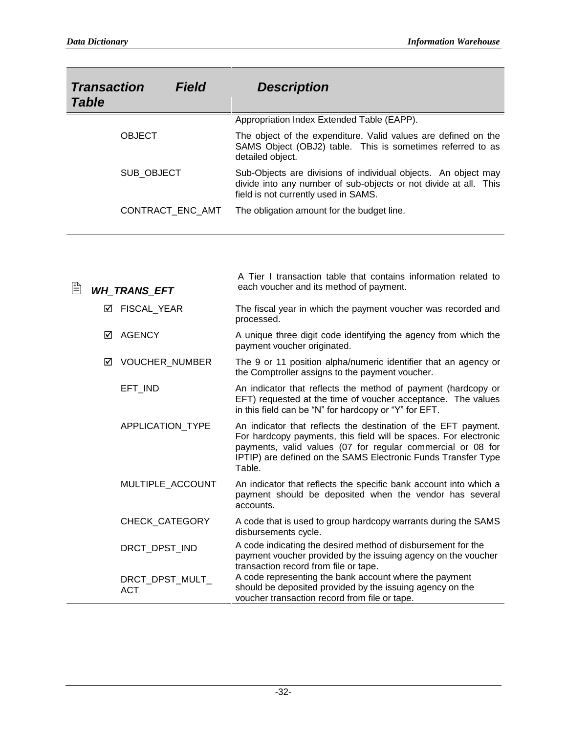| <b>Transaction</b><br><b>Table</b> | Field            | <b>Description</b>                                                                                                                                                         |
|------------------------------------|------------------|----------------------------------------------------------------------------------------------------------------------------------------------------------------------------|
|                                    |                  | Appropriation Index Extended Table (EAPP).                                                                                                                                 |
| <b>OBJECT</b>                      |                  | The object of the expenditure. Valid values are defined on the<br>SAMS Object (OBJ2) table. This is sometimes referred to as<br>detailed object.                           |
| SUB_OBJECT                         |                  | Sub-Objects are divisions of individual objects. An object may<br>divide into any number of sub-objects or not divide at all. This<br>field is not currently used in SAMS. |
|                                    | CONTRACT ENC AMT | The obligation amount for the budget line.                                                                                                                                 |

| B | <b>WH_TRANS_EFT</b>           | A Tier I transaction table that contains information related to<br>each voucher and its method of payment.                                                                                                                                                                   |
|---|-------------------------------|------------------------------------------------------------------------------------------------------------------------------------------------------------------------------------------------------------------------------------------------------------------------------|
|   | FISCAL_YEAR<br>☑              | The fiscal year in which the payment voucher was recorded and<br>processed.                                                                                                                                                                                                  |
|   | <b>AGENCY</b><br>☑            | A unique three digit code identifying the agency from which the<br>payment voucher originated.                                                                                                                                                                               |
|   | <b>VOUCHER NUMBER</b><br>☑    | The 9 or 11 position alpha/numeric identifier that an agency or<br>the Comptroller assigns to the payment voucher.                                                                                                                                                           |
|   | EFT IND                       | An indicator that reflects the method of payment (hardcopy or<br>EFT) requested at the time of voucher acceptance. The values<br>in this field can be "N" for hardcopy or "Y" for EFT.                                                                                       |
|   | <b>APPLICATION TYPE</b>       | An indicator that reflects the destination of the EFT payment.<br>For hardcopy payments, this field will be spaces. For electronic<br>payments, valid values (07 for regular commercial or 08 for<br>IPTIP) are defined on the SAMS Electronic Funds Transfer Type<br>Table. |
|   | MULTIPLE ACCOUNT              | An indicator that reflects the specific bank account into which a<br>payment should be deposited when the vendor has several<br>accounts.                                                                                                                                    |
|   | <b>CHECK CATEGORY</b>         | A code that is used to group hardcopy warrants during the SAMS<br>disbursements cycle.                                                                                                                                                                                       |
|   | DRCT DPST IND                 | A code indicating the desired method of disbursement for the<br>payment voucher provided by the issuing agency on the voucher<br>transaction record from file or tape.                                                                                                       |
|   | DRCT_DPST_MULT_<br><b>ACT</b> | A code representing the bank account where the payment<br>should be deposited provided by the issuing agency on the<br>voucher transaction record from file or tape.                                                                                                         |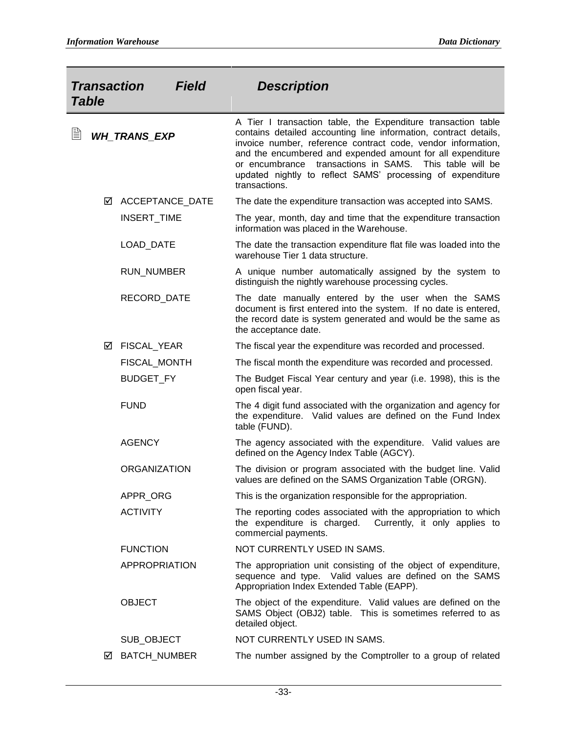| <b>Transaction</b><br><b>Field</b><br><b>Table</b> |   |                     | <b>Description</b>  |                                                                                                                                                                                                                                                                                                                                                                                                           |
|----------------------------------------------------|---|---------------------|---------------------|-----------------------------------------------------------------------------------------------------------------------------------------------------------------------------------------------------------------------------------------------------------------------------------------------------------------------------------------------------------------------------------------------------------|
| ₿                                                  |   | <b>WH_TRANS_EXP</b> |                     | A Tier I transaction table, the Expenditure transaction table<br>contains detailed accounting line information, contract details,<br>invoice number, reference contract code, vendor information,<br>and the encumbered and expended amount for all expenditure<br>or encumbrance transactions in SAMS. This table will be<br>updated nightly to reflect SAMS' processing of expenditure<br>transactions. |
|                                                    | ☑ |                     | ACCEPTANCE_DATE     | The date the expenditure transaction was accepted into SAMS.                                                                                                                                                                                                                                                                                                                                              |
|                                                    |   | INSERT_TIME         |                     | The year, month, day and time that the expenditure transaction<br>information was placed in the Warehouse.                                                                                                                                                                                                                                                                                                |
|                                                    |   | LOAD_DATE           |                     | The date the transaction expenditure flat file was loaded into the<br>warehouse Tier 1 data structure.                                                                                                                                                                                                                                                                                                    |
|                                                    |   | <b>RUN_NUMBER</b>   |                     | A unique number automatically assigned by the system to<br>distinguish the nightly warehouse processing cycles.                                                                                                                                                                                                                                                                                           |
|                                                    |   | RECORD_DATE         |                     | The date manually entered by the user when the SAMS<br>document is first entered into the system. If no date is entered,<br>the record date is system generated and would be the same as<br>the acceptance date.                                                                                                                                                                                          |
|                                                    | ☑ | FISCAL_YEAR         |                     | The fiscal year the expenditure was recorded and processed.                                                                                                                                                                                                                                                                                                                                               |
|                                                    |   |                     | FISCAL_MONTH        | The fiscal month the expenditure was recorded and processed.                                                                                                                                                                                                                                                                                                                                              |
|                                                    |   | BUDGET_FY           |                     | The Budget Fiscal Year century and year (i.e. 1998), this is the<br>open fiscal year.                                                                                                                                                                                                                                                                                                                     |
|                                                    |   | <b>FUND</b>         |                     | The 4 digit fund associated with the organization and agency for<br>the expenditure. Valid values are defined on the Fund Index<br>table (FUND).                                                                                                                                                                                                                                                          |
|                                                    |   | <b>AGENCY</b>       |                     | The agency associated with the expenditure. Valid values are<br>defined on the Agency Index Table (AGCY).                                                                                                                                                                                                                                                                                                 |
|                                                    |   | <b>ORGANIZATION</b> |                     | The division or program associated with the budget line. Valid<br>values are defined on the SAMS Organization Table (ORGN).                                                                                                                                                                                                                                                                               |
|                                                    |   | APPR_ORG            |                     | This is the organization responsible for the appropriation.                                                                                                                                                                                                                                                                                                                                               |
|                                                    |   | <b>ACTIVITY</b>     |                     | The reporting codes associated with the appropriation to which<br>the expenditure is charged. Currently, it only applies to<br>commercial payments.                                                                                                                                                                                                                                                       |
|                                                    |   | <b>FUNCTION</b>     |                     | NOT CURRENTLY USED IN SAMS.                                                                                                                                                                                                                                                                                                                                                                               |
|                                                    |   |                     | APPROPRIATION       | The appropriation unit consisting of the object of expenditure,<br>sequence and type. Valid values are defined on the SAMS<br>Appropriation Index Extended Table (EAPP).                                                                                                                                                                                                                                  |
|                                                    |   | <b>OBJECT</b>       |                     | The object of the expenditure. Valid values are defined on the<br>SAMS Object (OBJ2) table. This is sometimes referred to as<br>detailed object.                                                                                                                                                                                                                                                          |
|                                                    |   | SUB_OBJECT          |                     | NOT CURRENTLY USED IN SAMS.                                                                                                                                                                                                                                                                                                                                                                               |
|                                                    | ☑ |                     | <b>BATCH_NUMBER</b> | The number assigned by the Comptroller to a group of related                                                                                                                                                                                                                                                                                                                                              |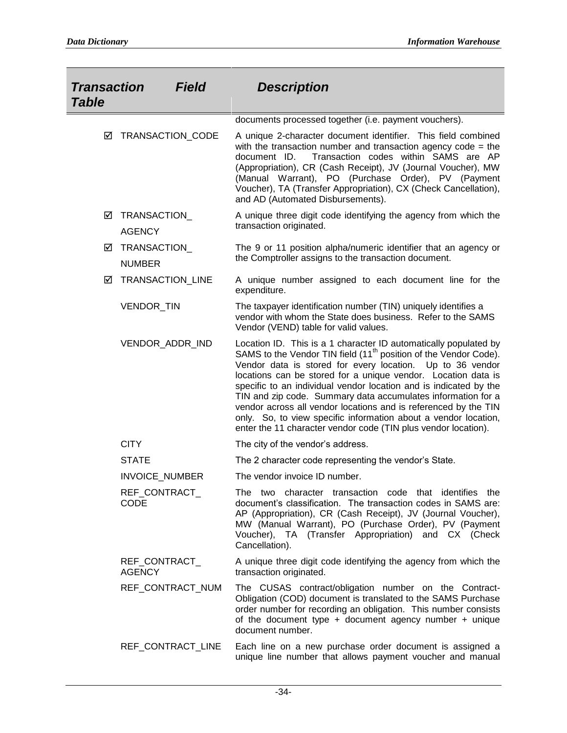| <b>Transaction</b><br><b>Table</b> | <b>Field</b>                   | <b>Description</b>                                                                                                                                                                                                                                                                                                                                                                                                                                                                                                                                                                                                             |
|------------------------------------|--------------------------------|--------------------------------------------------------------------------------------------------------------------------------------------------------------------------------------------------------------------------------------------------------------------------------------------------------------------------------------------------------------------------------------------------------------------------------------------------------------------------------------------------------------------------------------------------------------------------------------------------------------------------------|
|                                    |                                | documents processed together (i.e. payment vouchers).                                                                                                                                                                                                                                                                                                                                                                                                                                                                                                                                                                          |
| ☑                                  | TRANSACTION_CODE               | A unique 2-character document identifier. This field combined<br>with the transaction number and transaction agency code = the<br>document ID.<br>Transaction codes within SAMS are AP<br>(Appropriation), CR (Cash Receipt), JV (Journal Voucher), MW<br>(Manual Warrant), PO (Purchase Order), PV (Payment<br>Voucher), TA (Transfer Appropriation), CX (Check Cancellation),<br>and AD (Automated Disbursements).                                                                                                                                                                                                           |
| ☑                                  | TRANSACTION<br><b>AGENCY</b>   | A unique three digit code identifying the agency from which the<br>transaction originated.                                                                                                                                                                                                                                                                                                                                                                                                                                                                                                                                     |
| ☑                                  | TRANSACTION_<br><b>NUMBER</b>  | The 9 or 11 position alpha/numeric identifier that an agency or<br>the Comptroller assigns to the transaction document.                                                                                                                                                                                                                                                                                                                                                                                                                                                                                                        |
| ☑                                  | <b>TRANSACTION LINE</b>        | A unique number assigned to each document line for the<br>expenditure.                                                                                                                                                                                                                                                                                                                                                                                                                                                                                                                                                         |
|                                    | VENDOR_TIN                     | The taxpayer identification number (TIN) uniquely identifies a<br>vendor with whom the State does business. Refer to the SAMS<br>Vendor (VEND) table for valid values.                                                                                                                                                                                                                                                                                                                                                                                                                                                         |
|                                    | VENDOR_ADDR_IND                | Location ID. This is a 1 character ID automatically populated by<br>SAMS to the Vendor TIN field (11 <sup>th</sup> position of the Vendor Code).<br>Vendor data is stored for every location.<br>Up to 36 vendor<br>locations can be stored for a unique vendor. Location data is<br>specific to an individual vendor location and is indicated by the<br>TIN and zip code. Summary data accumulates information for a<br>vendor across all vendor locations and is referenced by the TIN<br>only. So, to view specific information about a vendor location,<br>enter the 11 character vendor code (TIN plus vendor location). |
|                                    | <b>CITY</b>                    | The city of the vendor's address.                                                                                                                                                                                                                                                                                                                                                                                                                                                                                                                                                                                              |
|                                    | <b>STATE</b>                   | The 2 character code representing the vendor's State.                                                                                                                                                                                                                                                                                                                                                                                                                                                                                                                                                                          |
|                                    | <b>INVOICE NUMBER</b>          | The vendor invoice ID number.                                                                                                                                                                                                                                                                                                                                                                                                                                                                                                                                                                                                  |
|                                    | REF_CONTRACT_<br>CODE          | The two character transaction code that identifies the<br>document's classification. The transaction codes in SAMS are:<br>AP (Appropriation), CR (Cash Receipt), JV (Journal Voucher),<br>MW (Manual Warrant), PO (Purchase Order), PV (Payment<br>Voucher), TA (Transfer Appropriation) and CX (Check<br>Cancellation).                                                                                                                                                                                                                                                                                                      |
|                                    | REF_CONTRACT_<br><b>AGENCY</b> | A unique three digit code identifying the agency from which the<br>transaction originated.                                                                                                                                                                                                                                                                                                                                                                                                                                                                                                                                     |
|                                    | REF CONTRACT NUM               | The CUSAS contract/obligation number on the Contract-<br>Obligation (COD) document is translated to the SAMS Purchase<br>order number for recording an obligation. This number consists<br>of the document type $+$ document agency number $+$ unique<br>document number.                                                                                                                                                                                                                                                                                                                                                      |
|                                    | REF_CONTRACT_LINE              | Each line on a new purchase order document is assigned a<br>unique line number that allows payment voucher and manual                                                                                                                                                                                                                                                                                                                                                                                                                                                                                                          |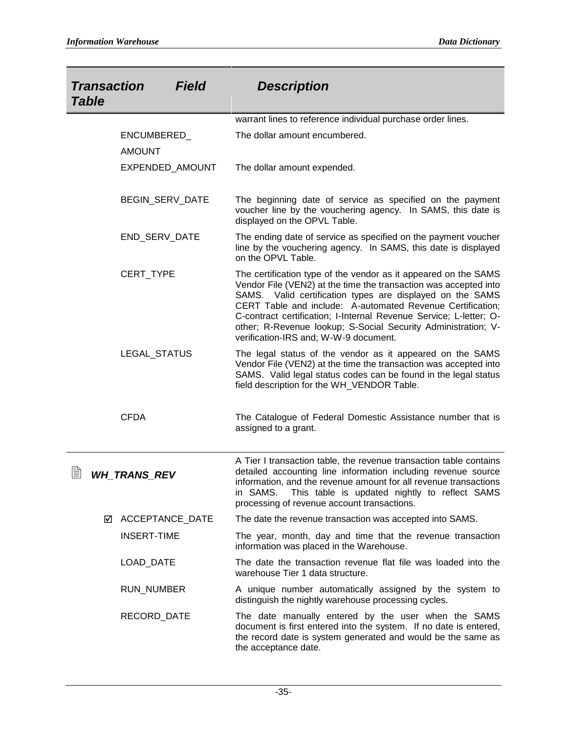| <b>Field</b><br><b>Transaction</b><br><b>Table</b> |                 | <b>Description</b>                                                                                                                                                                                                                                                                                                                                                                                                                             |
|----------------------------------------------------|-----------------|------------------------------------------------------------------------------------------------------------------------------------------------------------------------------------------------------------------------------------------------------------------------------------------------------------------------------------------------------------------------------------------------------------------------------------------------|
|                                                    |                 | warrant lines to reference individual purchase order lines.                                                                                                                                                                                                                                                                                                                                                                                    |
| ENCUMBERED_<br><b>AMOUNT</b>                       |                 | The dollar amount encumbered.                                                                                                                                                                                                                                                                                                                                                                                                                  |
|                                                    | EXPENDED_AMOUNT | The dollar amount expended.                                                                                                                                                                                                                                                                                                                                                                                                                    |
|                                                    | BEGIN_SERV_DATE | The beginning date of service as specified on the payment<br>voucher line by the vouchering agency. In SAMS, this date is<br>displayed on the OPVL Table.                                                                                                                                                                                                                                                                                      |
| END_SERV_DATE                                      |                 | The ending date of service as specified on the payment voucher<br>line by the vouchering agency. In SAMS, this date is displayed<br>on the OPVL Table.                                                                                                                                                                                                                                                                                         |
| CERT_TYPE                                          |                 | The certification type of the vendor as it appeared on the SAMS<br>Vendor File (VEN2) at the time the transaction was accepted into<br>SAMS. Valid certification types are displayed on the SAMS<br>CERT Table and include: A-automated Revenue Certification;<br>C-contract certification; I-Internal Revenue Service; L-letter; O-<br>other; R-Revenue lookup; S-Social Security Administration; V-<br>verification-IRS and; W-W-9 document. |
| LEGAL_STATUS                                       |                 | The legal status of the vendor as it appeared on the SAMS<br>Vendor File (VEN2) at the time the transaction was accepted into<br>SAMS. Valid legal status codes can be found in the legal status<br>field description for the WH_VENDOR Table.                                                                                                                                                                                                 |
| <b>CFDA</b>                                        |                 | The Catalogue of Federal Domestic Assistance number that is<br>assigned to a grant.                                                                                                                                                                                                                                                                                                                                                            |
| 窅<br><b>WH TRANS REV</b>                           |                 | A Tier I transaction table, the revenue transaction table contains<br>detailed accounting line information including revenue source<br>information, and the revenue amount for all revenue transactions<br>in SAMS.<br>This table is updated nightly to reflect SAMS<br>processing of revenue account transactions.                                                                                                                            |
| ☑ ACCEPTANCE_DATE                                  |                 | The date the revenue transaction was accepted into SAMS.                                                                                                                                                                                                                                                                                                                                                                                       |
| <b>INSERT-TIME</b>                                 |                 | The year, month, day and time that the revenue transaction<br>information was placed in the Warehouse.                                                                                                                                                                                                                                                                                                                                         |
| LOAD_DATE                                          |                 | The date the transaction revenue flat file was loaded into the<br>warehouse Tier 1 data structure.                                                                                                                                                                                                                                                                                                                                             |
| RUN_NUMBER                                         |                 | A unique number automatically assigned by the system to<br>distinguish the nightly warehouse processing cycles.                                                                                                                                                                                                                                                                                                                                |
| RECORD_DATE                                        |                 | The date manually entered by the user when the SAMS<br>document is first entered into the system. If no date is entered,<br>the record date is system generated and would be the same as<br>the acceptance date.                                                                                                                                                                                                                               |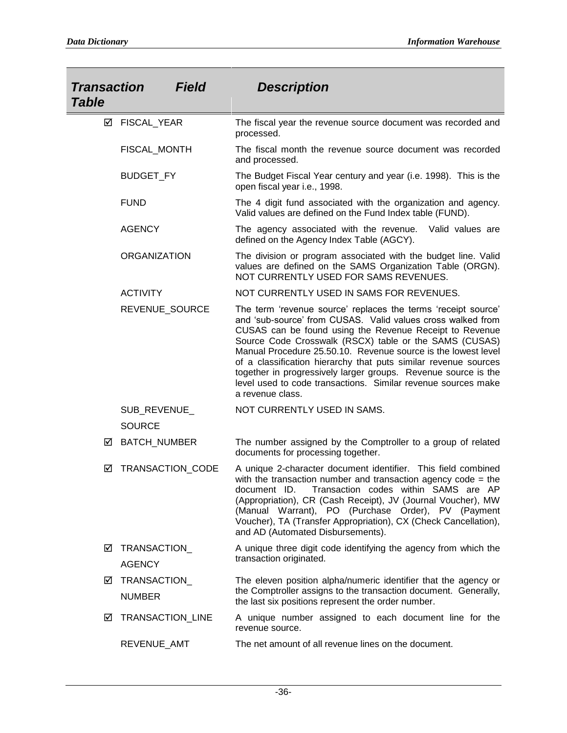| <b>Transaction</b><br><b>Table</b> | <b>Field</b>                  | <b>Description</b>                                                                                                                                                                                                                                                                                                                                                                                                                                                                                                                           |
|------------------------------------|-------------------------------|----------------------------------------------------------------------------------------------------------------------------------------------------------------------------------------------------------------------------------------------------------------------------------------------------------------------------------------------------------------------------------------------------------------------------------------------------------------------------------------------------------------------------------------------|
|                                    | ☑ FISCAL_YEAR                 | The fiscal year the revenue source document was recorded and<br>processed.                                                                                                                                                                                                                                                                                                                                                                                                                                                                   |
|                                    | FISCAL_MONTH                  | The fiscal month the revenue source document was recorded<br>and processed.                                                                                                                                                                                                                                                                                                                                                                                                                                                                  |
|                                    | <b>BUDGET_FY</b>              | The Budget Fiscal Year century and year (i.e. 1998). This is the<br>open fiscal year i.e., 1998.                                                                                                                                                                                                                                                                                                                                                                                                                                             |
|                                    | <b>FUND</b>                   | The 4 digit fund associated with the organization and agency.<br>Valid values are defined on the Fund Index table (FUND).                                                                                                                                                                                                                                                                                                                                                                                                                    |
|                                    | <b>AGENCY</b>                 | The agency associated with the revenue. Valid values are<br>defined on the Agency Index Table (AGCY).                                                                                                                                                                                                                                                                                                                                                                                                                                        |
|                                    | <b>ORGANIZATION</b>           | The division or program associated with the budget line. Valid<br>values are defined on the SAMS Organization Table (ORGN).<br>NOT CURRENTLY USED FOR SAMS REVENUES.                                                                                                                                                                                                                                                                                                                                                                         |
|                                    | <b>ACTIVITY</b>               | NOT CURRENTLY USED IN SAMS FOR REVENUES.                                                                                                                                                                                                                                                                                                                                                                                                                                                                                                     |
|                                    | REVENUE_SOURCE                | The term 'revenue source' replaces the terms 'receipt source'<br>and 'sub-source' from CUSAS. Valid values cross walked from<br>CUSAS can be found using the Revenue Receipt to Revenue<br>Source Code Crosswalk (RSCX) table or the SAMS (CUSAS)<br>Manual Procedure 25.50.10. Revenue source is the lowest level<br>of a classification hierarchy that puts similar revenue sources<br>together in progressively larger groups. Revenue source is the<br>level used to code transactions. Similar revenue sources make<br>a revenue class. |
|                                    | SUB_REVENUE_                  | NOT CURRENTLY USED IN SAMS.                                                                                                                                                                                                                                                                                                                                                                                                                                                                                                                  |
|                                    | <b>SOURCE</b>                 |                                                                                                                                                                                                                                                                                                                                                                                                                                                                                                                                              |
| ☑                                  | <b>BATCH_NUMBER</b>           | The number assigned by the Comptroller to a group of related<br>documents for processing together.                                                                                                                                                                                                                                                                                                                                                                                                                                           |
| ☑                                  | TRANSACTION_CODE              | A unique 2-character document identifier. This field combined<br>with the transaction number and transaction agency code = the<br>document ID. Transaction codes within SAMS are AP<br>(Appropriation), CR (Cash Receipt), JV (Journal Voucher), MW<br>(Manual Warrant), PO (Purchase Order), PV (Payment<br>Voucher), TA (Transfer Appropriation), CX (Check Cancellation),<br>and AD (Automated Disbursements).                                                                                                                            |
| ☑                                  | TRANSACTION<br><b>AGENCY</b>  | A unique three digit code identifying the agency from which the<br>transaction originated.                                                                                                                                                                                                                                                                                                                                                                                                                                                   |
| ☑                                  | TRANSACTION_<br><b>NUMBER</b> | The eleven position alpha/numeric identifier that the agency or<br>the Comptroller assigns to the transaction document. Generally,<br>the last six positions represent the order number.                                                                                                                                                                                                                                                                                                                                                     |
| ☑                                  | TRANSACTION_LINE              | A unique number assigned to each document line for the<br>revenue source.                                                                                                                                                                                                                                                                                                                                                                                                                                                                    |
|                                    | REVENUE_AMT                   | The net amount of all revenue lines on the document.                                                                                                                                                                                                                                                                                                                                                                                                                                                                                         |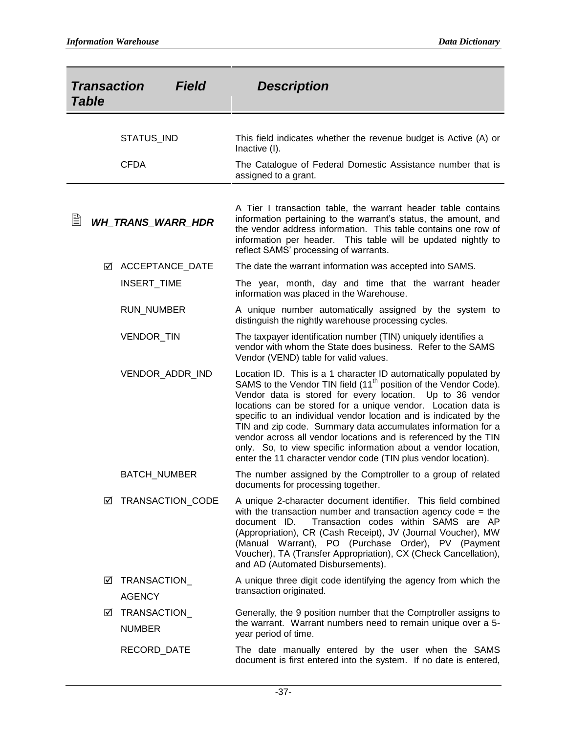| <b>Transaction</b><br><b>Table</b> | Field                    | <b>Description</b>                                                                                                                                                                                                                                                                                                                                                                                                                                                                                                                                                                                                          |
|------------------------------------|--------------------------|-----------------------------------------------------------------------------------------------------------------------------------------------------------------------------------------------------------------------------------------------------------------------------------------------------------------------------------------------------------------------------------------------------------------------------------------------------------------------------------------------------------------------------------------------------------------------------------------------------------------------------|
|                                    | STATUS_IND               | This field indicates whether the revenue budget is Active (A) or<br>Inactive (I).                                                                                                                                                                                                                                                                                                                                                                                                                                                                                                                                           |
|                                    | <b>CFDA</b>              | The Catalogue of Federal Domestic Assistance number that is<br>assigned to a grant.                                                                                                                                                                                                                                                                                                                                                                                                                                                                                                                                         |
| ▤                                  | <b>WH_TRANS_WARR_HDR</b> | A Tier I transaction table, the warrant header table contains<br>information pertaining to the warrant's status, the amount, and<br>the vendor address information. This table contains one row of<br>information per header. This table will be updated nightly to<br>reflect SAMS' processing of warrants.                                                                                                                                                                                                                                                                                                                |
| ☑                                  | <b>ACCEPTANCE DATE</b>   | The date the warrant information was accepted into SAMS.                                                                                                                                                                                                                                                                                                                                                                                                                                                                                                                                                                    |
|                                    | INSERT_TIME              | The year, month, day and time that the warrant header<br>information was placed in the Warehouse.                                                                                                                                                                                                                                                                                                                                                                                                                                                                                                                           |
|                                    | RUN_NUMBER               | A unique number automatically assigned by the system to<br>distinguish the nightly warehouse processing cycles.                                                                                                                                                                                                                                                                                                                                                                                                                                                                                                             |
|                                    | VENDOR_TIN               | The taxpayer identification number (TIN) uniquely identifies a<br>vendor with whom the State does business. Refer to the SAMS<br>Vendor (VEND) table for valid values.                                                                                                                                                                                                                                                                                                                                                                                                                                                      |
|                                    | VENDOR_ADDR_IND          | Location ID. This is a 1 character ID automatically populated by<br>SAMS to the Vendor TIN field (11 <sup>th</sup> position of the Vendor Code).<br>Vendor data is stored for every location. Up to 36 vendor<br>locations can be stored for a unique vendor. Location data is<br>specific to an individual vendor location and is indicated by the<br>TIN and zip code. Summary data accumulates information for a<br>vendor across all vendor locations and is referenced by the TIN<br>only. So, to view specific information about a vendor location,<br>enter the 11 character vendor code (TIN plus vendor location). |
|                                    | <b>BATCH_NUMBER</b>      | The number assigned by the Comptroller to a group of related<br>documents for processing together.                                                                                                                                                                                                                                                                                                                                                                                                                                                                                                                          |
| ⊻                                  | TRANSACTION_CODE         | A unique 2-character document identifier. This field combined<br>with the transaction number and transaction agency code = the<br>Transaction codes within SAMS are AP<br>document ID.<br>(Appropriation), CR (Cash Receipt), JV (Journal Voucher), MW<br>(Manual Warrant), PO (Purchase Order), PV (Payment<br>Voucher), TA (Transfer Appropriation), CX (Check Cancellation),<br>and AD (Automated Disbursements).                                                                                                                                                                                                        |
| $\mathsf{M}$                       | TRANSACTION_             | A unique three digit code identifying the agency from which the                                                                                                                                                                                                                                                                                                                                                                                                                                                                                                                                                             |
|                                    | <b>AGENCY</b>            | transaction originated.                                                                                                                                                                                                                                                                                                                                                                                                                                                                                                                                                                                                     |
| ☑                                  | TRANSACTION_             | Generally, the 9 position number that the Comptroller assigns to                                                                                                                                                                                                                                                                                                                                                                                                                                                                                                                                                            |
|                                    | <b>NUMBER</b>            | the warrant. Warrant numbers need to remain unique over a 5-<br>year period of time.                                                                                                                                                                                                                                                                                                                                                                                                                                                                                                                                        |
|                                    | RECORD_DATE              | The date manually entered by the user when the SAMS<br>document is first entered into the system. If no date is entered,                                                                                                                                                                                                                                                                                                                                                                                                                                                                                                    |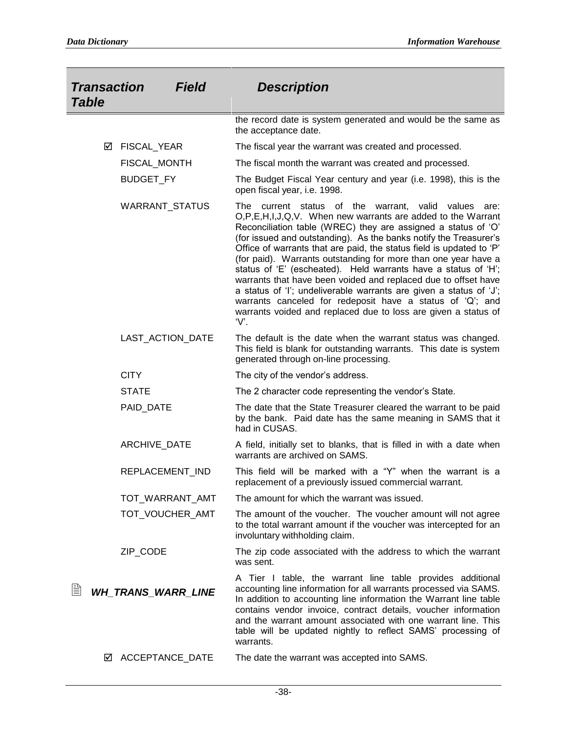| <b>Transaction</b><br><b>Table</b> | <b>Field</b>          | <b>Description</b>                                                                                                                                                                                                                                                                                                                                                                                                                                                                                                                                                                                                                                                                                                                                       |
|------------------------------------|-----------------------|----------------------------------------------------------------------------------------------------------------------------------------------------------------------------------------------------------------------------------------------------------------------------------------------------------------------------------------------------------------------------------------------------------------------------------------------------------------------------------------------------------------------------------------------------------------------------------------------------------------------------------------------------------------------------------------------------------------------------------------------------------|
|                                    |                       | the record date is system generated and would be the same as<br>the acceptance date.                                                                                                                                                                                                                                                                                                                                                                                                                                                                                                                                                                                                                                                                     |
| FISCAL_YEAR<br>☑                   |                       | The fiscal year the warrant was created and processed.                                                                                                                                                                                                                                                                                                                                                                                                                                                                                                                                                                                                                                                                                                   |
|                                    | FISCAL_MONTH          | The fiscal month the warrant was created and processed.                                                                                                                                                                                                                                                                                                                                                                                                                                                                                                                                                                                                                                                                                                  |
| BUDGET_FY                          |                       | The Budget Fiscal Year century and year (i.e. 1998), this is the<br>open fiscal year, i.e. 1998.                                                                                                                                                                                                                                                                                                                                                                                                                                                                                                                                                                                                                                                         |
|                                    | <b>WARRANT STATUS</b> | The current status of the warrant,<br>valid values are:<br>O,P,E,H,I,J,Q,V. When new warrants are added to the Warrant<br>Reconciliation table (WREC) they are assigned a status of 'O'<br>(for issued and outstanding). As the banks notify the Treasurer's<br>Office of warrants that are paid, the status field is updated to 'P'<br>(for paid). Warrants outstanding for more than one year have a<br>status of 'E' (escheated). Held warrants have a status of 'H';<br>warrants that have been voided and replaced due to offset have<br>a status of 'I'; undeliverable warrants are given a status of 'J';<br>warrants canceled for redeposit have a status of 'Q'; and<br>warrants voided and replaced due to loss are given a status of<br>$V$ . |
|                                    | LAST_ACTION_DATE      | The default is the date when the warrant status was changed.<br>This field is blank for outstanding warrants. This date is system<br>generated through on-line processing.                                                                                                                                                                                                                                                                                                                                                                                                                                                                                                                                                                               |
| <b>CITY</b>                        |                       | The city of the vendor's address.                                                                                                                                                                                                                                                                                                                                                                                                                                                                                                                                                                                                                                                                                                                        |
| <b>STATE</b>                       |                       | The 2 character code representing the vendor's State.                                                                                                                                                                                                                                                                                                                                                                                                                                                                                                                                                                                                                                                                                                    |
| PAID_DATE                          |                       | The date that the State Treasurer cleared the warrant to be paid<br>by the bank. Paid date has the same meaning in SAMS that it<br>had in CUSAS.                                                                                                                                                                                                                                                                                                                                                                                                                                                                                                                                                                                                         |
|                                    | ARCHIVE_DATE          | A field, initially set to blanks, that is filled in with a date when<br>warrants are archived on SAMS.                                                                                                                                                                                                                                                                                                                                                                                                                                                                                                                                                                                                                                                   |
|                                    | REPLACEMENT_IND       | This field will be marked with a "Y" when the warrant is a<br>replacement of a previously issued commercial warrant.                                                                                                                                                                                                                                                                                                                                                                                                                                                                                                                                                                                                                                     |
|                                    | TOT_WARRANT_AMT       | The amount for which the warrant was issued.                                                                                                                                                                                                                                                                                                                                                                                                                                                                                                                                                                                                                                                                                                             |
|                                    | TOT_VOUCHER_AMT       | The amount of the voucher. The voucher amount will not agree<br>to the total warrant amount if the voucher was intercepted for an<br>involuntary withholding claim.                                                                                                                                                                                                                                                                                                                                                                                                                                                                                                                                                                                      |
| ZIP_CODE                           |                       | The zip code associated with the address to which the warrant<br>was sent.                                                                                                                                                                                                                                                                                                                                                                                                                                                                                                                                                                                                                                                                               |
| 閶<br><b>WH_TRANS_WARR_LINE</b>     |                       | A Tier I table, the warrant line table provides additional<br>accounting line information for all warrants processed via SAMS.<br>In addition to accounting line information the Warrant line table<br>contains vendor invoice, contract details, voucher information<br>and the warrant amount associated with one warrant line. This<br>table will be updated nightly to reflect SAMS' processing of<br>warrants.                                                                                                                                                                                                                                                                                                                                      |
| ⊻                                  | ACCEPTANCE_DATE       | The date the warrant was accepted into SAMS.                                                                                                                                                                                                                                                                                                                                                                                                                                                                                                                                                                                                                                                                                                             |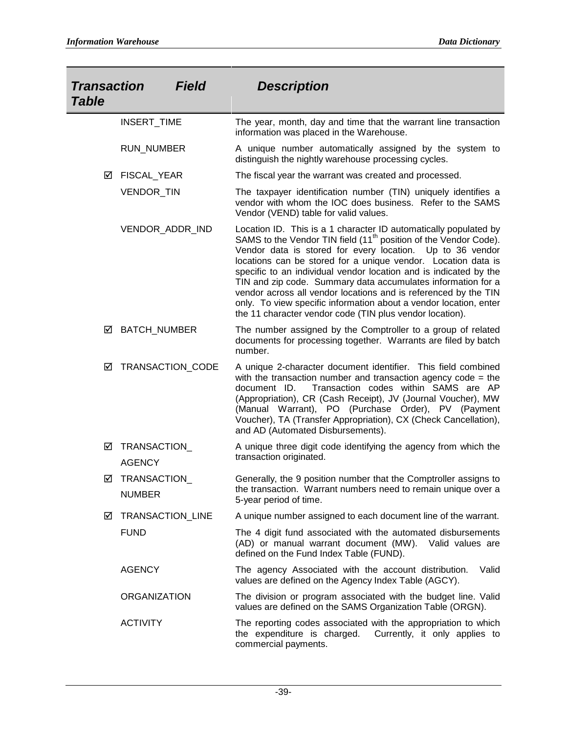| <b>Transaction</b><br><b>Table</b> | <b>Field</b>                  | <b>Description</b>                                                                                                                                                                                                                                                                                                                                                                                                                                                                                                                                                                                                      |
|------------------------------------|-------------------------------|-------------------------------------------------------------------------------------------------------------------------------------------------------------------------------------------------------------------------------------------------------------------------------------------------------------------------------------------------------------------------------------------------------------------------------------------------------------------------------------------------------------------------------------------------------------------------------------------------------------------------|
|                                    | INSERT_TIME                   | The year, month, day and time that the warrant line transaction<br>information was placed in the Warehouse.                                                                                                                                                                                                                                                                                                                                                                                                                                                                                                             |
|                                    | <b>RUN_NUMBER</b>             | A unique number automatically assigned by the system to<br>distinguish the nightly warehouse processing cycles.                                                                                                                                                                                                                                                                                                                                                                                                                                                                                                         |
| ☑                                  | FISCAL_YEAR                   | The fiscal year the warrant was created and processed.                                                                                                                                                                                                                                                                                                                                                                                                                                                                                                                                                                  |
|                                    | VENDOR_TIN                    | The taxpayer identification number (TIN) uniquely identifies a<br>vendor with whom the IOC does business. Refer to the SAMS<br>Vendor (VEND) table for valid values.                                                                                                                                                                                                                                                                                                                                                                                                                                                    |
|                                    | VENDOR_ADDR_IND               | Location ID. This is a 1 character ID automatically populated by<br>SAMS to the Vendor TIN field (11 <sup>th</sup> position of the Vendor Code).<br>Vendor data is stored for every location. Up to 36 vendor<br>locations can be stored for a unique vendor. Location data is<br>specific to an individual vendor location and is indicated by the<br>TIN and zip code. Summary data accumulates information for a<br>vendor across all vendor locations and is referenced by the TIN<br>only. To view specific information about a vendor location, enter<br>the 11 character vendor code (TIN plus vendor location). |
| ☑                                  | <b>BATCH_NUMBER</b>           | The number assigned by the Comptroller to a group of related<br>documents for processing together. Warrants are filed by batch<br>number.                                                                                                                                                                                                                                                                                                                                                                                                                                                                               |
| ☑                                  | TRANSACTION_CODE              | A unique 2-character document identifier. This field combined<br>with the transaction number and transaction agency code = the<br>Transaction codes within SAMS are AP<br>document ID.<br>(Appropriation), CR (Cash Receipt), JV (Journal Voucher), MW<br>(Manual Warrant), PO (Purchase Order), PV (Payment<br>Voucher), TA (Transfer Appropriation), CX (Check Cancellation),<br>and AD (Automated Disbursements).                                                                                                                                                                                                    |
| ☑                                  | TRANSACTION_<br><b>AGENCY</b> | A unique three digit code identifying the agency from which the<br>transaction originated.                                                                                                                                                                                                                                                                                                                                                                                                                                                                                                                              |
| ☑                                  | TRANSACTION                   | Generally, the 9 position number that the Comptroller assigns to                                                                                                                                                                                                                                                                                                                                                                                                                                                                                                                                                        |
|                                    | <b>NUMBER</b>                 | the transaction. Warrant numbers need to remain unique over a<br>5-year period of time.                                                                                                                                                                                                                                                                                                                                                                                                                                                                                                                                 |
| ☑                                  | TRANSACTION_LINE              | A unique number assigned to each document line of the warrant.                                                                                                                                                                                                                                                                                                                                                                                                                                                                                                                                                          |
|                                    | <b>FUND</b>                   | The 4 digit fund associated with the automated disbursements<br>(AD) or manual warrant document (MW). Valid values are<br>defined on the Fund Index Table (FUND).                                                                                                                                                                                                                                                                                                                                                                                                                                                       |
|                                    | <b>AGENCY</b>                 | The agency Associated with the account distribution.<br>Valid<br>values are defined on the Agency Index Table (AGCY).                                                                                                                                                                                                                                                                                                                                                                                                                                                                                                   |
|                                    | <b>ORGANIZATION</b>           | The division or program associated with the budget line. Valid<br>values are defined on the SAMS Organization Table (ORGN).                                                                                                                                                                                                                                                                                                                                                                                                                                                                                             |
|                                    | <b>ACTIVITY</b>               | The reporting codes associated with the appropriation to which<br>the expenditure is charged.<br>Currently, it only applies to<br>commercial payments.                                                                                                                                                                                                                                                                                                                                                                                                                                                                  |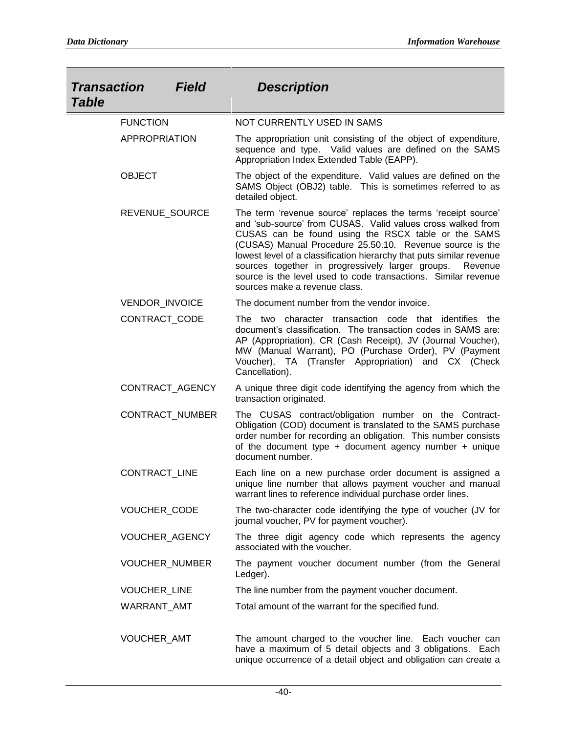| <b>Transaction</b><br><b>Table</b> | <b>Field</b>    | <b>Description</b>                                                                                                                                                                                                                                                                                                                                                                                                                                                                        |
|------------------------------------|-----------------|-------------------------------------------------------------------------------------------------------------------------------------------------------------------------------------------------------------------------------------------------------------------------------------------------------------------------------------------------------------------------------------------------------------------------------------------------------------------------------------------|
| <b>FUNCTION</b>                    |                 | NOT CURRENTLY USED IN SAMS                                                                                                                                                                                                                                                                                                                                                                                                                                                                |
| APPROPRIATION                      |                 | The appropriation unit consisting of the object of expenditure,<br>sequence and type. Valid values are defined on the SAMS<br>Appropriation Index Extended Table (EAPP).                                                                                                                                                                                                                                                                                                                  |
| <b>OBJECT</b>                      |                 | The object of the expenditure. Valid values are defined on the<br>SAMS Object (OBJ2) table. This is sometimes referred to as<br>detailed object.                                                                                                                                                                                                                                                                                                                                          |
| REVENUE_SOURCE                     |                 | The term 'revenue source' replaces the terms 'receipt source'<br>and 'sub-source' from CUSAS. Valid values cross walked from<br>CUSAS can be found using the RSCX table or the SAMS<br>(CUSAS) Manual Procedure 25.50.10. Revenue source is the<br>lowest level of a classification hierarchy that puts similar revenue<br>sources together in progressively larger groups.<br>Revenue<br>source is the level used to code transactions. Similar revenue<br>sources make a revenue class. |
| VENDOR_INVOICE                     |                 | The document number from the vendor invoice.                                                                                                                                                                                                                                                                                                                                                                                                                                              |
| CONTRACT_CODE                      |                 | The two character transaction code that identifies the<br>document's classification. The transaction codes in SAMS are:<br>AP (Appropriation), CR (Cash Receipt), JV (Journal Voucher),<br>MW (Manual Warrant), PO (Purchase Order), PV (Payment<br>Voucher), TA (Transfer Appropriation) and CX (Check<br>Cancellation).                                                                                                                                                                 |
|                                    | CONTRACT_AGENCY | A unique three digit code identifying the agency from which the<br>transaction originated.                                                                                                                                                                                                                                                                                                                                                                                                |
|                                    | CONTRACT_NUMBER | The CUSAS contract/obligation number on the Contract-<br>Obligation (COD) document is translated to the SAMS purchase<br>order number for recording an obligation. This number consists<br>of the document type $+$ document agency number $+$ unique<br>document number.                                                                                                                                                                                                                 |
| CONTRACT_LINE                      |                 | Each line on a new purchase order document is assigned a<br>unique line number that allows payment voucher and manual<br>warrant lines to reference individual purchase order lines.                                                                                                                                                                                                                                                                                                      |
| VOUCHER_CODE                       |                 | The two-character code identifying the type of voucher (JV for<br>journal voucher, PV for payment voucher).                                                                                                                                                                                                                                                                                                                                                                               |
| VOUCHER_AGENCY                     |                 | The three digit agency code which represents the agency<br>associated with the voucher.                                                                                                                                                                                                                                                                                                                                                                                                   |
|                                    | VOUCHER_NUMBER  | The payment voucher document number (from the General<br>Ledger).                                                                                                                                                                                                                                                                                                                                                                                                                         |
| VOUCHER_LINE                       |                 | The line number from the payment voucher document.                                                                                                                                                                                                                                                                                                                                                                                                                                        |
| WARRANT_AMT                        |                 | Total amount of the warrant for the specified fund.                                                                                                                                                                                                                                                                                                                                                                                                                                       |
| VOUCHER_AMT                        |                 | The amount charged to the voucher line. Each voucher can<br>have a maximum of 5 detail objects and 3 obligations. Each<br>unique occurrence of a detail object and obligation can create a                                                                                                                                                                                                                                                                                                |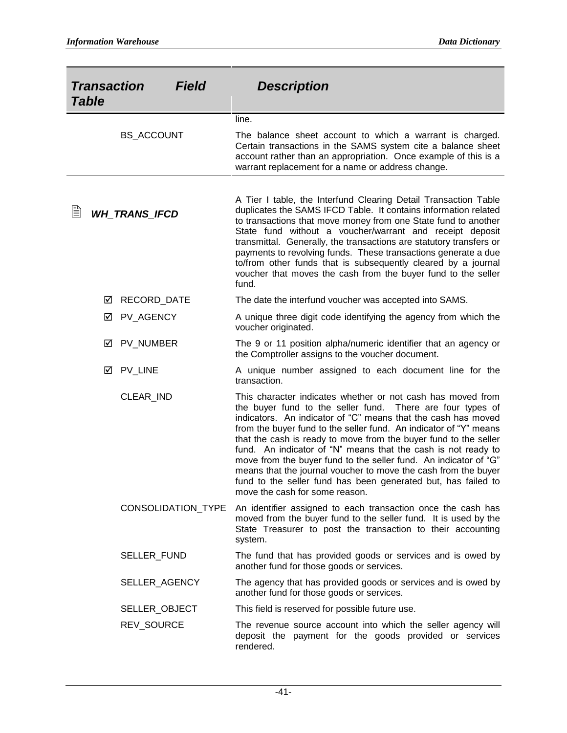| <b>Transaction</b><br><b>Field</b><br><b>Table</b> |   |                      |                    | <b>Description</b>                                                                                                                                                                                                                                                                                                                                                                                                                                                                                                                                                                                                                               |
|----------------------------------------------------|---|----------------------|--------------------|--------------------------------------------------------------------------------------------------------------------------------------------------------------------------------------------------------------------------------------------------------------------------------------------------------------------------------------------------------------------------------------------------------------------------------------------------------------------------------------------------------------------------------------------------------------------------------------------------------------------------------------------------|
|                                                    |   |                      |                    | line.                                                                                                                                                                                                                                                                                                                                                                                                                                                                                                                                                                                                                                            |
|                                                    |   | <b>BS_ACCOUNT</b>    |                    | The balance sheet account to which a warrant is charged.<br>Certain transactions in the SAMS system cite a balance sheet<br>account rather than an appropriation. Once example of this is a<br>warrant replacement for a name or address change.                                                                                                                                                                                                                                                                                                                                                                                                 |
| Ë                                                  |   | <b>WH_TRANS_IFCD</b> |                    | A Tier I table, the Interfund Clearing Detail Transaction Table<br>duplicates the SAMS IFCD Table. It contains information related<br>to transactions that move money from one State fund to another<br>State fund without a voucher/warrant and receipt deposit<br>transmittal. Generally, the transactions are statutory transfers or<br>payments to revolving funds. These transactions generate a due<br>to/from other funds that is subsequently cleared by a journal<br>voucher that moves the cash from the buyer fund to the seller<br>fund.                                                                                             |
|                                                    | ⋈ | RECORD_DATE          |                    | The date the interfund voucher was accepted into SAMS.                                                                                                                                                                                                                                                                                                                                                                                                                                                                                                                                                                                           |
|                                                    | ☑ | PV_AGENCY            |                    | A unique three digit code identifying the agency from which the<br>voucher originated.                                                                                                                                                                                                                                                                                                                                                                                                                                                                                                                                                           |
|                                                    | М | PV_NUMBER            |                    | The 9 or 11 position alpha/numeric identifier that an agency or<br>the Comptroller assigns to the voucher document.                                                                                                                                                                                                                                                                                                                                                                                                                                                                                                                              |
|                                                    | ☑ | PV_LINE              |                    | A unique number assigned to each document line for the<br>transaction.                                                                                                                                                                                                                                                                                                                                                                                                                                                                                                                                                                           |
|                                                    |   | CLEAR_IND            |                    | This character indicates whether or not cash has moved from<br>the buyer fund to the seller fund.<br>There are four types of<br>indicators. An indicator of "C" means that the cash has moved<br>from the buyer fund to the seller fund. An indicator of "Y" means<br>that the cash is ready to move from the buyer fund to the seller<br>fund. An indicator of "N" means that the cash is not ready to<br>move from the buyer fund to the seller fund. An indicator of "G"<br>means that the journal voucher to move the cash from the buyer<br>fund to the seller fund has been generated but, has failed to<br>move the cash for some reason. |
|                                                    |   |                      | CONSOLIDATION_TYPE | An identifier assigned to each transaction once the cash has<br>moved from the buyer fund to the seller fund. It is used by the<br>State Treasurer to post the transaction to their accounting<br>system.                                                                                                                                                                                                                                                                                                                                                                                                                                        |
|                                                    |   | SELLER_FUND          |                    | The fund that has provided goods or services and is owed by<br>another fund for those goods or services.                                                                                                                                                                                                                                                                                                                                                                                                                                                                                                                                         |
|                                                    |   | SELLER_AGENCY        |                    | The agency that has provided goods or services and is owed by<br>another fund for those goods or services.                                                                                                                                                                                                                                                                                                                                                                                                                                                                                                                                       |
|                                                    |   | SELLER_OBJECT        |                    | This field is reserved for possible future use.                                                                                                                                                                                                                                                                                                                                                                                                                                                                                                                                                                                                  |
|                                                    |   | REV_SOURCE           |                    | The revenue source account into which the seller agency will<br>deposit the payment for the goods provided or services<br>rendered.                                                                                                                                                                                                                                                                                                                                                                                                                                                                                                              |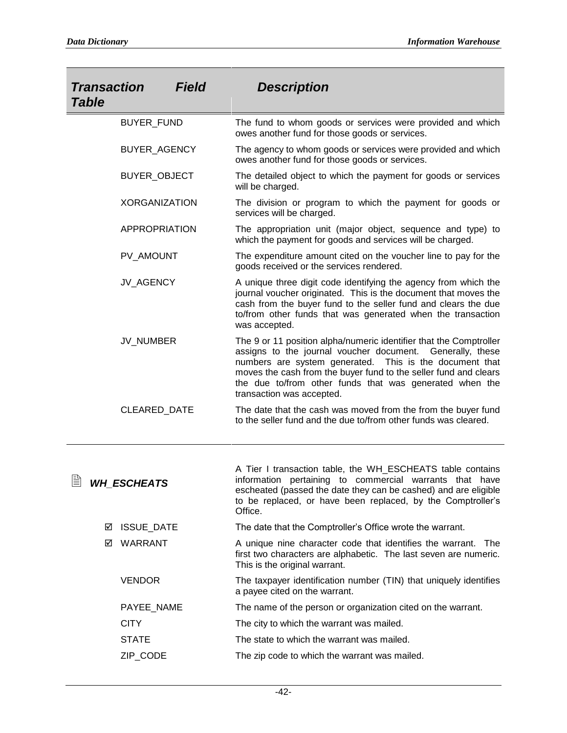| <b>Transaction</b><br><b>Table</b> | <b>Field</b> | <b>Description</b>                                                                                                                                                                                                                                                                                                                                     |
|------------------------------------|--------------|--------------------------------------------------------------------------------------------------------------------------------------------------------------------------------------------------------------------------------------------------------------------------------------------------------------------------------------------------------|
| <b>BUYER FUND</b>                  |              | The fund to whom goods or services were provided and which<br>owes another fund for those goods or services.                                                                                                                                                                                                                                           |
| BUYER_AGENCY                       |              | The agency to whom goods or services were provided and which<br>owes another fund for those goods or services.                                                                                                                                                                                                                                         |
| BUYER_OBJECT                       |              | The detailed object to which the payment for goods or services<br>will be charged.                                                                                                                                                                                                                                                                     |
| <b>XORGANIZATION</b>               |              | The division or program to which the payment for goods or<br>services will be charged.                                                                                                                                                                                                                                                                 |
| APPROPRIATION                      |              | The appropriation unit (major object, sequence and type) to<br>which the payment for goods and services will be charged.                                                                                                                                                                                                                               |
| PV_AMOUNT                          |              | The expenditure amount cited on the voucher line to pay for the<br>goods received or the services rendered.                                                                                                                                                                                                                                            |
| JV_AGENCY                          |              | A unique three digit code identifying the agency from which the<br>journal voucher originated. This is the document that moves the<br>cash from the buyer fund to the seller fund and clears the due<br>to/from other funds that was generated when the transaction<br>was accepted.                                                                   |
| JV_NUMBER                          |              | The 9 or 11 position alpha/numeric identifier that the Comptroller<br>assigns to the journal voucher document. Generally, these<br>numbers are system generated. This is the document that<br>moves the cash from the buyer fund to the seller fund and clears<br>the due to/from other funds that was generated when the<br>transaction was accepted. |
| CLEARED_DATE                       |              | The date that the cash was moved from the from the buyer fund<br>to the seller fund and the due to/from other funds was cleared.                                                                                                                                                                                                                       |
| WH_ESCHEATS                        |              | A Tier I transaction table, the WH_ESCHEATS table contains<br>information pertaining to commercial warrants that have<br>escheated (passed the date they can be cashed) and are eligible<br>to be replaced, or have been replaced, by the Comptroller's<br>Office.                                                                                     |
| <b>ISSUE_DATE</b><br>⊠             |              | The date that the Comptroller's Office wrote the warrant.                                                                                                                                                                                                                                                                                              |
| WARRANT<br>☑                       |              | A unique nine character code that identifies the warrant. The<br>first two characters are alphabetic. The last seven are numeric.<br>This is the original warrant.                                                                                                                                                                                     |
| <b>VENDOR</b>                      |              | The taxpayer identification number (TIN) that uniquely identifies<br>a payee cited on the warrant.                                                                                                                                                                                                                                                     |
| PAYEE_NAME                         |              | The name of the person or organization cited on the warrant.                                                                                                                                                                                                                                                                                           |
| <b>CITY</b>                        |              | The city to which the warrant was mailed.                                                                                                                                                                                                                                                                                                              |
| <b>STATE</b>                       |              | The state to which the warrant was mailed.                                                                                                                                                                                                                                                                                                             |

ZIP\_CODE The zip code to which the warrant was mailed.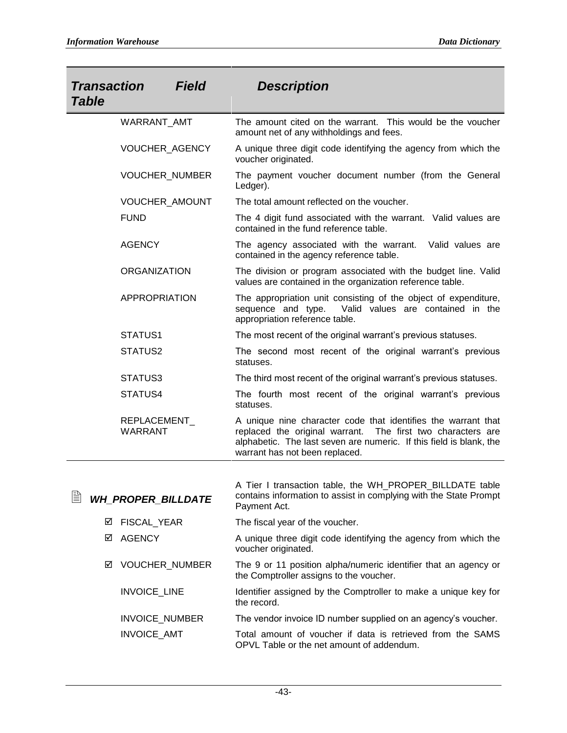| <b>Transaction</b><br><b>Table</b> | <b>Field</b>          | <b>Description</b>                                                                                                                                                                                                                    |
|------------------------------------|-----------------------|---------------------------------------------------------------------------------------------------------------------------------------------------------------------------------------------------------------------------------------|
| WARRANT_AMT                        |                       | The amount cited on the warrant. This would be the voucher<br>amount net of any withholdings and fees.                                                                                                                                |
|                                    | VOUCHER_AGENCY        | A unique three digit code identifying the agency from which the<br>voucher originated.                                                                                                                                                |
|                                    | <b>VOUCHER NUMBER</b> | The payment voucher document number (from the General<br>Ledger).                                                                                                                                                                     |
|                                    | VOUCHER_AMOUNT        | The total amount reflected on the voucher.                                                                                                                                                                                            |
| <b>FUND</b>                        |                       | The 4 digit fund associated with the warrant. Valid values are<br>contained in the fund reference table.                                                                                                                              |
| <b>AGENCY</b>                      |                       | The agency associated with the warrant.<br>Valid values are<br>contained in the agency reference table.                                                                                                                               |
| <b>ORGANIZATION</b>                |                       | The division or program associated with the budget line. Valid<br>values are contained in the organization reference table.                                                                                                           |
| <b>APPROPRIATION</b>               |                       | The appropriation unit consisting of the object of expenditure,<br>sequence and type.<br>Valid values are contained in the<br>appropriation reference table.                                                                          |
| STATUS1                            |                       | The most recent of the original warrant's previous statuses.                                                                                                                                                                          |
| STATUS2                            |                       | The second most recent of the original warrant's previous<br>statuses.                                                                                                                                                                |
| STATUS3                            |                       | The third most recent of the original warrant's previous statuses.                                                                                                                                                                    |
| STATUS4                            |                       | The fourth most recent of the original warrant's previous<br>statuses.                                                                                                                                                                |
| REPLACEMENT_<br><b>WARRANT</b>     |                       | A unique nine character code that identifies the warrant that<br>replaced the original warrant. The first two characters are<br>alphabetic. The last seven are numeric. If this field is blank, the<br>warrant has not been replaced. |
|                                    |                       | A Tier I transaction table, the WH_PROPER_BILLDATE table                                                                                                                                                                              |
| È<br><b>WH_PROPER_BILLDATE</b>     |                       | contains information to assist in complying with the State Prompt<br>Payment Act.                                                                                                                                                     |
| FISCAL_YEAR<br>⊻                   |                       | The fiscal year of the voucher.                                                                                                                                                                                                       |
| <b>AGENCY</b><br>⊠                 |                       | A unique three digit code identifying the agency from which the<br>voucher originated.                                                                                                                                                |
| ⊻                                  | VOUCHER_NUMBER        | The 9 or 11 position alpha/numeric identifier that an agency or<br>the Comptroller assigns to the voucher.                                                                                                                            |
| INVOICE_LINE                       |                       | Identifier assigned by the Comptroller to make a unique key for<br>the record.                                                                                                                                                        |
| INVOICE_NUMBER                     |                       | The vendor invoice ID number supplied on an agency's voucher.                                                                                                                                                                         |
| INVOICE_AMT                        |                       | Total amount of voucher if data is retrieved from the SAMS<br>OPVL Table or the net amount of addendum.                                                                                                                               |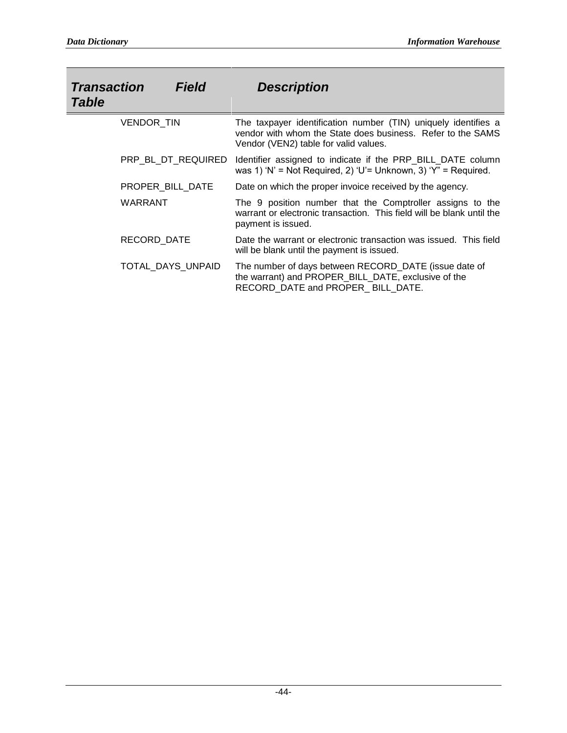| <b>Transaction</b><br><b>Field</b><br><b>Table</b> | <b>Description</b>                                                                                                                                                     |
|----------------------------------------------------|------------------------------------------------------------------------------------------------------------------------------------------------------------------------|
| VENDOR TIN                                         | The taxpayer identification number (TIN) uniquely identifies a<br>vendor with whom the State does business. Refer to the SAMS<br>Vendor (VEN2) table for valid values. |
| PRP BL DT REQUIRED                                 | Identifier assigned to indicate if the PRP_BILL_DATE column<br>was 1) 'N' = Not Required, 2) 'U'= Unknown, 3) 'Y" = Required.                                          |
| PROPER BILL DATE                                   | Date on which the proper invoice received by the agency.                                                                                                               |
| WARRANT                                            | The 9 position number that the Comptroller assigns to the<br>warrant or electronic transaction. This field will be blank until the<br>payment is issued.               |
| RECORD DATE                                        | Date the warrant or electronic transaction was issued. This field<br>will be blank until the payment is issued.                                                        |
| TOTAL DAYS UNPAID                                  | The number of days between RECORD_DATE (issue date of<br>the warrant) and PROPER_BILL_DATE, exclusive of the<br>RECORD DATE and PROPER BILL DATE.                      |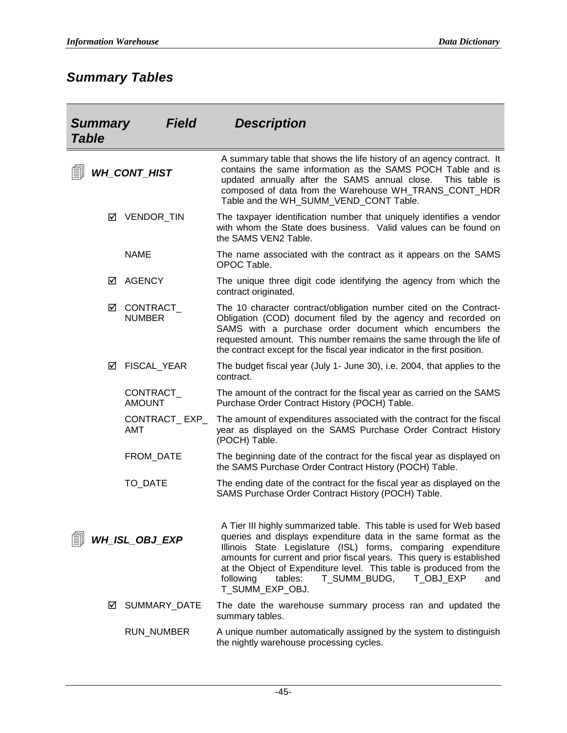# *Summary Tables*

| <b>Field</b><br><b>Summary</b><br><b>Table</b> |   |                             | <b>Description</b>                                                                                                                                                                                                                                                                                                                                                                                                                      |
|------------------------------------------------|---|-----------------------------|-----------------------------------------------------------------------------------------------------------------------------------------------------------------------------------------------------------------------------------------------------------------------------------------------------------------------------------------------------------------------------------------------------------------------------------------|
|                                                |   | <b>WH_CONT_HIST</b>         | A summary table that shows the life history of an agency contract. It<br>contains the same information as the SAMS POCH Table and is<br>updated annually after the SAMS annual close.<br>This table is<br>composed of data from the Warehouse WH_TRANS_CONT_HDR<br>Table and the WH_SUMM_VEND_CONT Table.                                                                                                                               |
|                                                | ☑ | VENDOR_TIN                  | The taxpayer identification number that uniquely identifies a vendor<br>with whom the State does business. Valid values can be found on<br>the SAMS VEN2 Table.                                                                                                                                                                                                                                                                         |
|                                                |   | <b>NAME</b>                 | The name associated with the contract as it appears on the SAMS<br>OPOC Table.                                                                                                                                                                                                                                                                                                                                                          |
|                                                | ☑ | <b>AGENCY</b>               | The unique three digit code identifying the agency from which the<br>contract originated.                                                                                                                                                                                                                                                                                                                                               |
|                                                | ☑ | CONTRACT_<br><b>NUMBER</b>  | The 10 character contract/obligation number cited on the Contract-<br>Obligation (COD) document filed by the agency and recorded on<br>SAMS with a purchase order document which encumbers the<br>requested amount. This number remains the same through the life of<br>the contract except for the fiscal year indicator in the first position.                                                                                        |
|                                                | ☑ | FISCAL_YEAR                 | The budget fiscal year (July 1- June 30), i.e. 2004, that applies to the<br>contract.                                                                                                                                                                                                                                                                                                                                                   |
|                                                |   | CONTRACT_<br><b>AMOUNT</b>  | The amount of the contract for the fiscal year as carried on the SAMS<br>Purchase Order Contract History (POCH) Table.                                                                                                                                                                                                                                                                                                                  |
|                                                |   | CONTRACT_EXP_<br><b>AMT</b> | The amount of expenditures associated with the contract for the fiscal<br>year as displayed on the SAMS Purchase Order Contract History<br>(POCH) Table.                                                                                                                                                                                                                                                                                |
|                                                |   | FROM_DATE                   | The beginning date of the contract for the fiscal year as displayed on<br>the SAMS Purchase Order Contract History (POCH) Table.                                                                                                                                                                                                                                                                                                        |
|                                                |   | TO_DATE                     | The ending date of the contract for the fiscal year as displayed on the<br>SAMS Purchase Order Contract History (POCH) Table.                                                                                                                                                                                                                                                                                                           |
|                                                |   | WH_ISL_OBJ_EXP              | A Tier III highly summarized table. This table is used for Web based<br>queries and displays expenditure data in the same format as the<br>Illinois State Legislature (ISL) forms, comparing expenditure<br>amounts for current and prior fiscal years. This query is established<br>at the Object of Expenditure level. This table is produced from the<br>tables:<br>T_SUMM_BUDG,<br>following<br>T OBJ EXP<br>and<br>T SUMM EXP OBJ. |
|                                                | ☑ | SUMMARY_DATE                | The date the warehouse summary process ran and updated the<br>summary tables.                                                                                                                                                                                                                                                                                                                                                           |
|                                                |   | RUN_NUMBER                  | A unique number automatically assigned by the system to distinguish<br>the nightly warehouse processing cycles.                                                                                                                                                                                                                                                                                                                         |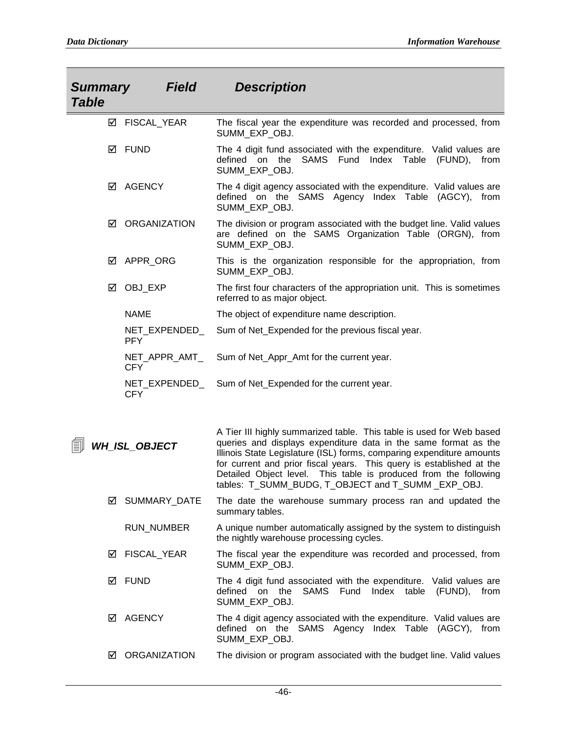| <b>Field</b><br><b>Summary</b><br><b>Table</b> |                             | <b>Description</b>                                                                                                                                                                                                                                                                                                                                                                                                 |
|------------------------------------------------|-----------------------------|--------------------------------------------------------------------------------------------------------------------------------------------------------------------------------------------------------------------------------------------------------------------------------------------------------------------------------------------------------------------------------------------------------------------|
| ☑                                              | FISCAL_YEAR                 | The fiscal year the expenditure was recorded and processed, from<br>SUMM_EXP_OBJ.                                                                                                                                                                                                                                                                                                                                  |
| ☑                                              | <b>FUND</b>                 | The 4 digit fund associated with the expenditure. Valid values are<br>the<br>SAMS<br>Fund<br>Index<br>Table<br>(FUND),<br>defined on<br>from<br>SUMM_EXP_OBJ.                                                                                                                                                                                                                                                      |
| ☑                                              | <b>AGENCY</b>               | The 4 digit agency associated with the expenditure. Valid values are<br>defined on the SAMS Agency Index Table (AGCY), from<br>SUMM_EXP_OBJ.                                                                                                                                                                                                                                                                       |
| ☑                                              | ORGANIZATION                | The division or program associated with the budget line. Valid values<br>are defined on the SAMS Organization Table (ORGN), from<br>SUMM_EXP_OBJ.                                                                                                                                                                                                                                                                  |
| ☑                                              | APPR ORG                    | This is the organization responsible for the appropriation, from<br>SUMM EXP OBJ.                                                                                                                                                                                                                                                                                                                                  |
| ☑                                              | OBJ_EXP                     | The first four characters of the appropriation unit. This is sometimes<br>referred to as major object.                                                                                                                                                                                                                                                                                                             |
|                                                | <b>NAME</b>                 | The object of expenditure name description.                                                                                                                                                                                                                                                                                                                                                                        |
|                                                | NET_EXPENDED_<br><b>PFY</b> | Sum of Net_Expended for the previous fiscal year.                                                                                                                                                                                                                                                                                                                                                                  |
|                                                | NET_APPR_AMT_<br><b>CFY</b> | Sum of Net_Appr_Amt for the current year.                                                                                                                                                                                                                                                                                                                                                                          |
|                                                | NET_EXPENDED_<br><b>CFY</b> | Sum of Net_Expended for the current year.                                                                                                                                                                                                                                                                                                                                                                          |
|                                                | WH ISL OBJECT               | A Tier III highly summarized table. This table is used for Web based<br>queries and displays expenditure data in the same format as the<br>Illinois State Legislature (ISL) forms, comparing expenditure amounts<br>for current and prior fiscal years. This query is established at the<br>Detailed Object level. This table is produced from the following<br>tables: T_SUMM_BUDG, T_OBJECT and T_SUMM _EXP_OBJ. |
| ☑                                              | SUMMARY_DATE                | The date the warehouse summary process ran and updated the<br>summary tables.                                                                                                                                                                                                                                                                                                                                      |
|                                                | <b>RUN_NUMBER</b>           | A unique number automatically assigned by the system to distinguish<br>the nightly warehouse processing cycles.                                                                                                                                                                                                                                                                                                    |
| ☑                                              | <b>FISCAL YEAR</b>          | The fiscal year the expenditure was recorded and processed, from<br>SUMM EXP OBJ.                                                                                                                                                                                                                                                                                                                                  |
| ☑                                              | <b>FUND</b>                 | The 4 digit fund associated with the expenditure. Valid values are<br>SAMS Fund<br>defined on the<br>Index table<br>(FUND),<br>from<br>SUMM EXP OBJ.                                                                                                                                                                                                                                                               |
| ☑                                              | <b>AGENCY</b>               | The 4 digit agency associated with the expenditure. Valid values are<br>defined on the SAMS Agency Index Table (AGCY), from<br>SUMM_EXP_OBJ.                                                                                                                                                                                                                                                                       |
| ☑                                              | <b>ORGANIZATION</b>         | The division or program associated with the budget line. Valid values                                                                                                                                                                                                                                                                                                                                              |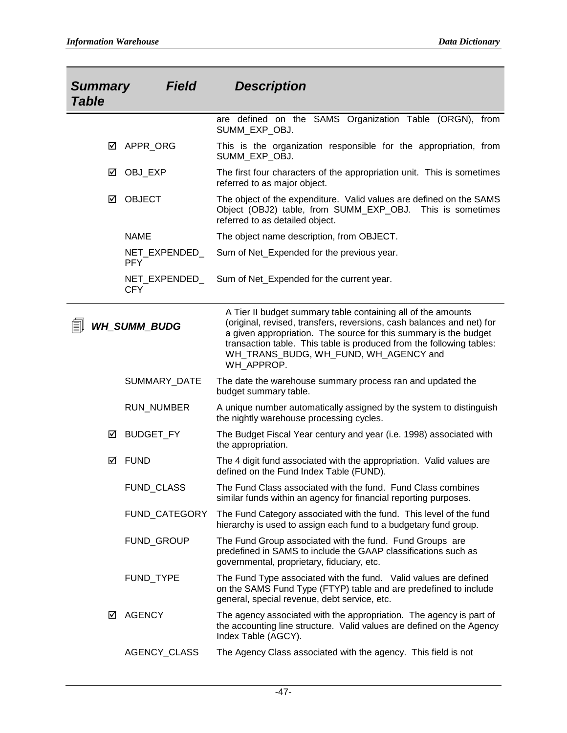| <b>Summary</b><br><b>Table</b> | <b>Field</b>                | <b>Description</b>                                                                                                                                                                                                                                                                                                                       |
|--------------------------------|-----------------------------|------------------------------------------------------------------------------------------------------------------------------------------------------------------------------------------------------------------------------------------------------------------------------------------------------------------------------------------|
|                                |                             | are defined on the SAMS Organization Table (ORGN), from<br>SUMM EXP OBJ.                                                                                                                                                                                                                                                                 |
| ☑                              | APPR_ORG                    | This is the organization responsible for the appropriation, from<br>SUMM_EXP_OBJ.                                                                                                                                                                                                                                                        |
| ☑                              | OBJ_EXP                     | The first four characters of the appropriation unit. This is sometimes<br>referred to as major object.                                                                                                                                                                                                                                   |
| ☑                              | <b>OBJECT</b>               | The object of the expenditure. Valid values are defined on the SAMS<br>Object (OBJ2) table, from SUMM_EXP_OBJ. This is sometimes<br>referred to as detailed object.                                                                                                                                                                      |
|                                | <b>NAME</b>                 | The object name description, from OBJECT.                                                                                                                                                                                                                                                                                                |
|                                | NET_EXPENDED_<br><b>PFY</b> | Sum of Net_Expended for the previous year.                                                                                                                                                                                                                                                                                               |
|                                | NET_EXPENDED_<br><b>CFY</b> | Sum of Net_Expended for the current year.                                                                                                                                                                                                                                                                                                |
|                                | <b>WH SUMM BUDG</b>         | A Tier II budget summary table containing all of the amounts<br>(original, revised, transfers, reversions, cash balances and net) for<br>a given appropriation. The source for this summary is the budget<br>transaction table. This table is produced from the following tables:<br>WH_TRANS_BUDG, WH_FUND, WH_AGENCY and<br>WH APPROP. |
|                                | SUMMARY_DATE                | The date the warehouse summary process ran and updated the<br>budget summary table.                                                                                                                                                                                                                                                      |
|                                | RUN_NUMBER                  | A unique number automatically assigned by the system to distinguish<br>the nightly warehouse processing cycles.                                                                                                                                                                                                                          |
| ⊻                              | BUDGET_FY                   | The Budget Fiscal Year century and year (i.e. 1998) associated with<br>the appropriation.                                                                                                                                                                                                                                                |
| ☑                              | <b>FUND</b>                 | The 4 digit fund associated with the appropriation. Valid values are<br>defined on the Fund Index Table (FUND).                                                                                                                                                                                                                          |
|                                | FUND_CLASS                  | The Fund Class associated with the fund. Fund Class combines<br>similar funds within an agency for financial reporting purposes.                                                                                                                                                                                                         |
|                                | FUND_CATEGORY               | The Fund Category associated with the fund. This level of the fund<br>hierarchy is used to assign each fund to a budgetary fund group.                                                                                                                                                                                                   |
|                                | FUND_GROUP                  | The Fund Group associated with the fund. Fund Groups are<br>predefined in SAMS to include the GAAP classifications such as<br>governmental, proprietary, fiduciary, etc.                                                                                                                                                                 |
|                                | FUND_TYPE                   | The Fund Type associated with the fund. Valid values are defined<br>on the SAMS Fund Type (FTYP) table and are predefined to include<br>general, special revenue, debt service, etc.                                                                                                                                                     |
| ☑                              | <b>AGENCY</b>               | The agency associated with the appropriation. The agency is part of<br>the accounting line structure. Valid values are defined on the Agency<br>Index Table (AGCY).                                                                                                                                                                      |
|                                | AGENCY_CLASS                | The Agency Class associated with the agency. This field is not                                                                                                                                                                                                                                                                           |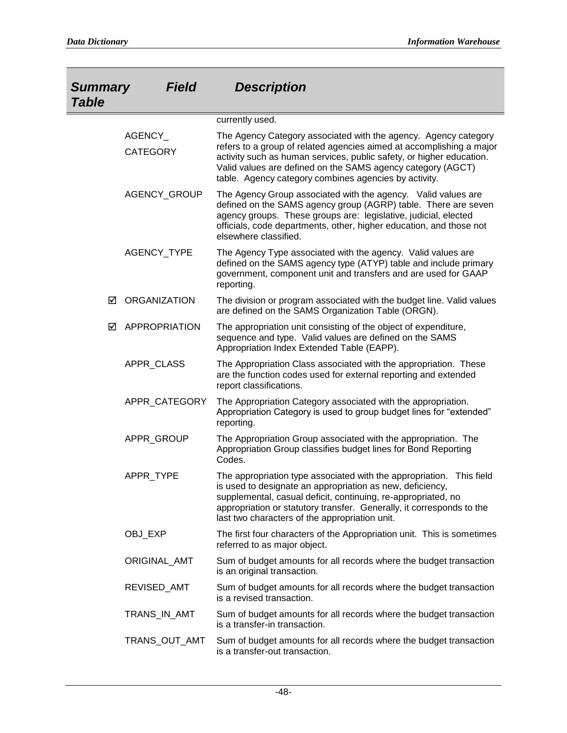| <b>Field</b><br><b>Summary</b><br><b>Table</b> |                            | <b>Description</b>                                                                                                                                                                                                                                                                                                                      |
|------------------------------------------------|----------------------------|-----------------------------------------------------------------------------------------------------------------------------------------------------------------------------------------------------------------------------------------------------------------------------------------------------------------------------------------|
|                                                |                            | currently used.                                                                                                                                                                                                                                                                                                                         |
|                                                | AGENCY_<br><b>CATEGORY</b> | The Agency Category associated with the agency. Agency category<br>refers to a group of related agencies aimed at accomplishing a major<br>activity such as human services, public safety, or higher education.<br>Valid values are defined on the SAMS agency category (AGCT)<br>table. Agency category combines agencies by activity. |
|                                                | AGENCY_GROUP               | The Agency Group associated with the agency. Valid values are<br>defined on the SAMS agency group (AGRP) table. There are seven<br>agency groups. These groups are: legislative, judicial, elected<br>officials, code departments, other, higher education, and those not<br>elsewhere classified.                                      |
|                                                | AGENCY_TYPE                | The Agency Type associated with the agency. Valid values are<br>defined on the SAMS agency type (ATYP) table and include primary<br>government, component unit and transfers and are used for GAAP<br>reporting.                                                                                                                        |
| ☑                                              | <b>ORGANIZATION</b>        | The division or program associated with the budget line. Valid values<br>are defined on the SAMS Organization Table (ORGN).                                                                                                                                                                                                             |
| ☑                                              | APPROPRIATION              | The appropriation unit consisting of the object of expenditure,<br>sequence and type. Valid values are defined on the SAMS<br>Appropriation Index Extended Table (EAPP).                                                                                                                                                                |
|                                                | APPR_CLASS                 | The Appropriation Class associated with the appropriation. These<br>are the function codes used for external reporting and extended<br>report classifications.                                                                                                                                                                          |
|                                                | APPR_CATEGORY              | The Appropriation Category associated with the appropriation.<br>Appropriation Category is used to group budget lines for "extended"<br>reporting.                                                                                                                                                                                      |
|                                                | APPR GROUP                 | The Appropriation Group associated with the appropriation. The<br>Appropriation Group classifies budget lines for Bond Reporting<br>Codes.                                                                                                                                                                                              |
|                                                | APPR TYPE                  | The appropriation type associated with the appropriation. This field<br>is used to designate an appropriation as new, deficiency,<br>supplemental, casual deficit, continuing, re-appropriated, no<br>appropriation or statutory transfer. Generally, it corresponds to the<br>last two characters of the appropriation unit.           |
|                                                | OBJ_EXP                    | The first four characters of the Appropriation unit. This is sometimes<br>referred to as major object.                                                                                                                                                                                                                                  |
|                                                | ORIGINAL_AMT               | Sum of budget amounts for all records where the budget transaction<br>is an original transaction.                                                                                                                                                                                                                                       |
|                                                | REVISED_AMT                | Sum of budget amounts for all records where the budget transaction<br>is a revised transaction.                                                                                                                                                                                                                                         |
|                                                | TRANS_IN_AMT               | Sum of budget amounts for all records where the budget transaction<br>is a transfer-in transaction.                                                                                                                                                                                                                                     |
|                                                | TRANS_OUT_AMT              | Sum of budget amounts for all records where the budget transaction<br>is a transfer-out transaction.                                                                                                                                                                                                                                    |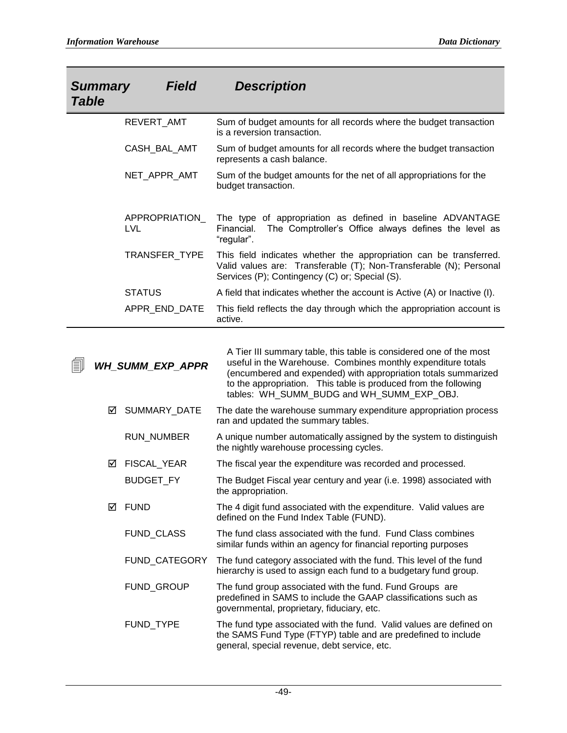| <b>Field</b><br><b>Summary</b><br><b>Table</b> | <b>Description</b>                                                                                                                                                                         |
|------------------------------------------------|--------------------------------------------------------------------------------------------------------------------------------------------------------------------------------------------|
| REVERT_AMT                                     | Sum of budget amounts for all records where the budget transaction<br>is a reversion transaction.                                                                                          |
| CASH_BAL_AMT                                   | Sum of budget amounts for all records where the budget transaction<br>represents a cash balance.                                                                                           |
| NET_APPR_AMT                                   | Sum of the budget amounts for the net of all appropriations for the<br>budget transaction.                                                                                                 |
| APPROPRIATION<br>LVL                           | The type of appropriation as defined in baseline ADVANTAGE<br>The Comptroller's Office always defines the level as<br>Financial.<br>"regular".                                             |
| TRANSFER TYPE                                  | This field indicates whether the appropriation can be transferred.<br>Valid values are: Transferable (T); Non-Transferable (N); Personal<br>Services (P); Contingency (C) or; Special (S). |
| <b>STATUS</b>                                  | A field that indicates whether the account is Active (A) or Inactive (I).                                                                                                                  |
| APPR END DATE                                  | This field reflects the day through which the appropriation account is<br>active.                                                                                                          |

| 勖 | <b>WH_SUMM_EXP_APPR</b> |                      | A Tier III summary table, this table is considered one of the most<br>useful in the Warehouse. Combines monthly expenditure totals<br>(encumbered and expended) with appropriation totals summarized<br>to the appropriation. This table is produced from the following<br>tables: WH_SUMM_BUDG and WH_SUMM_EXP_OBJ. |
|---|-------------------------|----------------------|----------------------------------------------------------------------------------------------------------------------------------------------------------------------------------------------------------------------------------------------------------------------------------------------------------------------|
|   | ☑                       | SUMMARY_DATE         | The date the warehouse summary expenditure appropriation process<br>ran and updated the summary tables.                                                                                                                                                                                                              |
|   |                         | RUN_NUMBER           | A unique number automatically assigned by the system to distinguish<br>the nightly warehouse processing cycles.                                                                                                                                                                                                      |
|   | ☑                       | FISCAL_YEAR          | The fiscal year the expenditure was recorded and processed.                                                                                                                                                                                                                                                          |
|   |                         | <b>BUDGET_FY</b>     | The Budget Fiscal year century and year (i.e. 1998) associated with<br>the appropriation.                                                                                                                                                                                                                            |
|   | ☑                       | <b>FUND</b>          | The 4 digit fund associated with the expenditure. Valid values are<br>defined on the Fund Index Table (FUND).                                                                                                                                                                                                        |
|   |                         | FUND_CLASS           | The fund class associated with the fund. Fund Class combines<br>similar funds within an agency for financial reporting purposes                                                                                                                                                                                      |
|   |                         | <b>FUND CATEGORY</b> | The fund category associated with the fund. This level of the fund<br>hierarchy is used to assign each fund to a budgetary fund group.                                                                                                                                                                               |
|   |                         | FUND_GROUP           | The fund group associated with the fund. Fund Groups are<br>predefined in SAMS to include the GAAP classifications such as<br>governmental, proprietary, fiduciary, etc.                                                                                                                                             |
|   |                         | FUND_TYPE            | The fund type associated with the fund. Valid values are defined on<br>the SAMS Fund Type (FTYP) table and are predefined to include<br>general, special revenue, debt service, etc.                                                                                                                                 |
|   |                         |                      |                                                                                                                                                                                                                                                                                                                      |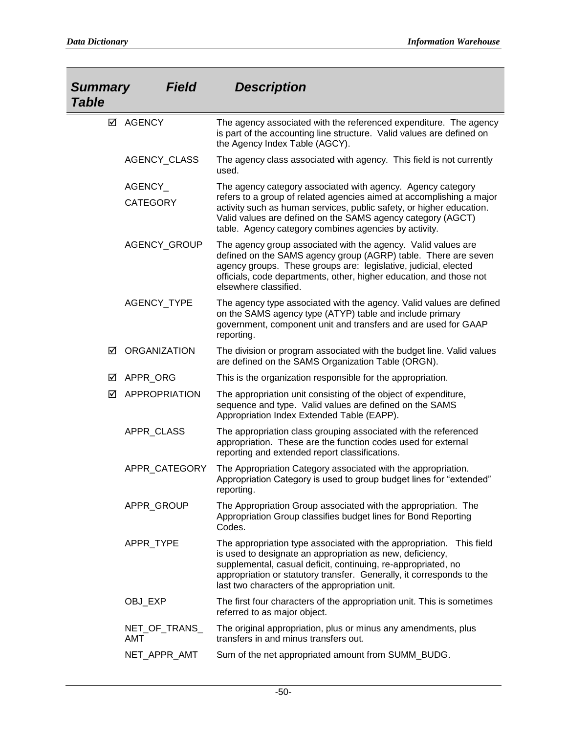| <b>Summary</b><br><b>Table</b> | <b>Field</b>               | <b>Description</b>                                                                                                                                                                                                                                                                                                                  |
|--------------------------------|----------------------------|-------------------------------------------------------------------------------------------------------------------------------------------------------------------------------------------------------------------------------------------------------------------------------------------------------------------------------------|
|                                | ☑ AGENCY                   | The agency associated with the referenced expenditure. The agency<br>is part of the accounting line structure. Valid values are defined on<br>the Agency Index Table (AGCY).                                                                                                                                                        |
|                                | AGENCY_CLASS               | The agency class associated with agency. This field is not currently<br>used.                                                                                                                                                                                                                                                       |
|                                | AGENCY_<br><b>CATEGORY</b> | The agency category associated with agency. Agency category<br>refers to a group of related agencies aimed at accomplishing a major<br>activity such as human services, public safety, or higher education.<br>Valid values are defined on the SAMS agency category (AGCT)<br>table. Agency category combines agencies by activity. |
|                                | AGENCY_GROUP               | The agency group associated with the agency. Valid values are<br>defined on the SAMS agency group (AGRP) table. There are seven<br>agency groups. These groups are: legislative, judicial, elected<br>officials, code departments, other, higher education, and those not<br>elsewhere classified.                                  |
|                                | AGENCY_TYPE                | The agency type associated with the agency. Valid values are defined<br>on the SAMS agency type (ATYP) table and include primary<br>government, component unit and transfers and are used for GAAP<br>reporting.                                                                                                                    |
| ☑                              | <b>ORGANIZATION</b>        | The division or program associated with the budget line. Valid values<br>are defined on the SAMS Organization Table (ORGN).                                                                                                                                                                                                         |
| ☑                              | APPR_ORG                   | This is the organization responsible for the appropriation.                                                                                                                                                                                                                                                                         |
| ⊠                              | <b>APPROPRIATION</b>       | The appropriation unit consisting of the object of expenditure,<br>sequence and type. Valid values are defined on the SAMS<br>Appropriation Index Extended Table (EAPP).                                                                                                                                                            |
|                                | APPR_CLASS                 | The appropriation class grouping associated with the referenced<br>appropriation. These are the function codes used for external<br>reporting and extended report classifications.                                                                                                                                                  |
|                                | APPR CATEGORY              | The Appropriation Category associated with the appropriation.<br>Appropriation Category is used to group budget lines for "extended"<br>reporting.                                                                                                                                                                                  |
|                                | APPR_GROUP                 | The Appropriation Group associated with the appropriation. The<br>Appropriation Group classifies budget lines for Bond Reporting<br>Codes.                                                                                                                                                                                          |
|                                | APPR_TYPE                  | The appropriation type associated with the appropriation.<br>This field<br>is used to designate an appropriation as new, deficiency,<br>supplemental, casual deficit, continuing, re-appropriated, no<br>appropriation or statutory transfer. Generally, it corresponds to the<br>last two characters of the appropriation unit.    |
|                                | OBJ_EXP                    | The first four characters of the appropriation unit. This is sometimes<br>referred to as major object.                                                                                                                                                                                                                              |
|                                | NET_OF_TRANS_<br>AMT       | The original appropriation, plus or minus any amendments, plus<br>transfers in and minus transfers out.                                                                                                                                                                                                                             |
|                                | NET_APPR_AMT               | Sum of the net appropriated amount from SUMM_BUDG.                                                                                                                                                                                                                                                                                  |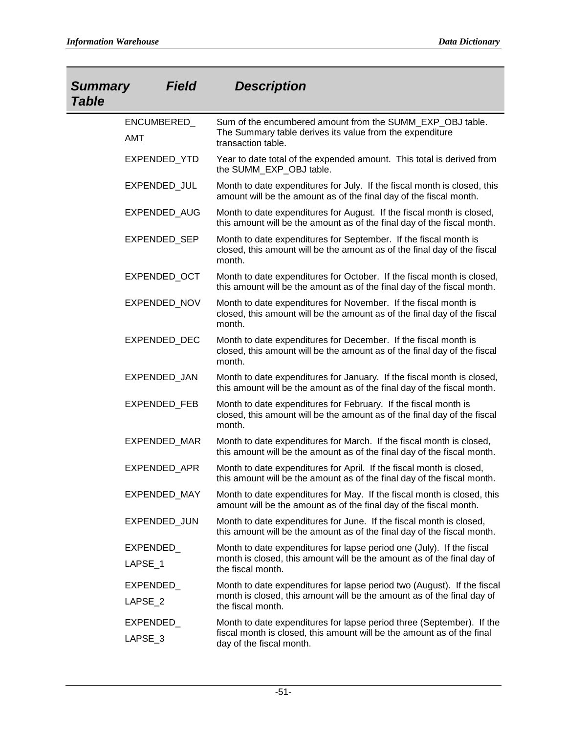| <b>Field</b><br><b>Summary</b><br><b>Table</b> | <b>Description</b>                                                                                                                                                          |
|------------------------------------------------|-----------------------------------------------------------------------------------------------------------------------------------------------------------------------------|
| ENCUMBERED_<br><b>AMT</b>                      | Sum of the encumbered amount from the SUMM_EXP_OBJ table.<br>The Summary table derives its value from the expenditure<br>transaction table.                                 |
| EXPENDED_YTD                                   | Year to date total of the expended amount. This total is derived from<br>the SUMM_EXP_OBJ table.                                                                            |
| EXPENDED_JUL                                   | Month to date expenditures for July. If the fiscal month is closed, this<br>amount will be the amount as of the final day of the fiscal month.                              |
| EXPENDED_AUG                                   | Month to date expenditures for August. If the fiscal month is closed,<br>this amount will be the amount as of the final day of the fiscal month.                            |
| EXPENDED_SEP                                   | Month to date expenditures for September. If the fiscal month is<br>closed, this amount will be the amount as of the final day of the fiscal<br>month.                      |
| EXPENDED_OCT                                   | Month to date expenditures for October. If the fiscal month is closed,<br>this amount will be the amount as of the final day of the fiscal month.                           |
| <b>EXPENDED NOV</b>                            | Month to date expenditures for November. If the fiscal month is<br>closed, this amount will be the amount as of the final day of the fiscal<br>month.                       |
| EXPENDED_DEC                                   | Month to date expenditures for December. If the fiscal month is<br>closed, this amount will be the amount as of the final day of the fiscal<br>month.                       |
| EXPENDED_JAN                                   | Month to date expenditures for January. If the fiscal month is closed,<br>this amount will be the amount as of the final day of the fiscal month.                           |
| EXPENDED_FEB                                   | Month to date expenditures for February. If the fiscal month is<br>closed, this amount will be the amount as of the final day of the fiscal<br>month.                       |
| EXPENDED_MAR                                   | Month to date expenditures for March. If the fiscal month is closed,<br>this amount will be the amount as of the final day of the fiscal month.                             |
| EXPENDED_APR                                   | Month to date expenditures for April. If the fiscal month is closed,<br>this amount will be the amount as of the final day of the fiscal month.                             |
| <b>EXPENDED MAY</b>                            | Month to date expenditures for May. If the fiscal month is closed, this<br>amount will be the amount as of the final day of the fiscal month.                               |
| EXPENDED_JUN                                   | Month to date expenditures for June. If the fiscal month is closed,<br>this amount will be the amount as of the final day of the fiscal month.                              |
| EXPENDED_<br>LAPSE 1                           | Month to date expenditures for lapse period one (July). If the fiscal<br>month is closed, this amount will be the amount as of the final day of<br>the fiscal month.        |
| EXPENDED<br>LAPSE_2                            | Month to date expenditures for lapse period two (August). If the fiscal<br>month is closed, this amount will be the amount as of the final day of<br>the fiscal month.      |
| EXPENDED_<br>LAPSE_3                           | Month to date expenditures for lapse period three (September). If the<br>fiscal month is closed, this amount will be the amount as of the final<br>day of the fiscal month. |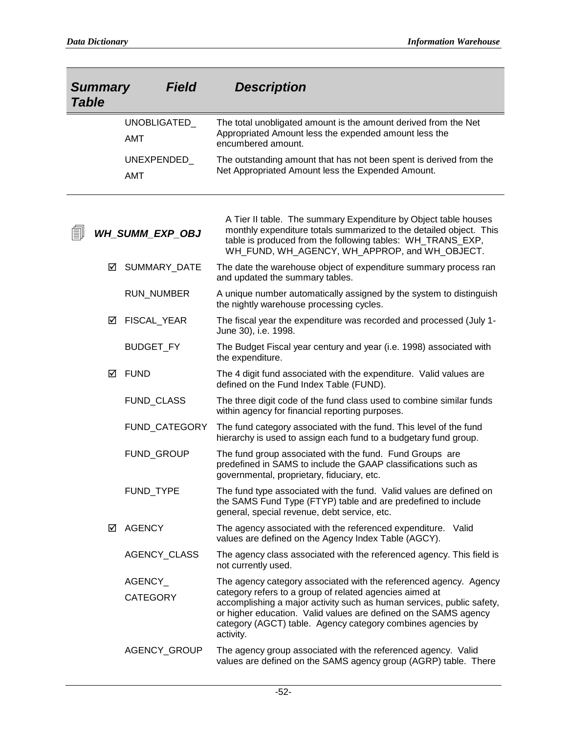| <b>Summary</b><br><b>Field</b><br><b>Table</b> |                            | <b>Description</b>                                                                                                                                                                                                                                                               |
|------------------------------------------------|----------------------------|----------------------------------------------------------------------------------------------------------------------------------------------------------------------------------------------------------------------------------------------------------------------------------|
|                                                | UNOBLIGATED_<br><b>AMT</b> | The total unobligated amount is the amount derived from the Net<br>Appropriated Amount less the expended amount less the<br>encumbered amount.                                                                                                                                   |
|                                                | UNEXPENDED_<br><b>AMT</b>  | The outstanding amount that has not been spent is derived from the<br>Net Appropriated Amount less the Expended Amount.                                                                                                                                                          |
| EI.                                            | <b>WH_SUMM_EXP_OBJ</b>     | A Tier II table. The summary Expenditure by Object table houses<br>monthly expenditure totals summarized to the detailed object. This<br>table is produced from the following tables: WH_TRANS_EXP,<br>WH_FUND, WH_AGENCY, WH_APPROP, and WH_OBJECT.                             |
| ☑                                              | SUMMARY_DATE               | The date the warehouse object of expenditure summary process ran<br>and updated the summary tables.                                                                                                                                                                              |
|                                                | <b>RUN_NUMBER</b>          | A unique number automatically assigned by the system to distinguish<br>the nightly warehouse processing cycles.                                                                                                                                                                  |
| ⊻                                              | FISCAL_YEAR                | The fiscal year the expenditure was recorded and processed (July 1-<br>June 30), i.e. 1998.                                                                                                                                                                                      |
|                                                | <b>BUDGET_FY</b>           | The Budget Fiscal year century and year (i.e. 1998) associated with<br>the expenditure.                                                                                                                                                                                          |
| ☑                                              | <b>FUND</b>                | The 4 digit fund associated with the expenditure. Valid values are<br>defined on the Fund Index Table (FUND).                                                                                                                                                                    |
|                                                | FUND_CLASS                 | The three digit code of the fund class used to combine similar funds<br>within agency for financial reporting purposes.                                                                                                                                                          |
|                                                | FUND_CATEGORY              | The fund category associated with the fund. This level of the fund<br>hierarchy is used to assign each fund to a budgetary fund group.                                                                                                                                           |
|                                                | FUND_GROUP                 | The fund group associated with the fund. Fund Groups are<br>predefined in SAMS to include the GAAP classifications such as<br>governmental, proprietary, fiduciary, etc.                                                                                                         |
|                                                | FUND_TYPE                  | The fund type associated with the fund. Valid values are defined on<br>the SAMS Fund Type (FTYP) table and are predefined to include<br>general, special revenue, debt service, etc.                                                                                             |
| ☑                                              | <b>AGENCY</b>              | The agency associated with the referenced expenditure. Valid<br>values are defined on the Agency Index Table (AGCY).                                                                                                                                                             |
|                                                | <b>AGENCY CLASS</b>        | The agency class associated with the referenced agency. This field is<br>not currently used.                                                                                                                                                                                     |
|                                                | AGENCY_                    | The agency category associated with the referenced agency. Agency                                                                                                                                                                                                                |
|                                                | <b>CATEGORY</b>            | category refers to a group of related agencies aimed at<br>accomplishing a major activity such as human services, public safety,<br>or higher education. Valid values are defined on the SAMS agency<br>category (AGCT) table. Agency category combines agencies by<br>activity. |
|                                                | AGENCY_GROUP               | The agency group associated with the referenced agency. Valid<br>values are defined on the SAMS agency group (AGRP) table. There                                                                                                                                                 |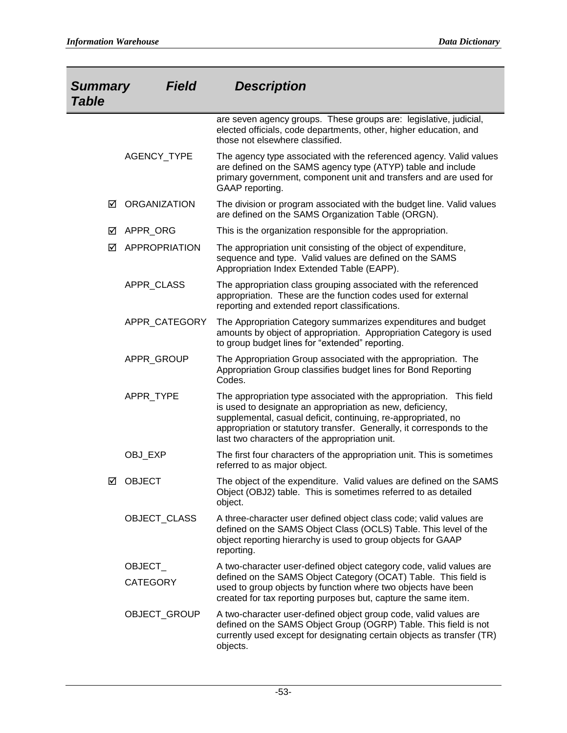| <b>Summary</b><br><b>Table</b> | <b>Field</b>        | <b>Description</b>                                                                                                                                                                                                                                                                                                            |
|--------------------------------|---------------------|-------------------------------------------------------------------------------------------------------------------------------------------------------------------------------------------------------------------------------------------------------------------------------------------------------------------------------|
|                                |                     | are seven agency groups. These groups are: legislative, judicial,<br>elected officials, code departments, other, higher education, and<br>those not elsewhere classified.                                                                                                                                                     |
|                                | AGENCY_TYPE         | The agency type associated with the referenced agency. Valid values<br>are defined on the SAMS agency type (ATYP) table and include<br>primary government, component unit and transfers and are used for<br>GAAP reporting.                                                                                                   |
| ☑                              | <b>ORGANIZATION</b> | The division or program associated with the budget line. Valid values<br>are defined on the SAMS Organization Table (ORGN).                                                                                                                                                                                                   |
| ☑                              | APPR_ORG            | This is the organization responsible for the appropriation.                                                                                                                                                                                                                                                                   |
| ☑                              | APPROPRIATION       | The appropriation unit consisting of the object of expenditure,<br>sequence and type. Valid values are defined on the SAMS<br>Appropriation Index Extended Table (EAPP).                                                                                                                                                      |
|                                | APPR_CLASS          | The appropriation class grouping associated with the referenced<br>appropriation. These are the function codes used for external<br>reporting and extended report classifications.                                                                                                                                            |
|                                | APPR CATEGORY       | The Appropriation Category summarizes expenditures and budget<br>amounts by object of appropriation. Appropriation Category is used<br>to group budget lines for "extended" reporting.                                                                                                                                        |
|                                | APPR_GROUP          | The Appropriation Group associated with the appropriation. The<br>Appropriation Group classifies budget lines for Bond Reporting<br>Codes.                                                                                                                                                                                    |
|                                | APPR_TYPE           | The appropriation type associated with the appropriation. This field<br>is used to designate an appropriation as new, deficiency,<br>supplemental, casual deficit, continuing, re-appropriated, no<br>appropriation or statutory transfer. Generally, it corresponds to the<br>last two characters of the appropriation unit. |
|                                | OBJ_EXP             | The first four characters of the appropriation unit. This is sometimes<br>referred to as major object.                                                                                                                                                                                                                        |
| ☑                              | <b>OBJECT</b>       | The object of the expenditure. Valid values are defined on the SAMS<br>Object (OBJ2) table. This is sometimes referred to as detailed<br>object.                                                                                                                                                                              |
|                                | OBJECT_CLASS        | A three-character user defined object class code; valid values are<br>defined on the SAMS Object Class (OCLS) Table. This level of the<br>object reporting hierarchy is used to group objects for GAAP<br>reporting.                                                                                                          |
|                                | OBJECT_             | A two-character user-defined object category code, valid values are                                                                                                                                                                                                                                                           |
|                                | <b>CATEGORY</b>     | defined on the SAMS Object Category (OCAT) Table. This field is<br>used to group objects by function where two objects have been<br>created for tax reporting purposes but, capture the same item.                                                                                                                            |
|                                | OBJECT_GROUP        | A two-character user-defined object group code, valid values are<br>defined on the SAMS Object Group (OGRP) Table. This field is not<br>currently used except for designating certain objects as transfer (TR)<br>objects.                                                                                                    |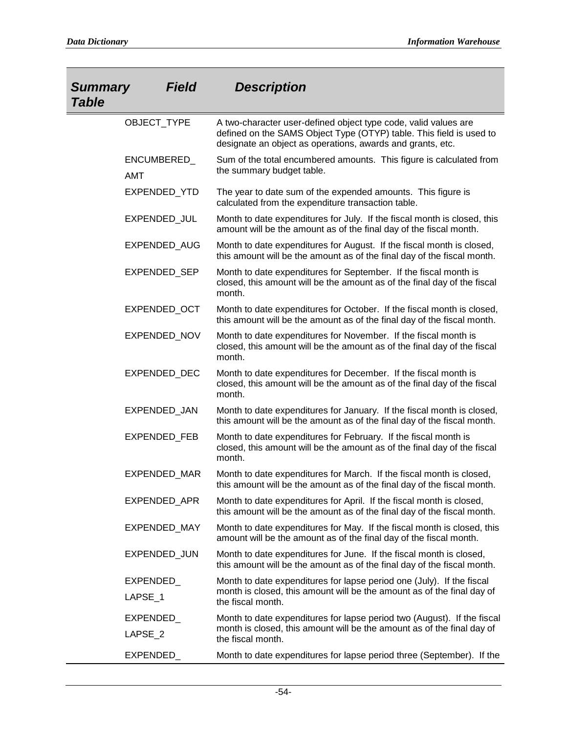| <b>Summary</b><br><b>Table</b> | <b>Field</b>        | <b>Description</b>                                                                                                                                                                                   |
|--------------------------------|---------------------|------------------------------------------------------------------------------------------------------------------------------------------------------------------------------------------------------|
|                                | OBJECT_TYPE         | A two-character user-defined object type code, valid values are<br>defined on the SAMS Object Type (OTYP) table. This field is used to<br>designate an object as operations, awards and grants, etc. |
| <b>AMT</b>                     | ENCUMBERED_         | Sum of the total encumbered amounts. This figure is calculated from<br>the summary budget table.                                                                                                     |
|                                | EXPENDED_YTD        | The year to date sum of the expended amounts. This figure is<br>calculated from the expenditure transaction table.                                                                                   |
|                                | EXPENDED_JUL        | Month to date expenditures for July. If the fiscal month is closed, this<br>amount will be the amount as of the final day of the fiscal month.                                                       |
|                                | EXPENDED_AUG        | Month to date expenditures for August. If the fiscal month is closed,<br>this amount will be the amount as of the final day of the fiscal month.                                                     |
|                                | EXPENDED_SEP        | Month to date expenditures for September. If the fiscal month is<br>closed, this amount will be the amount as of the final day of the fiscal<br>month.                                               |
|                                | EXPENDED_OCT        | Month to date expenditures for October. If the fiscal month is closed,<br>this amount will be the amount as of the final day of the fiscal month.                                                    |
|                                | EXPENDED_NOV        | Month to date expenditures for November. If the fiscal month is<br>closed, this amount will be the amount as of the final day of the fiscal<br>month.                                                |
|                                | EXPENDED_DEC        | Month to date expenditures for December. If the fiscal month is<br>closed, this amount will be the amount as of the final day of the fiscal<br>month.                                                |
|                                | EXPENDED_JAN        | Month to date expenditures for January. If the fiscal month is closed,<br>this amount will be the amount as of the final day of the fiscal month.                                                    |
|                                | <b>EXPENDED FEB</b> | Month to date expenditures for February. If the fiscal month is<br>closed, this amount will be the amount as of the final day of the fiscal<br>month.                                                |
|                                | <b>EXPENDED MAR</b> | Month to date expenditures for March. If the fiscal month is closed,<br>this amount will be the amount as of the final day of the fiscal month.                                                      |
|                                | EXPENDED_APR        | Month to date expenditures for April. If the fiscal month is closed,<br>this amount will be the amount as of the final day of the fiscal month.                                                      |
|                                | EXPENDED_MAY        | Month to date expenditures for May. If the fiscal month is closed, this<br>amount will be the amount as of the final day of the fiscal month.                                                        |
|                                | EXPENDED_JUN        | Month to date expenditures for June. If the fiscal month is closed,<br>this amount will be the amount as of the final day of the fiscal month.                                                       |
| EXPENDED_<br>LAPSE_1           |                     | Month to date expenditures for lapse period one (July). If the fiscal<br>month is closed, this amount will be the amount as of the final day of<br>the fiscal month.                                 |
| EXPENDED_<br>LAPSE 2           |                     | Month to date expenditures for lapse period two (August). If the fiscal<br>month is closed, this amount will be the amount as of the final day of<br>the fiscal month.                               |
| EXPENDED_                      |                     | Month to date expenditures for lapse period three (September). If the                                                                                                                                |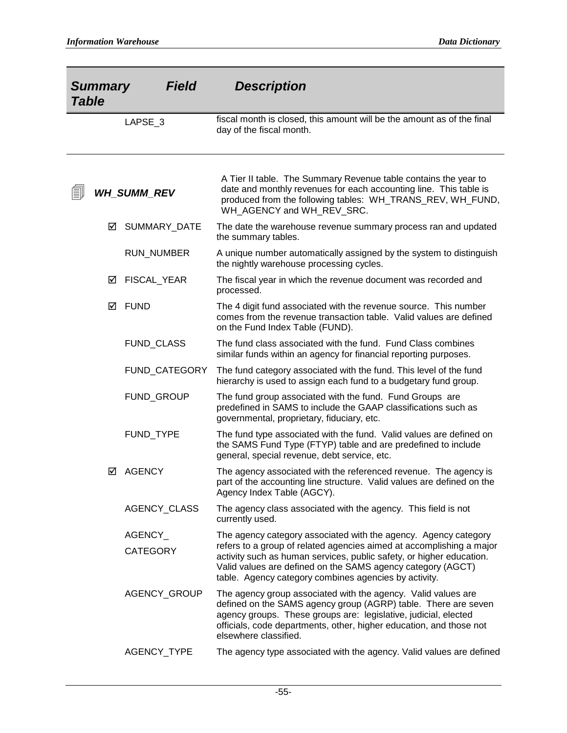| Field<br><b>Summary</b><br><b>Table</b> |   |                            | <b>Description</b>                                                                                                                                                                                                                                                                                                                      |
|-----------------------------------------|---|----------------------------|-----------------------------------------------------------------------------------------------------------------------------------------------------------------------------------------------------------------------------------------------------------------------------------------------------------------------------------------|
|                                         |   | LAPSE_3                    | fiscal month is closed, this amount will be the amount as of the final<br>day of the fiscal month.                                                                                                                                                                                                                                      |
| EI.                                     |   | <b>WH SUMM REV</b>         | A Tier II table. The Summary Revenue table contains the year to<br>date and monthly revenues for each accounting line. This table is<br>produced from the following tables: WH_TRANS_REV, WH_FUND,<br>WH_AGENCY and WH_REV_SRC.                                                                                                         |
|                                         | ☑ | SUMMARY_DATE               | The date the warehouse revenue summary process ran and updated<br>the summary tables.                                                                                                                                                                                                                                                   |
|                                         |   | RUN_NUMBER                 | A unique number automatically assigned by the system to distinguish<br>the nightly warehouse processing cycles.                                                                                                                                                                                                                         |
|                                         | ☑ | <b>FISCAL YEAR</b>         | The fiscal year in which the revenue document was recorded and<br>processed.                                                                                                                                                                                                                                                            |
|                                         | ☑ | <b>FUND</b>                | The 4 digit fund associated with the revenue source. This number<br>comes from the revenue transaction table. Valid values are defined<br>on the Fund Index Table (FUND).                                                                                                                                                               |
|                                         |   | FUND_CLASS                 | The fund class associated with the fund. Fund Class combines<br>similar funds within an agency for financial reporting purposes.                                                                                                                                                                                                        |
|                                         |   | FUND_CATEGORY              | The fund category associated with the fund. This level of the fund<br>hierarchy is used to assign each fund to a budgetary fund group.                                                                                                                                                                                                  |
|                                         |   | FUND_GROUP                 | The fund group associated with the fund. Fund Groups are<br>predefined in SAMS to include the GAAP classifications such as<br>governmental, proprietary, fiduciary, etc.                                                                                                                                                                |
|                                         |   | FUND TYPE                  | The fund type associated with the fund. Valid values are defined on<br>the SAMS Fund Type (FTYP) table and are predefined to include<br>general, special revenue, debt service, etc.                                                                                                                                                    |
|                                         | ⋈ | <b>AGENCY</b>              | The agency associated with the referenced revenue. The agency is<br>part of the accounting line structure. Valid values are defined on the<br>Agency Index Table (AGCY).                                                                                                                                                                |
|                                         |   | AGENCY_CLASS               | The agency class associated with the agency. This field is not<br>currently used.                                                                                                                                                                                                                                                       |
|                                         |   | AGENCY_<br><b>CATEGORY</b> | The agency category associated with the agency. Agency category<br>refers to a group of related agencies aimed at accomplishing a major<br>activity such as human services, public safety, or higher education.<br>Valid values are defined on the SAMS agency category (AGCT)<br>table. Agency category combines agencies by activity. |
|                                         |   | AGENCY_GROUP               | The agency group associated with the agency. Valid values are<br>defined on the SAMS agency group (AGRP) table. There are seven<br>agency groups. These groups are: legislative, judicial, elected<br>officials, code departments, other, higher education, and those not<br>elsewhere classified.                                      |
|                                         |   | AGENCY_TYPE                | The agency type associated with the agency. Valid values are defined                                                                                                                                                                                                                                                                    |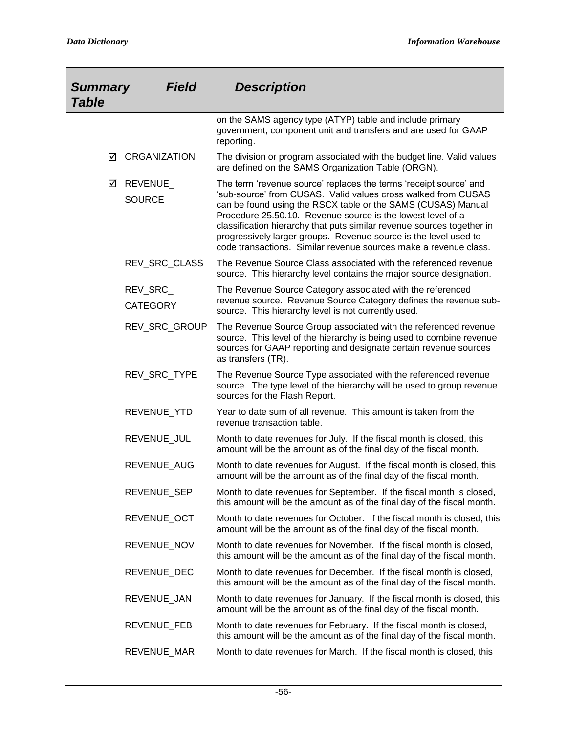| <b>Summary</b><br><b>Table</b> | <b>Field</b>                | <b>Description</b>                                                                                                                                                                                                                                                                                                                                                                                                                                                                  |
|--------------------------------|-----------------------------|-------------------------------------------------------------------------------------------------------------------------------------------------------------------------------------------------------------------------------------------------------------------------------------------------------------------------------------------------------------------------------------------------------------------------------------------------------------------------------------|
|                                |                             | on the SAMS agency type (ATYP) table and include primary<br>government, component unit and transfers and are used for GAAP<br>reporting.                                                                                                                                                                                                                                                                                                                                            |
| ☑                              | <b>ORGANIZATION</b>         | The division or program associated with the budget line. Valid values<br>are defined on the SAMS Organization Table (ORGN).                                                                                                                                                                                                                                                                                                                                                         |
| ☑                              | REVENUE_<br><b>SOURCE</b>   | The term 'revenue source' replaces the terms 'receipt source' and<br>'sub-source' from CUSAS. Valid values cross walked from CUSAS<br>can be found using the RSCX table or the SAMS (CUSAS) Manual<br>Procedure 25.50.10. Revenue source is the lowest level of a<br>classification hierarchy that puts similar revenue sources together in<br>progressively larger groups. Revenue source is the level used to<br>code transactions. Similar revenue sources make a revenue class. |
|                                | REV_SRC_CLASS               | The Revenue Source Class associated with the referenced revenue<br>source. This hierarchy level contains the major source designation.                                                                                                                                                                                                                                                                                                                                              |
|                                | REV_SRC_<br><b>CATEGORY</b> | The Revenue Source Category associated with the referenced<br>revenue source. Revenue Source Category defines the revenue sub-<br>source. This hierarchy level is not currently used.                                                                                                                                                                                                                                                                                               |
|                                | REV_SRC_GROUP               | The Revenue Source Group associated with the referenced revenue<br>source. This level of the hierarchy is being used to combine revenue<br>sources for GAAP reporting and designate certain revenue sources<br>as transfers (TR).                                                                                                                                                                                                                                                   |
|                                | REV_SRC_TYPE                | The Revenue Source Type associated with the referenced revenue<br>source. The type level of the hierarchy will be used to group revenue<br>sources for the Flash Report.                                                                                                                                                                                                                                                                                                            |
|                                | REVENUE_YTD                 | Year to date sum of all revenue. This amount is taken from the<br>revenue transaction table.                                                                                                                                                                                                                                                                                                                                                                                        |
|                                | REVENUE_JUL                 | Month to date revenues for July. If the fiscal month is closed, this<br>amount will be the amount as of the final day of the fiscal month.                                                                                                                                                                                                                                                                                                                                          |
|                                | REVENUE_AUG                 | Month to date revenues for August. If the fiscal month is closed, this<br>amount will be the amount as of the final day of the fiscal month.                                                                                                                                                                                                                                                                                                                                        |
|                                | REVENUE_SEP                 | Month to date revenues for September. If the fiscal month is closed,<br>this amount will be the amount as of the final day of the fiscal month.                                                                                                                                                                                                                                                                                                                                     |
|                                | REVENUE OCT                 | Month to date revenues for October. If the fiscal month is closed, this<br>amount will be the amount as of the final day of the fiscal month.                                                                                                                                                                                                                                                                                                                                       |
|                                | REVENUE_NOV                 | Month to date revenues for November. If the fiscal month is closed,<br>this amount will be the amount as of the final day of the fiscal month.                                                                                                                                                                                                                                                                                                                                      |
|                                | REVENUE_DEC                 | Month to date revenues for December. If the fiscal month is closed,<br>this amount will be the amount as of the final day of the fiscal month.                                                                                                                                                                                                                                                                                                                                      |
|                                | REVENUE_JAN                 | Month to date revenues for January. If the fiscal month is closed, this<br>amount will be the amount as of the final day of the fiscal month.                                                                                                                                                                                                                                                                                                                                       |
|                                | REVENUE_FEB                 | Month to date revenues for February. If the fiscal month is closed,<br>this amount will be the amount as of the final day of the fiscal month.                                                                                                                                                                                                                                                                                                                                      |
|                                | REVENUE_MAR                 | Month to date revenues for March. If the fiscal month is closed, this                                                                                                                                                                                                                                                                                                                                                                                                               |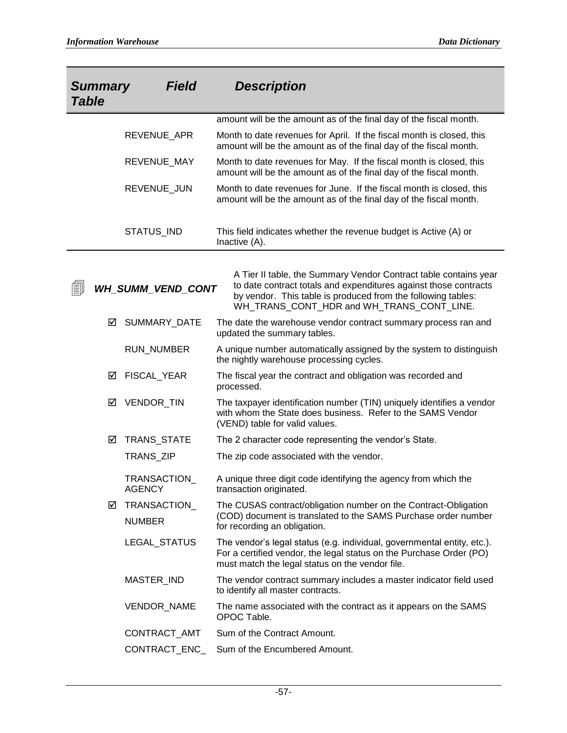| <b>Summary</b><br><b>Table</b> | <b>Field</b>                  | <b>Description</b>                                                                                                                                                                                                                                |
|--------------------------------|-------------------------------|---------------------------------------------------------------------------------------------------------------------------------------------------------------------------------------------------------------------------------------------------|
|                                |                               | amount will be the amount as of the final day of the fiscal month.                                                                                                                                                                                |
|                                | REVENUE_APR                   | Month to date revenues for April. If the fiscal month is closed, this<br>amount will be the amount as of the final day of the fiscal month.                                                                                                       |
|                                | REVENUE_MAY                   | Month to date revenues for May. If the fiscal month is closed, this<br>amount will be the amount as of the final day of the fiscal month.                                                                                                         |
|                                | REVENUE_JUN                   | Month to date revenues for June. If the fiscal month is closed, this<br>amount will be the amount as of the final day of the fiscal month.                                                                                                        |
|                                | STATUS_IND                    | This field indicates whether the revenue budget is Active (A) or<br>Inactive (A).                                                                                                                                                                 |
|                                |                               |                                                                                                                                                                                                                                                   |
| EI                             | <b>WH_SUMM_VEND_CONT</b>      | A Tier II table, the Summary Vendor Contract table contains year<br>to date contract totals and expenditures against those contracts<br>by vendor. This table is produced from the following tables:<br>WH_TRANS_CONT_HDR and WH_TRANS_CONT_LINE. |
| ☑                              | <b>SUMMARY DATE</b>           | The date the warehouse vendor contract summary process ran and<br>updated the summary tables.                                                                                                                                                     |
|                                | RUN_NUMBER                    | A unique number automatically assigned by the system to distinguish<br>the nightly warehouse processing cycles.                                                                                                                                   |
| ☑                              | FISCAL_YEAR                   | The fiscal year the contract and obligation was recorded and<br>processed.                                                                                                                                                                        |
| ☑                              | VENDOR_TIN                    | The taxpayer identification number (TIN) uniquely identifies a vendor<br>with whom the State does business. Refer to the SAMS Vendor<br>(VEND) table for valid values.                                                                            |
| ☑                              | TRANS_STATE                   | The 2 character code representing the vendor's State.                                                                                                                                                                                             |
|                                | TRANS_ZIP                     | The zip code associated with the vendor.                                                                                                                                                                                                          |
|                                | <b>TRANSACTION</b><br>AGENCY  | A unique three digit code identifying the agency from which the<br>transaction originated.                                                                                                                                                        |
| ⊻                              | TRANSACTION_<br><b>NUMBER</b> | The CUSAS contract/obligation number on the Contract-Obligation<br>(COD) document is translated to the SAMS Purchase order number<br>for recording an obligation.                                                                                 |
|                                | LEGAL_STATUS                  | The vendor's legal status (e.g. individual, governmental entity, etc.).<br>For a certified vendor, the legal status on the Purchase Order (PO)<br>must match the legal status on the vendor file.                                                 |
|                                | MASTER_IND                    | The vendor contract summary includes a master indicator field used<br>to identify all master contracts.                                                                                                                                           |
|                                | <b>VENDOR NAME</b>            | The name associated with the contract as it appears on the SAMS<br>OPOC Table.                                                                                                                                                                    |
|                                | CONTRACT_AMT                  | Sum of the Contract Amount.                                                                                                                                                                                                                       |
|                                | CONTRACT_ENC_                 | Sum of the Encumbered Amount.                                                                                                                                                                                                                     |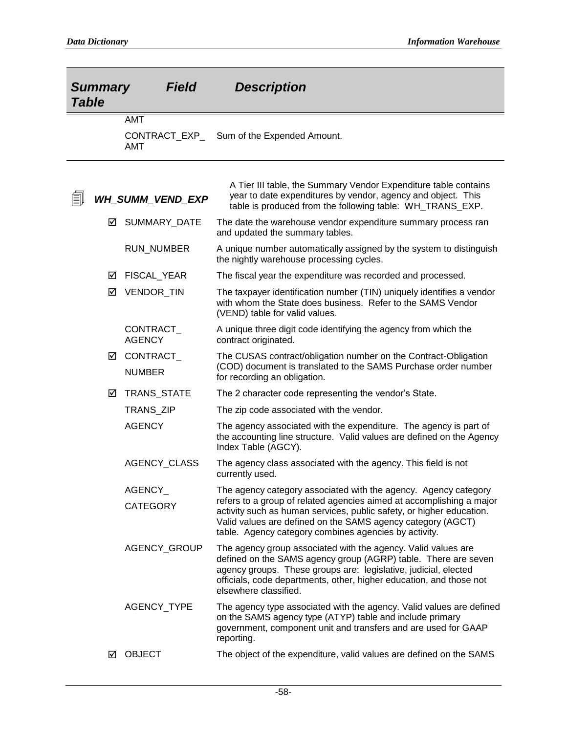| <b>Summary</b><br><b>Field</b><br><b>Table</b> |                         |                                    | <b>Description</b>                                                                                                                                                                                                                                                                                 |
|------------------------------------------------|-------------------------|------------------------------------|----------------------------------------------------------------------------------------------------------------------------------------------------------------------------------------------------------------------------------------------------------------------------------------------------|
|                                                |                         | <b>AMT</b><br>CONTRACT_EXP_<br>AMT | Sum of the Expended Amount.                                                                                                                                                                                                                                                                        |
| b                                              | <b>WH_SUMM_VEND_EXP</b> |                                    | A Tier III table, the Summary Vendor Expenditure table contains<br>year to date expenditures by vendor, agency and object. This<br>table is produced from the following table: WH TRANS EXP.                                                                                                       |
|                                                | ⋈                       | SUMMARY_DATE                       | The date the warehouse vendor expenditure summary process ran<br>and updated the summary tables.                                                                                                                                                                                                   |
|                                                |                         | <b>RUN_NUMBER</b>                  | A unique number automatically assigned by the system to distinguish<br>the nightly warehouse processing cycles.                                                                                                                                                                                    |
|                                                | ⋈                       | FISCAL_YEAR                        | The fiscal year the expenditure was recorded and processed.                                                                                                                                                                                                                                        |
|                                                | ☑                       | VENDOR_TIN                         | The taxpayer identification number (TIN) uniquely identifies a vendor<br>with whom the State does business. Refer to the SAMS Vendor<br>(VEND) table for valid values.                                                                                                                             |
|                                                |                         | CONTRACT<br><b>AGENCY</b>          | A unique three digit code identifying the agency from which the<br>contract originated.                                                                                                                                                                                                            |
|                                                | ☑                       | CONTRACT_<br><b>NUMBER</b>         | The CUSAS contract/obligation number on the Contract-Obligation<br>(COD) document is translated to the SAMS Purchase order number<br>for recording an obligation.                                                                                                                                  |
|                                                | ☑                       | TRANS_STATE                        | The 2 character code representing the vendor's State.                                                                                                                                                                                                                                              |
|                                                |                         | TRANS_ZIP                          | The zip code associated with the vendor.                                                                                                                                                                                                                                                           |
|                                                |                         | <b>AGENCY</b>                      | The agency associated with the expenditure. The agency is part of<br>the accounting line structure. Valid values are defined on the Agency<br>Index Table (AGCY).                                                                                                                                  |
|                                                |                         | AGENCY_CLASS                       | The agency class associated with the agency. This field is not<br>currently used.                                                                                                                                                                                                                  |
|                                                |                         | <b>AGENCY</b>                      | The agency category associated with the agency. Agency category                                                                                                                                                                                                                                    |
|                                                |                         | <b>CATEGORY</b>                    | refers to a group of related agencies aimed at accomplishing a major<br>activity such as human services, public safety, or higher education.<br>Valid values are defined on the SAMS agency category (AGCT)<br>table. Agency category combines agencies by activity.                               |
|                                                |                         | AGENCY_GROUP                       | The agency group associated with the agency. Valid values are<br>defined on the SAMS agency group (AGRP) table. There are seven<br>agency groups. These groups are: legislative, judicial, elected<br>officials, code departments, other, higher education, and those not<br>elsewhere classified. |
|                                                |                         | AGENCY_TYPE                        | The agency type associated with the agency. Valid values are defined<br>on the SAMS agency type (ATYP) table and include primary<br>government, component unit and transfers and are used for GAAP<br>reporting.                                                                                   |
|                                                | ☑                       | <b>OBJECT</b>                      | The object of the expenditure, valid values are defined on the SAMS                                                                                                                                                                                                                                |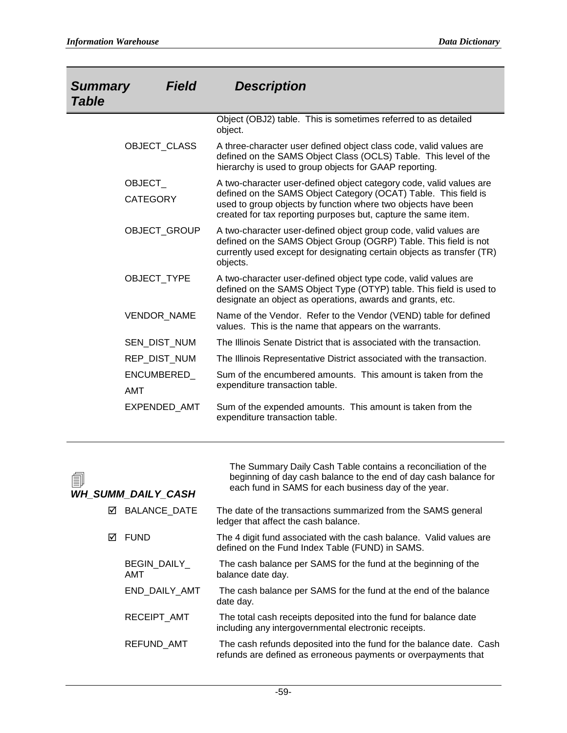| <b>Summary</b><br><b>Table</b>   | <b>Field</b> | <b>Description</b>                                                                                                                                                                                                                                                        |
|----------------------------------|--------------|---------------------------------------------------------------------------------------------------------------------------------------------------------------------------------------------------------------------------------------------------------------------------|
|                                  |              | Object (OBJ2) table. This is sometimes referred to as detailed<br>object.                                                                                                                                                                                                 |
| OBJECT_CLASS                     |              | A three-character user defined object class code, valid values are<br>defined on the SAMS Object Class (OCLS) Table. This level of the<br>hierarchy is used to group objects for GAAP reporting.                                                                          |
| <b>OBJECT</b><br><b>CATEGORY</b> |              | A two-character user-defined object category code, valid values are<br>defined on the SAMS Object Category (OCAT) Table. This field is<br>used to group objects by function where two objects have been<br>created for tax reporting purposes but, capture the same item. |
| OBJECT_GROUP                     |              | A two-character user-defined object group code, valid values are<br>defined on the SAMS Object Group (OGRP) Table. This field is not<br>currently used except for designating certain objects as transfer (TR)<br>objects.                                                |
| OBJECT_TYPE                      |              | A two-character user-defined object type code, valid values are<br>defined on the SAMS Object Type (OTYP) table. This field is used to<br>designate an object as operations, awards and grants, etc.                                                                      |
| <b>VENDOR NAME</b>               |              | Name of the Vendor. Refer to the Vendor (VEND) table for defined<br>values. This is the name that appears on the warrants.                                                                                                                                                |
| SEN DIST NUM                     |              | The Illinois Senate District that is associated with the transaction.                                                                                                                                                                                                     |
| REP_DIST_NUM                     |              | The Illinois Representative District associated with the transaction.                                                                                                                                                                                                     |
| ENCUMBERED_<br><b>AMT</b>        |              | Sum of the encumbered amounts. This amount is taken from the<br>expenditure transaction table.                                                                                                                                                                            |
| EXPENDED AMT                     |              | Sum of the expended amounts. This amount is taken from the<br>expenditure transaction table.                                                                                                                                                                              |

| 氲 | <b>WH_SUMM_DAILY_CASH</b> | The Summary Daily Cash Table contains a reconciliation of the<br>beginning of day cash balance to the end of day cash balance for<br>each fund in SAMS for each business day of the year. |
|---|---------------------------|-------------------------------------------------------------------------------------------------------------------------------------------------------------------------------------------|
| ☑ | <b>BALANCE DATE</b>       | The date of the transactions summarized from the SAMS general<br>ledger that affect the cash balance.                                                                                     |
| ☑ | <b>FUND</b>               | The 4 digit fund associated with the cash balance. Valid values are<br>defined on the Fund Index Table (FUND) in SAMS.                                                                    |
|   | <b>BEGIN DAILY</b><br>AMT | The cash balance per SAMS for the fund at the beginning of the<br>balance date day.                                                                                                       |
|   | END DAILY AMT             | The cash balance per SAMS for the fund at the end of the balance<br>date day.                                                                                                             |
|   | RECEIPT AMT               | The total cash receipts deposited into the fund for balance date<br>including any intergovernmental electronic receipts.                                                                  |
|   | REFUND_AMT                | The cash refunds deposited into the fund for the balance date. Cash<br>refunds are defined as erroneous payments or overpayments that                                                     |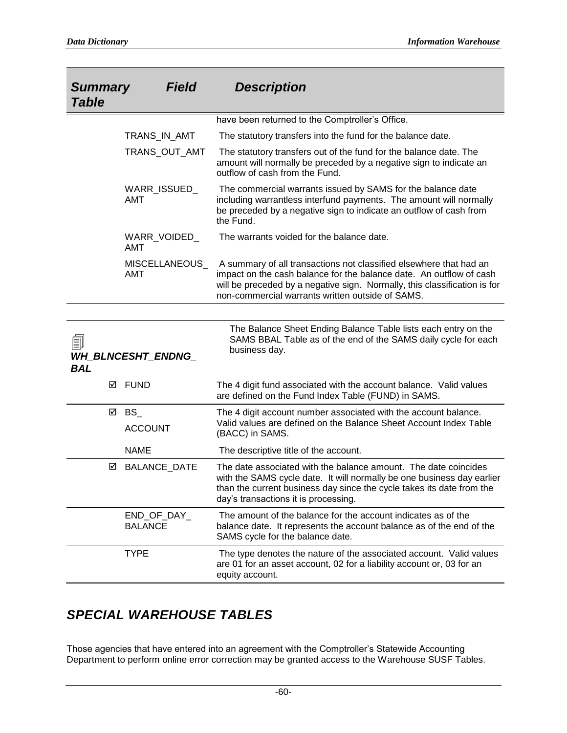| <b>Summary</b><br><b>Table</b> | <b>Field</b>                  | <b>Description</b>                                                                                                                                                                                                                                                         |
|--------------------------------|-------------------------------|----------------------------------------------------------------------------------------------------------------------------------------------------------------------------------------------------------------------------------------------------------------------------|
|                                |                               | have been returned to the Comptroller's Office.                                                                                                                                                                                                                            |
|                                | TRANS_IN_AMT                  | The statutory transfers into the fund for the balance date.                                                                                                                                                                                                                |
|                                | TRANS_OUT_AMT                 | The statutory transfers out of the fund for the balance date. The<br>amount will normally be preceded by a negative sign to indicate an<br>outflow of cash from the Fund.                                                                                                  |
|                                | WARR_ISSUED_<br>AMT           | The commercial warrants issued by SAMS for the balance date<br>including warrantless interfund payments. The amount will normally<br>be preceded by a negative sign to indicate an outflow of cash from<br>the Fund.                                                       |
|                                | WARR_VOIDED_<br><b>AMT</b>    | The warrants voided for the balance date.                                                                                                                                                                                                                                  |
|                                | <b>MISCELLANEOUS</b><br>AMT   | A summary of all transactions not classified elsewhere that had an<br>impact on the cash balance for the balance date. An outflow of cash<br>will be preceded by a negative sign. Normally, this classification is for<br>non-commercial warrants written outside of SAMS. |
|                                |                               |                                                                                                                                                                                                                                                                            |
| 剾<br><b>BAL</b>                | <b>WH_BLNCESHT_ENDNG_</b>     | The Balance Sheet Ending Balance Table lists each entry on the<br>SAMS BBAL Table as of the end of the SAMS daily cycle for each<br>business day.                                                                                                                          |
| ☑                              | FUND                          | The 4 digit fund associated with the account balance. Valid values<br>are defined on the Fund Index Table (FUND) in SAMS.                                                                                                                                                  |
| ☑                              | $BS_$                         | The 4 digit account number associated with the account balance.                                                                                                                                                                                                            |
|                                | <b>ACCOUNT</b>                | Valid values are defined on the Balance Sheet Account Index Table<br>(BACC) in SAMS.                                                                                                                                                                                       |
|                                | <b>NAME</b>                   | The descriptive title of the account.                                                                                                                                                                                                                                      |
| ☑                              | <b>BALANCE_DATE</b>           | The date associated with the balance amount. The date coincides<br>with the SAMS cycle date. It will normally be one business day earlier<br>than the current business day since the cycle takes its date from the<br>day's transactions it is processing.                 |
|                                | END_OF_DAY_<br><b>BALANCE</b> | The amount of the balance for the account indicates as of the<br>balance date. It represents the account balance as of the end of the<br>SAMS cycle for the balance date.                                                                                                  |
|                                | <b>TYPE</b>                   | The type denotes the nature of the associated account. Valid values<br>are 01 for an asset account, 02 for a liability account or, 03 for an<br>equity account.                                                                                                            |

## *SPECIAL WAREHOUSE TABLES*

Those agencies that have entered into an agreement with the Comptroller's Statewide Accounting Department to perform online error correction may be granted access to the Warehouse SUSF Tables.